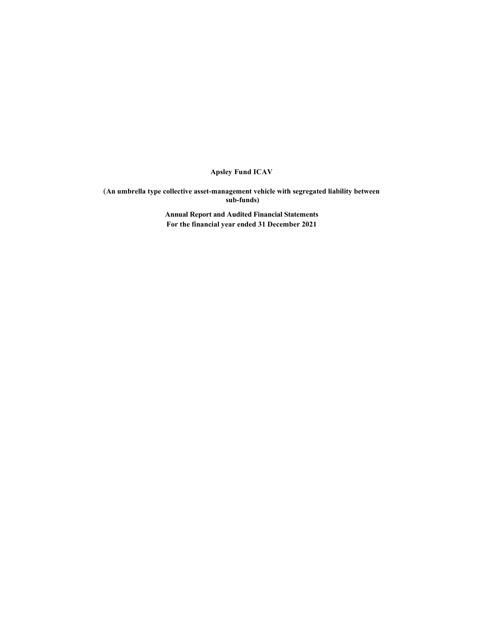Apsley Fund ICAV

(An umbrella type collective asset-management vehicle with segregated liability between sub-funds)

> Annual Report and Audited Financial Statements For the financial year ended 31 December 2021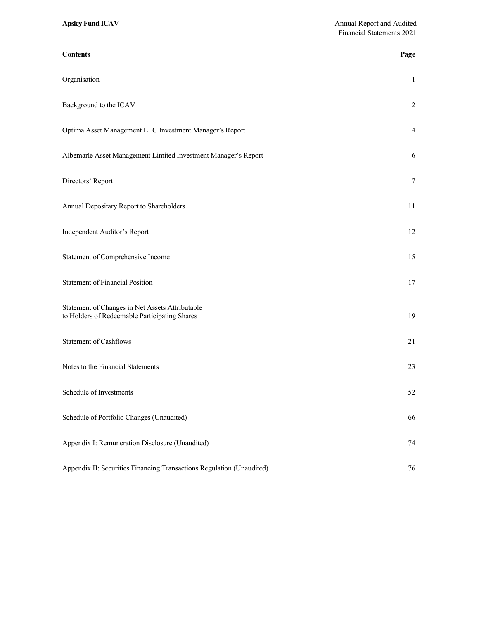| <b>Contents</b>                                                                                  | Page           |  |
|--------------------------------------------------------------------------------------------------|----------------|--|
| Organisation                                                                                     | 1              |  |
| Background to the ICAV                                                                           | $\overline{2}$ |  |
| Optima Asset Management LLC Investment Manager's Report                                          | 4              |  |
| Albemarle Asset Management Limited Investment Manager's Report                                   | 6              |  |
| Directors' Report                                                                                | 7              |  |
| Annual Depositary Report to Shareholders                                                         | 11             |  |
| Independent Auditor's Report                                                                     | 12             |  |
| Statement of Comprehensive Income                                                                | 15             |  |
| <b>Statement of Financial Position</b>                                                           | 17             |  |
| Statement of Changes in Net Assets Attributable<br>to Holders of Redeemable Participating Shares | 19             |  |
| <b>Statement of Cashflows</b>                                                                    | 21             |  |
| Notes to the Financial Statements                                                                | 23             |  |
| Schedule of Investments                                                                          | 52             |  |
| Schedule of Portfolio Changes (Unaudited)                                                        | 66             |  |
| Appendix I: Remuneration Disclosure (Unaudited)                                                  | 74             |  |
| Appendix II: Securities Financing Transactions Regulation (Unaudited)                            | 76             |  |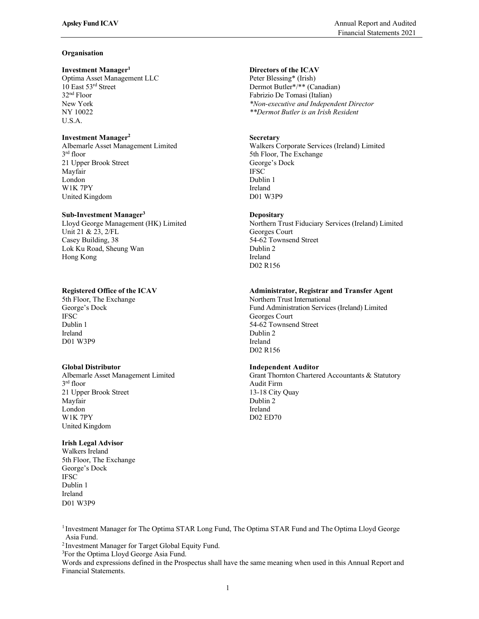## **Organisation**

### Investment Manager<sup>1</sup>

Optima Asset Management LLC Peter Blessing\* (Irish)<br>10 East 53<sup>rd</sup> Street Dermot Butler\*/\*\* (Ca 32<sup>nd</sup> Floor Fabrizio De Tomasi (Italian)<br>New York \*Non-executive and Indepen U.S.A.

## Investment Manager2

3rd floor 21 Upper Brook Street George's Dock Mayfair **IFSC** London Dublin 1 W1K 7PY Ireland United Kingdom D01 W3P9

## Sub-Investment Manager3

Unit 21 & 23, 2/FL<br>
Casey Building, 38 64-62 Townser Lok Ku Road, Sheung Wan Dublin 2 Hong Kong **Ireland** 

IFSC Georges Court Dublin 1 54-62 Townsend Street D01 W3P9 Ireland D02 R156

3<sup>rd</sup> floor 21 Upper Brook Street 13-18 City Quay Mayfair **Dublin 2 Dublin 2** London **Ireland** W1K 7PY DO2 ED70 United Kingdom

## Irish Legal Advisor

Walkers Ireland 5th Floor, The Exchange George's Dock **IFSC** Dublin 1 Ireland D01 W3P9

# Directors of the ICAV

Dermot Butler\*/\*\* (Canadian) New York \*Non-executive and Independent Director<br>
NY 10022 \*\*Dermot Butler is an Irish Resident \*\*Dermot Butler is an Irish Resident

## **Secretary**

Albemarle Asset Management Limited Walkers Corporate Services (Ireland) Limited 5th Floor, The Exchange

## **Depositary**

Lloyd George Management (HK) Limited Northern Trust Fiduciary Services (Ireland) Limited 54-62 Townsend Street D02 R156

## Registered Office of the ICAV Administrator, Registrar and Transfer Agent

5th Floor, The Exchange Northern Trust International George's Dock Fund Administration Services (Ireland) Limited Ireland Dublin 2 D02 R156

## Global Distributor Independent Auditor

Albemarle Asset Management Limited Grant Thornton Chartered Accountants & Statutory Audit Firm

<sup>1</sup> Investment Manager for The Optima STAR Long Fund, The Optima STAR Fund and The Optima Lloyd George Asia Fund.<br><sup>2</sup> Investment Manager for Target Global Equity Fund.<br><sup>3</sup>For the Optima Lloyd George Asia Fund.

Words and expressions defined in the Prospectus shall have the same meaning when used in this Annual Report and Financial Statements.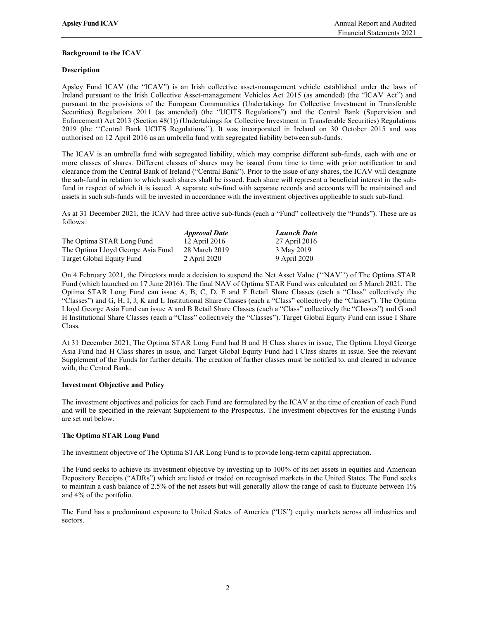## Background to the ICAV

## Description

Apsley Fund ICAV (the "ICAV") is an Irish collective asset-management vehicle established under the laws of Ireland pursuant to the Irish Collective Asset-management Vehicles Act 2015 (as amended) (the "ICAV Act") and pursuant to the provisions of the European Communities (Undertakings for Collective Investment in Transferable Securities) Regulations 2011 (as amended) (the "UCITS Regulations") and the Central Bank (Supervision and Enforcement) Act 2013 (Section 48(1)) (Undertakings for Collective Investment in Transferable Securities) Regulations 2019 (the ''Central Bank UCITS Regulations''). It was incorporated in Ireland on 30 October 2015 and was authorised on 12 April 2016 as an umbrella fund with segregated liability between sub-funds.

The ICAV is an umbrella fund with segregated liability, which may comprise different sub-funds, each with one or more classes of shares. Different classes of shares may be issued from time to time with prior notification to and clearance from the Central Bank of Ireland ("Central Bank"). Prior to the issue of any shares, the ICAV will designate the sub-fund in relation to which such shares shall be issued. Each share will represent a beneficial interest in the subfund in respect of which it is issued. A separate sub-fund with separate records and accounts will be maintained and assets in such sub-funds will be invested in accordance with the investment objectives applicable to such sub-fund.

As at 31 December 2021, the ICAV had three active sub-funds (each a "Fund" collectively the "Funds"). These are as follows:

|                                   | <i><b>Approval Date</b></i> | <b>Launch Date</b> |  |
|-----------------------------------|-----------------------------|--------------------|--|
| The Optima STAR Long Fund         | 12 April 2016               | 27 April 2016      |  |
| The Optima Lloyd George Asia Fund | 28 March 2019               | 3 May 2019         |  |
| Target Global Equity Fund         | 2 April 2020                | 9 April 2020       |  |

On 4 February 2021, the Directors made a decision to suspend the Net Asset Value (''NAV'') of The Optima STAR Fund (which launched on 17 June 2016). The final NAV of Optima STAR Fund was calculated on 5 March 2021. The Optima STAR Long Fund can issue A, B, C, D, E and F Retail Share Classes (each a "Class" collectively the "Classes") and G, H, I, J, K and L Institutional Share Classes (each a "Class" collectively the "Classes"). The Optima Lloyd George Asia Fund can issue A and B Retail Share Classes (each a "Class" collectively the "Classes") and G and H Institutional Share Classes (each a "Class" collectively the "Classes"). Target Global Equity Fund can issue I Share Class.

At 31 December 2021, The Optima STAR Long Fund had B and H Class shares in issue, The Optima Lloyd George Asia Fund had H Class shares in issue, and Target Global Equity Fund had I Class shares in issue. See the relevant Supplement of the Funds for further details. The creation of further classes must be notified to, and cleared in advance with, the Central Bank.

## Investment Objective and Policy

The investment objectives and policies for each Fund are formulated by the ICAV at the time of creation of each Fund and will be specified in the relevant Supplement to the Prospectus. The investment objectives for the existing Funds are set out below.

## The Optima STAR Long Fund

The investment objective of The Optima STAR Long Fund is to provide long-term capital appreciation.

The Fund seeks to achieve its investment objective by investing up to 100% of its net assets in equities and American Depository Receipts ("ADRs") which are listed or traded on recognised markets in the United States. The Fund seeks to maintain a cash balance of 2.5% of the net assets but will generally allow the range of cash to fluctuate between 1% and 4% of the portfolio.

The Fund has a predominant exposure to United States of America ("US") equity markets across all industries and sectors.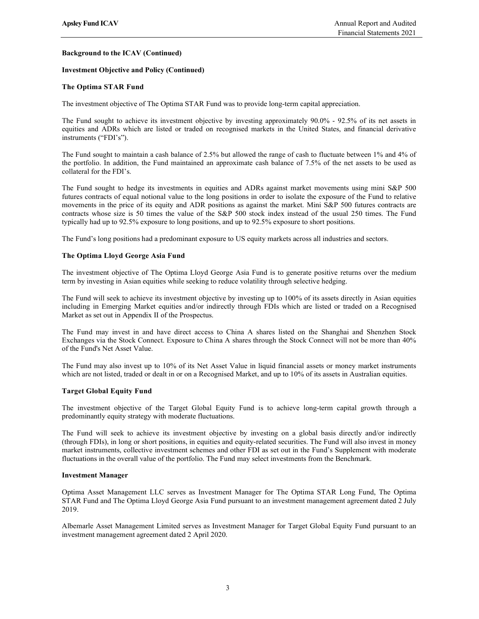## Background to the ICAV (Continued)

## Investment Objective and Policy (Continued)

## The Optima STAR Fund

The investment objective of The Optima STAR Fund was to provide long-term capital appreciation.

The Fund sought to achieve its investment objective by investing approximately 90.0% - 92.5% of its net assets in equities and ADRs which are listed or traded on recognised markets in the United States, and financial derivative instruments ("FDI's").

The Fund sought to maintain a cash balance of 2.5% but allowed the range of cash to fluctuate between 1% and 4% of the portfolio. In addition, the Fund maintained an approximate cash balance of 7.5% of the net assets to be used as collateral for the FDI's.

The Fund sought to hedge its investments in equities and ADRs against market movements using mini S&P 500 futures contracts of equal notional value to the long positions in order to isolate the exposure of the Fund to relative movements in the price of its equity and ADR positions as against the market. Mini S&P 500 futures contracts are contracts whose size is 50 times the value of the S&P 500 stock index instead of the usual 250 times. The Fund typically had up to 92.5% exposure to long positions, and up to 92.5% exposure to short positions.

The Fund's long positions had a predominant exposure to US equity markets across all industries and sectors.

### The Optima Lloyd George Asia Fund

The investment objective of The Optima Lloyd George Asia Fund is to generate positive returns over the medium term by investing in Asian equities while seeking to reduce volatility through selective hedging.

The Fund will seek to achieve its investment objective by investing up to 100% of its assets directly in Asian equities including in Emerging Market equities and/or indirectly through FDIs which are listed or traded on a Recognised Market as set out in Appendix II of the Prospectus.

The Fund may invest in and have direct access to China A shares listed on the Shanghai and Shenzhen Stock Exchanges via the Stock Connect. Exposure to China A shares through the Stock Connect will not be more than 40% of the Fund's Net Asset Value.

The Fund may also invest up to 10% of its Net Asset Value in liquid financial assets or money market instruments which are not listed, traded or dealt in or on a Recognised Market, and up to 10% of its assets in Australian equities.

#### Target Global Equity Fund

The investment objective of the Target Global Equity Fund is to achieve long-term capital growth through a predominantly equity strategy with moderate fluctuations.

The Fund will seek to achieve its investment objective by investing on a global basis directly and/or indirectly (through FDIs), in long or short positions, in equities and equity-related securities. The Fund will also invest in money market instruments, collective investment schemes and other FDI as set out in the Fund's Supplement with moderate fluctuations in the overall value of the portfolio. The Fund may select investments from the Benchmark.

#### Investment Manager

Optima Asset Management LLC serves as Investment Manager for The Optima STAR Long Fund, The Optima STAR Fund and The Optima Lloyd George Asia Fund pursuant to an investment management agreement dated 2 July 2019.

Albemarle Asset Management Limited serves as Investment Manager for Target Global Equity Fund pursuant to an investment management agreement dated 2 April 2020.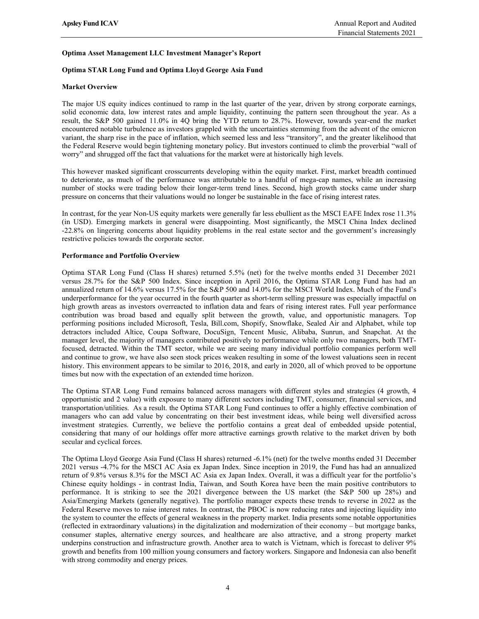## Optima Asset Management LLC Investment Manager's Report

## Optima STAR Long Fund and Optima Lloyd George Asia Fund

## Market Overview

The major US equity indices continued to ramp in the last quarter of the year, driven by strong corporate earnings, solid economic data, low interest rates and ample liquidity, continuing the pattern seen throughout the year. As a result, the S&P 500 gained 11.0% in 4Q bring the YTD return to 28.7%. However, towards year-end the market encountered notable turbulence as investors grappled with the uncertainties stemming from the advent of the omicron variant, the sharp rise in the pace of inflation, which seemed less and less "transitory", and the greater likelihood that the Federal Reserve would begin tightening monetary policy. But investors continued to climb the proverbial "wall of worry" and shrugged off the fact that valuations for the market were at historically high levels.

This however masked significant crosscurrents developing within the equity market. First, market breadth continued to deteriorate, as much of the performance was attributable to a handful of mega-cap names, while an increasing number of stocks were trading below their longer-term trend lines. Second, high growth stocks came under sharp pressure on concerns that their valuations would no longer be sustainable in the face of rising interest rates.

In contrast, for the year Non-US equity markets were generally far less ebullient as the MSCI EAFE Index rose 11.3% (in USD). Emerging markets in general were disappointing. Most significantly, the MSCI China Index declined -22.8% on lingering concerns about liquidity problems in the real estate sector and the government's increasingly restrictive policies towards the corporate sector.

## Performance and Portfolio Overview

Optima STAR Long Fund (Class H shares) returned 5.5% (net) for the twelve months ended 31 December 2021 versus 28.7% for the S&P 500 Index. Since inception in April 2016, the Optima STAR Long Fund has had an annualized return of 14.6% versus 17.5% for the S&P 500 and 14.0% for the MSCI World Index. Much of the Fund's underperformance for the year occurred in the fourth quarter as short-term selling pressure was especially impactful on high growth areas as investors overreacted to inflation data and fears of rising interest rates. Full year performance contribution was broad based and equally split between the growth, value, and opportunistic managers. Top performing positions included Microsoft, Tesla, Bill.com, Shopify, Snowflake, Sealed Air and Alphabet, while top detractors included Altice, Coupa Software, DocuSign, Tencent Music, Alibaba, Sunrun, and Snapchat. At the manager level, the majority of managers contributed positively to performance while only two managers, both TMTfocused, detracted. Within the TMT sector, while we are seeing many individual portfolio companies perform well and continue to grow, we have also seen stock prices weaken resulting in some of the lowest valuations seen in recent history. This environment appears to be similar to 2016, 2018, and early in 2020, all of which proved to be opportune times but now with the expectation of an extended time horizon.

The Optima STAR Long Fund remains balanced across managers with different styles and strategies (4 growth, 4 opportunistic and 2 value) with exposure to many different sectors including TMT, consumer, financial services, and transportation/utilities. As a result. the Optima STAR Long Fund continues to offer a highly effective combination of managers who can add value by concentrating on their best investment ideas, while being well diversified across investment strategies. Currently, we believe the portfolio contains a great deal of embedded upside potential, considering that many of our holdings offer more attractive earnings growth relative to the market driven by both secular and cyclical forces.

The Optima Lloyd George Asia Fund (Class H shares) returned -6.1% (net) for the twelve months ended 31 December 2021 versus -4.7% for the MSCI AC Asia ex Japan Index. Since inception in 2019, the Fund has had an annualized return of 9.8% versus 8.3% for the MSCI AC Asia ex Japan Index. Overall, it was a difficult year for the portfolio's Chinese equity holdings - in contrast India, Taiwan, and South Korea have been the main positive contributors to performance. It is striking to see the 2021 divergence between the US market (the S&P 500 up 28%) and Asia/Emerging Markets (generally negative). The portfolio manager expects these trends to reverse in 2022 as the Federal Reserve moves to raise interest rates. In contrast, the PBOC is now reducing rates and injecting liquidity into the system to counter the effects of general weakness in the property market. India presents some notable opportunities (reflected in extraordinary valuations) in the digitalization and modernization of their economy – but mortgage banks, consumer staples, alternative energy sources, and healthcare are also attractive, and a strong property market underpins construction and infrastructure growth. Another area to watch is Vietnam, which is forecast to deliver 9% growth and benefits from 100 million young consumers and factory workers. Singapore and Indonesia can also benefit with strong commodity and energy prices.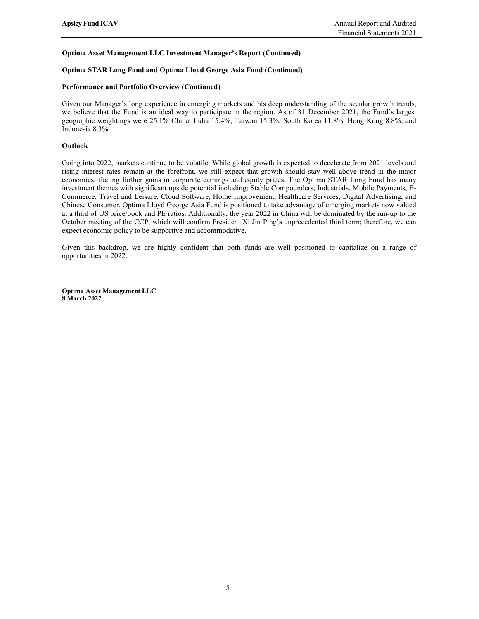# Optima Asset Management LLC Investment Manager's Report (Continued)

## Optima STAR Long Fund and Optima Lloyd George Asia Fund (Continued)

## Performance and Portfolio Overview (Continued)

Given our Manager's long experience in emerging markets and his deep understanding of the secular growth trends, we believe that the Fund is an ideal way to participate in the region. As of 31 December 2021, the Fund's largest geographic weightings were 25.1% China, India 15.4%, Taiwan 15.3%, South Korea 11.8%, Hong Kong 8.8%, and Indonesia 8.3%.

## Outlook

Going into 2022, markets continue to be volatile. While global growth is expected to decelerate from 2021 levels and rising interest rates remain at the forefront, we still expect that growth should stay well above trend in the major economies, fueling further gains in corporate earnings and equity prices. The Optima STAR Long Fund has many investment themes with significant upside potential including: Stable Compounders, Industrials, Mobile Payments, E-Commerce, Travel and Leisure, Cloud Software, Home Improvement, Healthcare Services, Digital Advertising, and Chinese Consumer. Optima Lloyd George Asia Fund is positioned to take advantage of emerging markets now valued at a third of US price/book and PE ratios. Additionally, the year 2022 in China will be dominated by the run-up to the October meeting of the CCP, which will confirm President Xi Jin Ping's unprecedented third term; therefore, we can expect economic policy to be supportive and accommodative.

Given this backdrop, we are highly confident that both funds are well positioned to capitalize on a range of opportunities in 2022.

Optima Asset Management LLC 8 March 2022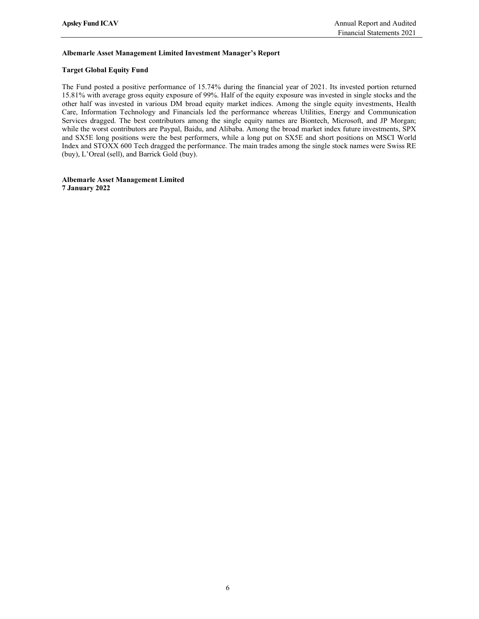## Albemarle Asset Management Limited Investment Manager's Report

## Target Global Equity Fund

The Fund posted a positive performance of 15.74% during the financial year of 2021. Its invested portion returned 15.81% with average gross equity exposure of 99%. Half of the equity exposure was invested in single stocks and the other half was invested in various DM broad equity market indices. Among the single equity investments, Health Care, Information Technology and Financials led the performance whereas Utilities, Energy and Communication Services dragged. The best contributors among the single equity names are Biontech, Microsoft, and JP Morgan; while the worst contributors are Paypal, Baidu, and Alibaba. Among the broad market index future investments, SPX and SX5E long positions were the best performers, while a long put on SX5E and short positions on MSCI World Index and STOXX 600 Tech dragged the performance. The main trades among the single stock names were Swiss RE (buy), L'Oreal (sell), and Barrick Gold (buy).

Albemarle Asset Management Limited 7 January 2022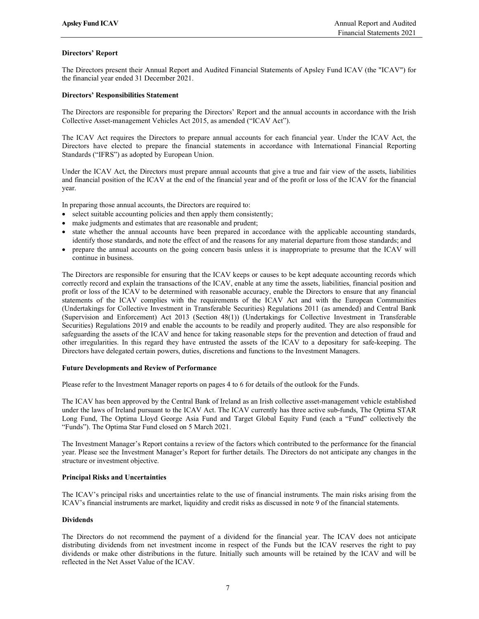## Directors' Report

The Directors present their Annual Report and Audited Financial Statements of Apsley Fund ICAV (the "ICAV") for the financial year ended 31 December 2021.

### Directors' Responsibilities Statement

The Directors are responsible for preparing the Directors' Report and the annual accounts in accordance with the Irish Collective Asset-management Vehicles Act 2015, as amended ("ICAV Act").

The ICAV Act requires the Directors to prepare annual accounts for each financial year. Under the ICAV Act, the Directors have elected to prepare the financial statements in accordance with International Financial Reporting Standards ("IFRS") as adopted by European Union.

Under the ICAV Act, the Directors must prepare annual accounts that give a true and fair view of the assets, liabilities and financial position of the ICAV at the end of the financial year and of the profit or loss of the ICAV for the financial year.

In preparing those annual accounts, the Directors are required to:

- select suitable accounting policies and then apply them consistently;
- make judgments and estimates that are reasonable and prudent;
- state whether the annual accounts have been prepared in accordance with the applicable accounting standards, identify those standards, and note the effect of and the reasons for any material departure from those standards; and
- prepare the annual accounts on the going concern basis unless it is inappropriate to presume that the ICAV will continue in business.

The Directors are responsible for ensuring that the ICAV keeps or causes to be kept adequate accounting records which correctly record and explain the transactions of the ICAV, enable at any time the assets, liabilities, financial position and profit or loss of the ICAV to be determined with reasonable accuracy, enable the Directors to ensure that any financial statements of the ICAV complies with the requirements of the ICAV Act and with the European Communities (Undertakings for Collective Investment in Transferable Securities) Regulations 2011 (as amended) and Central Bank (Supervision and Enforcement) Act 2013 (Section 48(1)) (Undertakings for Collective Investment in Transferable Securities) Regulations 2019 and enable the accounts to be readily and properly audited. They are also responsible for safeguarding the assets of the ICAV and hence for taking reasonable steps for the prevention and detection of fraud and other irregularities. In this regard they have entrusted the assets of the ICAV to a depositary for safe-keeping. The Directors have delegated certain powers, duties, discretions and functions to the Investment Managers.

#### Future Developments and Review of Performance

Please refer to the Investment Manager reports on pages 4 to 6 for details of the outlook for the Funds.

The ICAV has been approved by the Central Bank of Ireland as an Irish collective asset-management vehicle established under the laws of Ireland pursuant to the ICAV Act. The ICAV currently has three active sub-funds, The Optima STAR Long Fund, The Optima Lloyd George Asia Fund and Target Global Equity Fund (each a "Fund" collectively the "Funds"). The Optima Star Fund closed on 5 March 2021.

The Investment Manager's Report contains a review of the factors which contributed to the performance for the financial year. Please see the Investment Manager's Report for further details. The Directors do not anticipate any changes in the structure or investment objective.

## Principal Risks and Uncertainties

The ICAV's principal risks and uncertainties relate to the use of financial instruments. The main risks arising from the ICAV's financial instruments are market, liquidity and credit risks as discussed in note 9 of the financial statements.

#### Dividends

The Directors do not recommend the payment of a dividend for the financial year. The ICAV does not anticipate distributing dividends from net investment income in respect of the Funds but the ICAV reserves the right to pay dividends or make other distributions in the future. Initially such amounts will be retained by the ICAV and will be reflected in the Net Asset Value of the ICAV.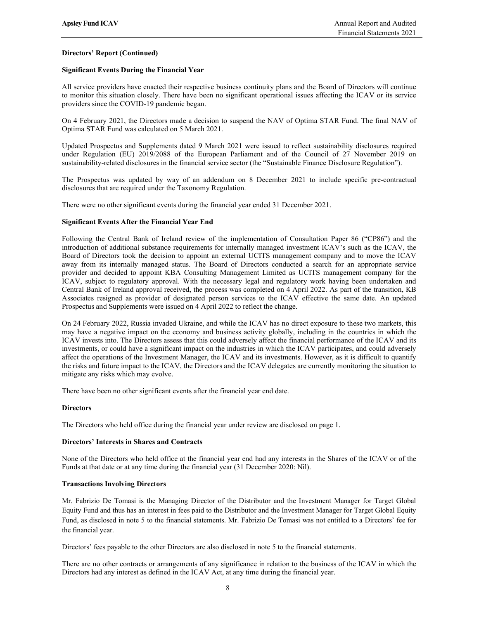## Directors' Report (Continued)

## Significant Events During the Financial Year

All service providers have enacted their respective business continuity plans and the Board of Directors will continue to monitor this situation closely. There have been no significant operational issues affecting the ICAV or its service providers since the COVID-19 pandemic began.

On 4 February 2021, the Directors made a decision to suspend the NAV of Optima STAR Fund. The final NAV of Optima STAR Fund was calculated on 5 March 2021.

Updated Prospectus and Supplements dated 9 March 2021 were issued to reflect sustainability disclosures required under Regulation (EU) 2019/2088 of the European Parliament and of the Council of 27 November 2019 on sustainability-related disclosures in the financial service sector (the "Sustainable Finance Disclosure Regulation").

The Prospectus was updated by way of an addendum on 8 December 2021 to include specific pre-contractual disclosures that are required under the Taxonomy Regulation.

There were no other significant events during the financial year ended 31 December 2021.

## Significant Events After the Financial Year End

Following the Central Bank of Ireland review of the implementation of Consultation Paper 86 ("CP86") and the introduction of additional substance requirements for internally managed investment ICAV's such as the ICAV, the Board of Directors took the decision to appoint an external UCITS management company and to move the ICAV away from its internally managed status. The Board of Directors conducted a search for an appropriate service provider and decided to appoint KBA Consulting Management Limited as UCITS management company for the ICAV, subject to regulatory approval. With the necessary legal and regulatory work having been undertaken and Central Bank of Ireland approval received, the process was completed on 4 April 2022. As part of the transition, KB Associates resigned as provider of designated person services to the ICAV effective the same date. An updated Prospectus and Supplements were issued on 4 April 2022 to reflect the change.

On 24 February 2022, Russia invaded Ukraine, and while the ICAV has no direct exposure to these two markets, this may have a negative impact on the economy and business activity globally, including in the countries in which the ICAV invests into. The Directors assess that this could adversely affect the financial performance of the ICAV and its investments, or could have a significant impact on the industries in which the ICAV participates, and could adversely affect the operations of the Investment Manager, the ICAV and its investments. However, as it is difficult to quantify the risks and future impact to the ICAV, the Directors and the ICAV delegates are currently monitoring the situation to mitigate any risks which may evolve.

There have been no other significant events after the financial year end date.

## **Directors**

The Directors who held office during the financial year under review are disclosed on page 1.

#### Directors' Interests in Shares and Contracts

None of the Directors who held office at the financial year end had any interests in the Shares of the ICAV or of the Funds at that date or at any time during the financial year (31 December 2020: Nil).

#### Transactions Involving Directors

Mr. Fabrizio De Tomasi is the Managing Director of the Distributor and the Investment Manager for Target Global Equity Fund and thus has an interest in fees paid to the Distributor and the Investment Manager for Target Global Equity Fund, as disclosed in note 5 to the financial statements. Mr. Fabrizio De Tomasi was not entitled to a Directors' fee for the financial year.

Directors' fees payable to the other Directors are also disclosed in note 5 to the financial statements.

There are no other contracts or arrangements of any significance in relation to the business of the ICAV in which the Directors had any interest as defined in the ICAV Act, at any time during the financial year.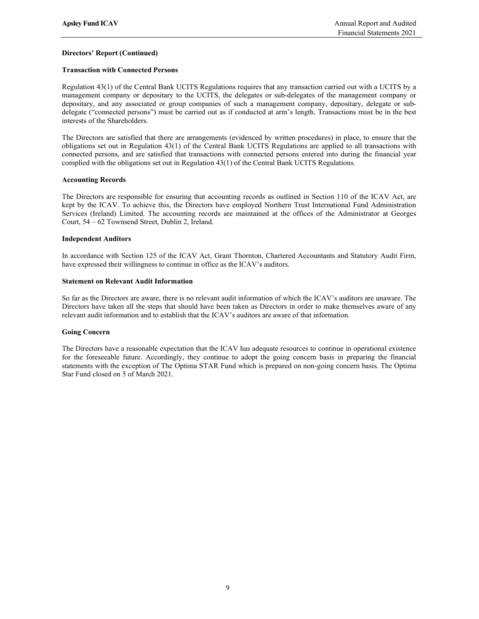## Directors' Report (Continued)

## Transaction with Connected Persons

Regulation 43(1) of the Central Bank UCITS Regulations requires that any transaction carried out with a UCITS by a management company or depositary to the UCITS, the delegates or sub-delegates of the management company or depositary, and any associated or group companies of such a management company, depositary, delegate or subdelegate ("connected persons") must be carried out as if conducted at arm's length. Transactions must be in the best interests of the Shareholders.

The Directors are satisfied that there are arrangements (evidenced by written procedures) in place, to ensure that the obligations set out in Regulation 43(1) of the Central Bank UCITS Regulations are applied to all transactions with connected persons, and are satisfied that transactions with connected persons entered into during the financial year complied with the obligations set out in Regulation 43(1) of the Central Bank UCITS Regulations.

### Accounting Records

The Directors are responsible for ensuring that accounting records as outlined in Section 110 of the ICAV Act, are kept by the ICAV. To achieve this, the Directors have employed Northern Trust International Fund Administration Services (Ireland) Limited. The accounting records are maintained at the offices of the Administrator at Georges Court, 54 – 62 Townsend Street, Dublin 2, Ireland.

### Independent Auditors

In accordance with Section 125 of the ICAV Act, Grant Thornton, Chartered Accountants and Statutory Audit Firm, have expressed their willingness to continue in office as the ICAV's auditors.

### Statement on Relevant Audit Information

So far as the Directors are aware, there is no relevant audit information of which the ICAV's auditors are unaware. The Directors have taken all the steps that should have been taken as Directors in order to make themselves aware of any relevant audit information and to establish that the ICAV's auditors are aware of that information.

#### Going Concern

The Directors have a reasonable expectation that the ICAV has adequate resources to continue in operational existence for the foreseeable future. Accordingly, they continue to adopt the going concern basis in preparing the financial statements with the exception of The Optima STAR Fund which is prepared on non-going concern basis. The Optima Star Fund closed on 5 of March 2021.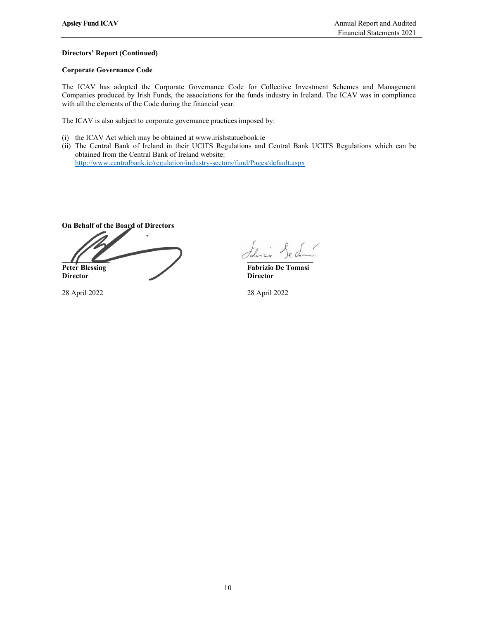## Directors' Report (Continued)

## Corporate Governance Code

The ICAV has adopted the Corporate Governance Code for Collective Investment Schemes and Management Companies produced by Irish Funds, the associations for the funds industry in Ireland. The ICAV was in compliance with all the elements of the Code during the financial year.

The ICAV is also subject to corporate governance practices imposed by:

- (i) the ICAV Act which may be obtained at www.irishstatuebook.ie
- (ii) The Central Bank of Ireland in their UCITS Regulations and Central Bank UCITS Regulations which can be obtained from the Central Bank of Ireland website:

http://www.centralbank.ie/regulation/industry-sectors/fund/Pages/default.aspx

On Behalf of the Board of Directors  $\overline{\phantom{a}}$ Peter Blessing Fabrizio De Tomasi Director Director **Director** 

28 April 2022 28 April 2022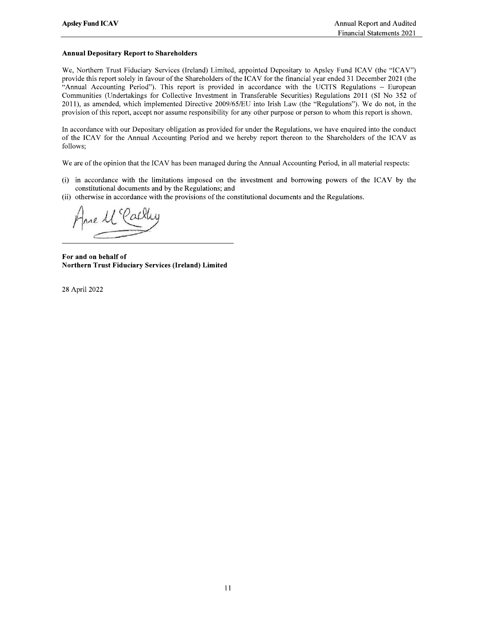## **Annual Depositary Report to Shareholders**

We, Northern Trust Fiduciary Services (Ireland) Limited, appointed Depositary to Apsley Fund ICAV (the "ICAV") provide this report solely in favour of the Shareholders of the ICAV for the financial year ended 31 December 2021 (the "Annual Accounting Period"). This report is provided in accordance with the UCITS Regulations - European Communities (Undertakings for Collective Investment in Transferable Securities) Regulations 2011 (SI No 352 of 2011), as amended, which implemented Directive 2009/65/EU into Irish Law (the "Regulations"). We do not, in the provision of this report, accept nor assume responsibility for any other purpose or person to whom this report is shown.

In accordance with our Depositary obligation as provided for under the Regulations, we have enquired into the conduct of the ICAV for the Annual Accounting Period and we hereby report thereon to the Shareholders of the ICAV as follows;

We are of the opinion that the ICAV has been managed during the Annual Accounting Period, in all material respects:

- (i) in accordance with the limitations imposed on the investment and borrowing powers of the ICAV by the constitutional documents and by the Regulations; and
- (ii) otherwise in accordance with the provisions of the constitutional documents and the Regulations.

For and on behalf of **Northern Trust Fiduciary Services (Ireland) Limited** 

28 April 2022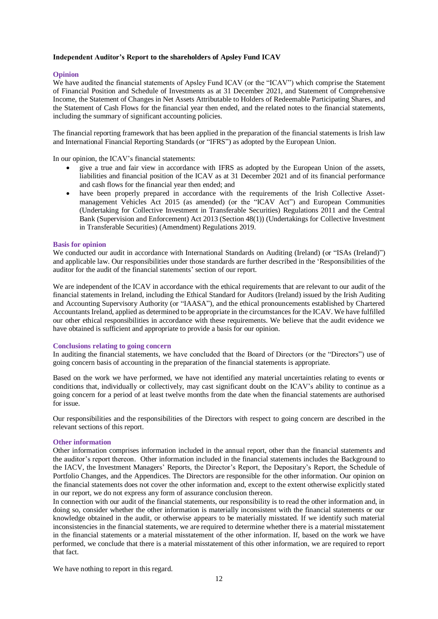# **Independent Auditor's Report to the shareholders of Apsley Fund ICAV**

## **Opinion**

We have audited the financial statements of Apsley Fund ICAV (or the "ICAV") which comprise the Statement of Financial Position and Schedule of Investments as at 31 December 2021, and Statement of Comprehensive Income, the Statement of Changes in Net Assets Attributable to Holders of Redeemable Participating Shares, and the Statement of Cash Flows for the financial year then ended, and the related notes to the financial statements, including the summary of significant accounting policies.

The financial reporting framework that has been applied in the preparation of the financial statements is Irish law and International Financial Reporting Standards (or "IFRS") as adopted by the European Union.

In our opinion, the ICAV's financial statements:

- give a true and fair view in accordance with IFRS as adopted by the European Union of the assets, liabilities and financial position of the ICAV as at 31 December 2021 and of its financial performance and cash flows for the financial year then ended; and
- have been properly prepared in accordance with the requirements of the Irish Collective Assetmanagement Vehicles Act 2015 (as amended) (or the "ICAV Act") and European Communities (Undertaking for Collective Investment in Transferable Securities) Regulations 2011 and the Central Bank (Supervision and Enforcement) Act 2013 (Section 48(1)) (Undertakings for Collective Investment in Transferable Securities) (Amendment) Regulations 2019.

## **Basis for opinion**

We conducted our audit in accordance with International Standards on Auditing (Ireland) (or "ISAs (Ireland)") and applicable law. Our responsibilities under those standards are further described in the 'Responsibilities of the auditor for the audit of the financial statements' section of our report.

We are independent of the ICAV in accordance with the ethical requirements that are relevant to our audit of the financial statements in Ireland, including the Ethical Standard for Auditors (Ireland) issued by the Irish Auditing and Accounting Supervisory Authority (or "IAASA"), and the ethical pronouncements established by Chartered Accountants Ireland, applied as determined to be appropriate in the circumstances for the ICAV. We have fulfilled our other ethical responsibilities in accordance with these requirements. We believe that the audit evidence we have obtained is sufficient and appropriate to provide a basis for our opinion.

## **Conclusions relating to going concern**

In auditing the financial statements, we have concluded that the Board of Directors (or the "Directors") use of going concern basis of accounting in the preparation of the financial statements is appropriate.

Based on the work we have performed, we have not identified any material uncertainties relating to events or conditions that, individually or collectively, may cast significant doubt on the ICAV's ability to continue as a going concern for a period of at least twelve months from the date when the financial statements are authorised for issue.

Our responsibilities and the responsibilities of the Directors with respect to going concern are described in the relevant sections of this report.

## **Other information**

Other information comprises information included in the annual report, other than the financial statements and the auditor's report thereon. Other information included in the financial statements includes the Background to the IACV, the Investment Managers' Reports, the Director's Report, the Depositary's Report, the Schedule of Portfolio Changes, and the Appendices. The Directors are responsible for the other information. Our opinion on the financial statements does not cover the other information and, except to the extent otherwise explicitly stated in our report, we do not express any form of assurance conclusion thereon.

In connection with our audit of the financial statements, our responsibility is to read the other information and, in doing so, consider whether the other information is materially inconsistent with the financial statements or our knowledge obtained in the audit, or otherwise appears to be materially misstated. If we identify such material inconsistencies in the financial statements, we are required to determine whether there is a material misstatement in the financial statements or a material misstatement of the other information. If, based on the work we have performed, we conclude that there is a material misstatement of this other information, we are required to report that fact.

We have nothing to report in this regard.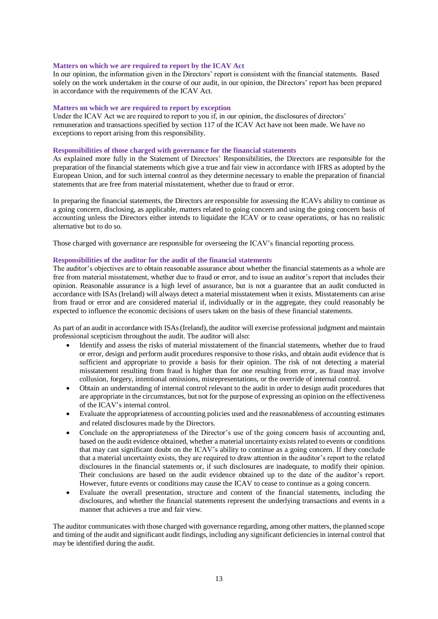### **Matters on which we are required to report by the ICAV Act**

In our opinion, the information given in the Directors' report is consistent with the financial statements. Based solely on the work undertaken in the course of our audit, in our opinion, the Directors' report has been prepared in accordance with the requirements of the ICAV Act.

## **Matters on which we are required to report by exception**

Under the ICAV Act we are required to report to you if, in our opinion, the disclosures of directors' remuneration and transactions specified by section 117 of the ICAV Act have not been made. We have no exceptions to report arising from this responsibility.

## **Responsibilities of those charged with governance for the financial statements**

As explained more fully in the Statement of Directors' Responsibilities, the Directors are responsible for the preparation of the financial statements which give a true and fair view in accordance with IFRS as adopted by the European Union, and for such internal control as they determine necessary to enable the preparation of financial statements that are free from material misstatement, whether due to fraud or error.

In preparing the financial statements, the Directors are responsible for assessing the ICAVs ability to continue as a going concern, disclosing, as applicable, matters related to going concern and using the going concern basis of accounting unless the Directors either intends to liquidate the ICAV or to cease operations, or has no realistic alternative but to do so.

Those charged with governance are responsible for overseeing the ICAV's financial reporting process.

## **Responsibilities of the auditor for the audit of the financial statements**

The auditor's objectives are to obtain reasonable assurance about whether the financial statements as a whole are free from material misstatement, whether due to fraud or error, and to issue an auditor's report that includes their opinion. Reasonable assurance is a high level of assurance, but is not a guarantee that an audit conducted in accordance with ISAs (Ireland) will always detect a material misstatement when it exists. Misstatements can arise from fraud or error and are considered material if, individually or in the aggregate, they could reasonably be expected to influence the economic decisions of users taken on the basis of these financial statements.

As part of an audit in accordance with ISAs (Ireland), the auditor will exercise professional judgment and maintain professional scepticism throughout the audit. The auditor will also:

- Identify and assess the risks of material misstatement of the financial statements, whether due to fraud or error, design and perform audit procedures responsive to those risks, and obtain audit evidence that is sufficient and appropriate to provide a basis for their opinion. The risk of not detecting a material misstatement resulting from fraud is higher than for one resulting from error, as fraud may involve collusion, forgery, intentional omissions, misrepresentations, or the override of internal control.
- Obtain an understanding of internal control relevant to the audit in order to design audit procedures that are appropriate in the circumstances, but not for the purpose of expressing an opinion on the effectiveness of the ICAV's internal control.
- Evaluate the appropriateness of accounting policies used and the reasonableness of accounting estimates and related disclosures made by the Directors.
- Conclude on the appropriateness of the Director's use of the going concern basis of accounting and, based on the audit evidence obtained, whether a material uncertainty exists related to events or conditions that may cast significant doubt on the ICAV's ability to continue as a going concern. If they conclude that a material uncertainty exists, they are required to draw attention in the auditor's report to the related disclosures in the financial statements or, if such disclosures are inadequate, to modify their opinion. Their conclusions are based on the audit evidence obtained up to the date of the auditor's report. However, future events or conditions may cause the ICAV to cease to continue as a going concern.
- Evaluate the overall presentation, structure and content of the financial statements, including the disclosures, and whether the financial statements represent the underlying transactions and events in a manner that achieves a true and fair view.

The auditor communicates with those charged with governance regarding, among other matters, the planned scope and timing of the audit and significant audit findings, including any significant deficiencies in internal control that may be identified during the audit.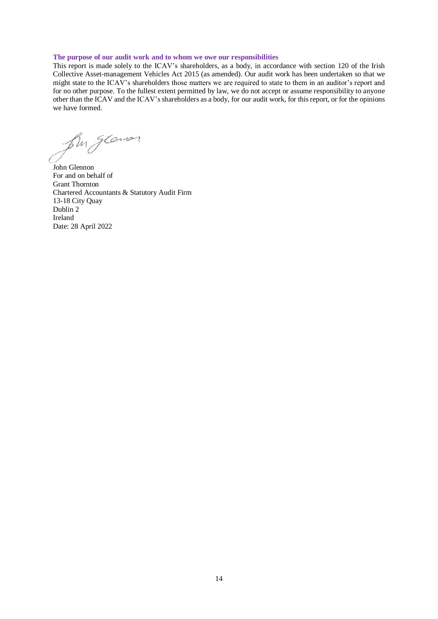#### **The purpose of our audit work and to whom we owe our responsibilities**

This report is made solely to the ICAV's shareholders, as a body, in accordance with section 120 of the Irish Collective Asset-management Vehicles Act 2015 (as amended). Our audit work has been undertaken so that we might state to the ICAV's shareholders those matters we are required to state to them in an auditor's report and for no other purpose. To the fullest extent permitted by law, we do not accept or assume responsibility to anyone other than the ICAV and the ICAV's shareholders as a body, for our audit work, for this report, or for the opinions we have formed.

four glann

John Glennon For and on behalf of Grant Thornton Chartered Accountants & Statutory Audit Firm 13-18 City Quay Dublin 2 Ireland Date: 28 April 2022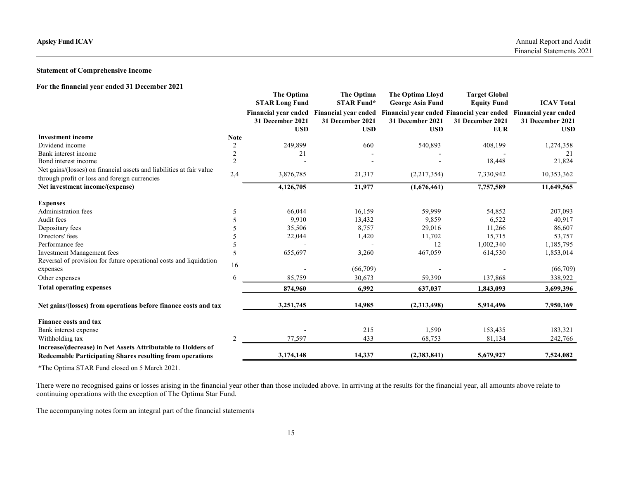# Statement of Comprehensive Income

| For the financial year ended 31 December 2021 |  |
|-----------------------------------------------|--|
|-----------------------------------------------|--|

| <b>Apsley Fund ICAV</b>                                                                                               |                       |                                                                       |                                                                                                                |                                                                               |                                                                                                                           | Annual Report and Audit<br>Financial Statements 2021                               |
|-----------------------------------------------------------------------------------------------------------------------|-----------------------|-----------------------------------------------------------------------|----------------------------------------------------------------------------------------------------------------|-------------------------------------------------------------------------------|---------------------------------------------------------------------------------------------------------------------------|------------------------------------------------------------------------------------|
| <b>Statement of Comprehensive Income</b>                                                                              |                       |                                                                       |                                                                                                                |                                                                               |                                                                                                                           |                                                                                    |
| For the financial year ended 31 December 2021                                                                         |                       | The Optima<br><b>STAR Long Fund</b><br>31 December 2021<br><b>USD</b> | The Optima<br><b>STAR Fund*</b><br>Financial year ended Financial year ended<br>31 December 2021<br><b>USD</b> | The Optima Lloyd<br><b>George Asia Fund</b><br>31 December 2021<br><b>USD</b> | <b>Target Global</b><br><b>Equity Fund</b><br>Financial year ended Financial year ended<br>31 December 2021<br><b>EUR</b> | <b>ICAV Total</b><br><b>Financial year ended</b><br>31 December 2021<br><b>USD</b> |
| <b>Investment</b> income                                                                                              | <b>Note</b>           |                                                                       |                                                                                                                |                                                                               |                                                                                                                           |                                                                                    |
| Dividend income<br>Bank interest income                                                                               | 2<br>2                | 249,899<br>21                                                         | 660<br>$\overline{\phantom{a}}$                                                                                | 540,893                                                                       | 408,199                                                                                                                   | 1,274,358<br>21                                                                    |
| Bond interest income                                                                                                  | 2                     |                                                                       | $\overline{\phantom{a}}$                                                                                       | $\overline{\phantom{a}}$                                                      | 18,448                                                                                                                    | 21,824                                                                             |
| Net gains/(losses) on financial assets and liabilities at fair value<br>through profit or loss and foreign currencies | 2,4                   | 3,876,785                                                             | 21,317                                                                                                         | (2,217,354)                                                                   | 7,330,942                                                                                                                 | 10,353,362                                                                         |
| Net investment income/(expense)                                                                                       |                       | 4,126,705                                                             | 21,977                                                                                                         | (1,676,461)                                                                   | 7,757,589                                                                                                                 | 11,649,565                                                                         |
| <b>Expenses</b>                                                                                                       |                       |                                                                       |                                                                                                                |                                                                               |                                                                                                                           |                                                                                    |
| <b>Administration</b> fees                                                                                            | $\overline{5}$        | 66,044                                                                | 16,159                                                                                                         | 59,999                                                                        | 54,852                                                                                                                    | 207,093                                                                            |
| Audit fees                                                                                                            |                       | 9,910                                                                 | 13,432                                                                                                         | 9,859                                                                         | 6,522                                                                                                                     | 40,917                                                                             |
| Depositary fees                                                                                                       | .5                    | 35,506                                                                | 8,757                                                                                                          | 29,016                                                                        | 11,266                                                                                                                    | 86,607                                                                             |
| Directors' fees                                                                                                       |                       | 22,044                                                                | 1,420                                                                                                          | 11,702                                                                        | 15,715                                                                                                                    | 53,757                                                                             |
| Performance fee                                                                                                       | $\tilde{\mathcal{L}}$ | $\overline{\phantom{a}}$                                              | $\overline{\phantom{a}}$                                                                                       | 12                                                                            | 1,002,340                                                                                                                 | 1,185,795                                                                          |
| <b>Investment Management fees</b><br>Reversal of provision for future operational costs and liquidation               | 5                     | 655,697                                                               | 3,260                                                                                                          | 467,059                                                                       | 614,530                                                                                                                   | 1,853,014                                                                          |
| expenses                                                                                                              | 16                    |                                                                       | (66,709)                                                                                                       |                                                                               |                                                                                                                           | (66, 709)                                                                          |
| Other expenses                                                                                                        | 6                     | 85,759                                                                | 30,673                                                                                                         | 59,390                                                                        | 137,868                                                                                                                   | 338,922                                                                            |
| <b>Total operating expenses</b>                                                                                       |                       | 874,960                                                               | 6,992                                                                                                          | 637,037                                                                       | 1,843,093                                                                                                                 | 3,699,396                                                                          |
|                                                                                                                       |                       |                                                                       |                                                                                                                |                                                                               |                                                                                                                           |                                                                                    |
| Net gains/(losses) from operations before finance costs and tax                                                       |                       | 3,251,745                                                             | 14,985                                                                                                         | (2,313,498)                                                                   | 5,914,496                                                                                                                 | 7,950,169                                                                          |
| Finance costs and tax                                                                                                 |                       |                                                                       |                                                                                                                |                                                                               |                                                                                                                           |                                                                                    |
| Bank interest expense                                                                                                 |                       |                                                                       | 215                                                                                                            | 1,590                                                                         | 153,435                                                                                                                   | 183,321                                                                            |
| Withholding tax                                                                                                       | 2                     | 77,597                                                                | 433                                                                                                            | 68,753                                                                        | 81,134                                                                                                                    | 242,766                                                                            |
| Increase/(decrease) in Net Assets Attributable to Holders of                                                          |                       | 3,174,148                                                             | 14,337                                                                                                         | (2,383,841)                                                                   | 5,679,927                                                                                                                 | 7,524,082                                                                          |
| Redeemable Participating Shares resulting from operations                                                             |                       |                                                                       |                                                                                                                |                                                                               |                                                                                                                           |                                                                                    |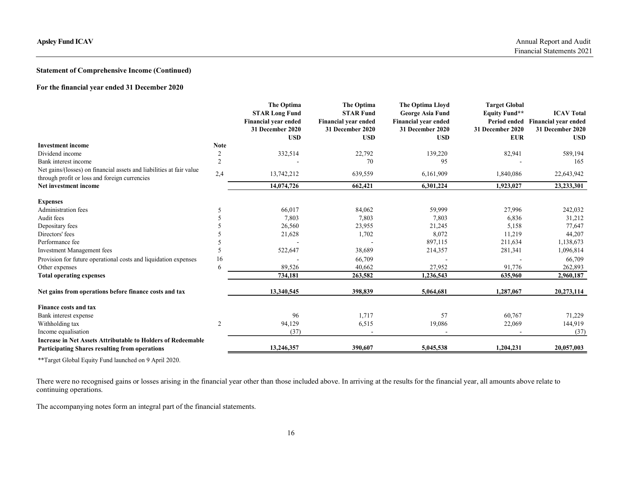# Statement of Comprehensive Income (Continued)

## For the financial year ended 31 December 2020

| <b>Apsley Fund ICAV</b>                                                |                               |                                                                                                      |                                                                                                 |                                                                                                       |                                                                                | Annual Report and Audit<br>Financial Statements 2021                                     |
|------------------------------------------------------------------------|-------------------------------|------------------------------------------------------------------------------------------------------|-------------------------------------------------------------------------------------------------|-------------------------------------------------------------------------------------------------------|--------------------------------------------------------------------------------|------------------------------------------------------------------------------------------|
| <b>Statement of Comprehensive Income (Continued)</b>                   |                               |                                                                                                      |                                                                                                 |                                                                                                       |                                                                                |                                                                                          |
| For the financial year ended 31 December 2020                          |                               |                                                                                                      |                                                                                                 |                                                                                                       |                                                                                |                                                                                          |
|                                                                        |                               | The Optima<br><b>STAR Long Fund</b><br><b>Financial year ended</b><br>31 December 2020<br><b>USD</b> | The Optima<br><b>STAR Fund</b><br><b>Financial year ended</b><br>31 December 2020<br><b>USD</b> | The Optima Lloyd<br><b>George Asia Fund</b><br>Financial year ended<br>31 December 2020<br><b>USD</b> | <b>Target Global</b><br><b>Equity Fund**</b><br>31 December 2020<br><b>EUR</b> | <b>ICAV Total</b><br>Period ended Financial year ended<br>31 December 2020<br><b>USD</b> |
| <b>Investment</b> income<br>Dividend income                            | <b>Note</b><br>$\overline{c}$ | 332,514                                                                                              | 22,792                                                                                          | 139,220                                                                                               | 82,941                                                                         | 589,194                                                                                  |
| Bank interest income                                                   | 2                             | $\overline{\phantom{a}}$                                                                             | 70                                                                                              | 95                                                                                                    | $\overline{\phantom{a}}$                                                       | 165                                                                                      |
| Net gains/(losses) on financial assets and liabilities at fair value   | 2,4                           | 13,742,212                                                                                           | 639,559                                                                                         | 6,161,909                                                                                             | 1,840,086                                                                      | 22,643,942                                                                               |
| through profit or loss and foreign currencies<br>Net investment income |                               | 14,074,726                                                                                           | 662,421                                                                                         | 6,301,224                                                                                             | 1,923,027                                                                      | 23,233,301                                                                               |
| <b>Expenses</b>                                                        |                               |                                                                                                      |                                                                                                 |                                                                                                       |                                                                                |                                                                                          |
| Administration fees                                                    | -5                            | 66,017                                                                                               | 84,062                                                                                          | 59,999                                                                                                | 27,996                                                                         | 242,032                                                                                  |
| Audit fees                                                             | $\overline{\mathcal{L}}$      | 7,803                                                                                                | 7,803                                                                                           | 7,803                                                                                                 | 6,836                                                                          | 31,212                                                                                   |
| Depositary fees                                                        | $\sim$                        | 26,560                                                                                               | 23,955                                                                                          | 21,245                                                                                                | 5,158                                                                          | 77,647                                                                                   |
| Directors' fees                                                        | $\sim$                        | 21,628                                                                                               | 1,702                                                                                           | 8,072                                                                                                 | 11,219                                                                         | 44,207                                                                                   |
| Performance fee                                                        |                               |                                                                                                      |                                                                                                 | 897,115                                                                                               | 211,634                                                                        | 1,138,673                                                                                |
| Investment Management fees                                             | -5                            | 522,647                                                                                              | 38,689                                                                                          | 214,357                                                                                               | 281,341                                                                        | 1,096,814                                                                                |
| Provision for future operational costs and liquidation expenses        | 16                            |                                                                                                      | 66,709                                                                                          |                                                                                                       |                                                                                | 66,709                                                                                   |
| Other expenses                                                         | 6                             | 89,526                                                                                               | 40,662                                                                                          | 27,952                                                                                                | 91,776                                                                         | 262,893                                                                                  |
| <b>Total operating expenses</b>                                        |                               | 734,181                                                                                              | 263,582                                                                                         | 1,236,543                                                                                             | 635,960                                                                        | 2,960,187                                                                                |
| Net gains from operations before finance costs and tax                 |                               | 13,340,545                                                                                           | 398,839                                                                                         | 5,064,681                                                                                             | 1,287,067                                                                      | 20,273,114                                                                               |
| Finance costs and tax                                                  |                               |                                                                                                      |                                                                                                 |                                                                                                       |                                                                                |                                                                                          |
| Bank interest expense                                                  |                               | 96                                                                                                   | 1,717                                                                                           | 57                                                                                                    | 60,767                                                                         | 71,229                                                                                   |
| Withholding tax                                                        | 2                             | 94,129                                                                                               | 6,515                                                                                           | 19,086                                                                                                | 22,069                                                                         | 144,919                                                                                  |
| Income equalisation                                                    |                               | (37)                                                                                                 | $\overline{\phantom{a}}$                                                                        |                                                                                                       | $\sim$                                                                         | (37)                                                                                     |
| Increase in Net Assets Attributable to Holders of Redeemable           |                               | 13,246,357                                                                                           | 390,607                                                                                         |                                                                                                       |                                                                                |                                                                                          |
| Participating Shares resulting from operations                         |                               |                                                                                                      |                                                                                                 | 5,045,538                                                                                             | 1,204,231                                                                      | 20,057,003                                                                               |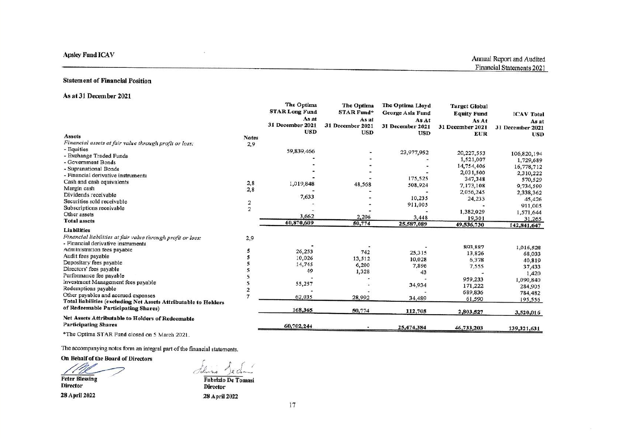# **Statement of Financial Position**

## As at 31 December 2021

|                                                                                                                                                                                                 |                | The Optima<br><b>STAR Long Fund</b><br>As at<br>31 December 2021<br><b>USD</b> | The Optima<br><b>STAR Fund*</b><br>As at<br>31 December 2021<br><b>USD</b> | The Optima Lloyd<br>George Asia Fund<br>As At<br>31 December 2021<br><b>USD</b> | <b>Target Global</b><br><b>Equity Fund</b><br>As At<br>31 December 2021 | <b>ICAV Total</b><br>As at<br>31 December 2021 |
|-------------------------------------------------------------------------------------------------------------------------------------------------------------------------------------------------|----------------|--------------------------------------------------------------------------------|----------------------------------------------------------------------------|---------------------------------------------------------------------------------|-------------------------------------------------------------------------|------------------------------------------------|
| <b>Assets</b>                                                                                                                                                                                   | <b>Notes</b>   |                                                                                |                                                                            |                                                                                 | <b>EUR</b>                                                              | <b>USD</b>                                     |
| Financial assets at fair value through profit or loss:                                                                                                                                          | 2,9            |                                                                                |                                                                            |                                                                                 |                                                                         |                                                |
| - Equities                                                                                                                                                                                      |                | 59,839,466                                                                     |                                                                            | 23,977,952                                                                      | 20,227,553                                                              |                                                |
| - Exchange Traded Funds                                                                                                                                                                         |                |                                                                                |                                                                            |                                                                                 |                                                                         | 106,820,194                                    |
| - Government Bonds                                                                                                                                                                              |                |                                                                                |                                                                            |                                                                                 | 1,521,007                                                               | 1,729,689                                      |
| - Supranational Bonds                                                                                                                                                                           |                |                                                                                |                                                                            | ٠                                                                               | 14,754,406                                                              | 16,778,712                                     |
| - Financial derivative instruments                                                                                                                                                              |                |                                                                                |                                                                            |                                                                                 | 2,031,500                                                               | 2,310,222                                      |
| Cash and cash equivalents                                                                                                                                                                       | 2,8            | 1,019,848                                                                      | 48,568                                                                     | 175,525                                                                         | 347,348                                                                 | 570,529                                        |
| Margin cash                                                                                                                                                                                     | 2,8            |                                                                                |                                                                            | 508,924                                                                         | 7,173,108                                                               | 9,734,599                                      |
| Dividends receivable                                                                                                                                                                            |                | 7,633                                                                          |                                                                            |                                                                                 | 2,056,245                                                               | 2,338,362                                      |
| Securities sold receivable                                                                                                                                                                      | 2              |                                                                                |                                                                            | 10,235                                                                          | 24,233                                                                  | 45,426                                         |
| Subscriptions receivable                                                                                                                                                                        | $\overline{2}$ |                                                                                |                                                                            | 911,005                                                                         |                                                                         | 911,005                                        |
| Other assets                                                                                                                                                                                    |                |                                                                                |                                                                            |                                                                                 | 1,382,029                                                               | 1,571,644                                      |
| <b>Total assets</b>                                                                                                                                                                             |                | 3,662                                                                          | 2,206                                                                      | 3,448                                                                           | 19,301                                                                  | 31,265                                         |
|                                                                                                                                                                                                 |                | 60,870,609                                                                     | 50,774                                                                     | 25,587,089                                                                      | 49,536,730                                                              | 142,841,647                                    |
| <b>Liabilities</b>                                                                                                                                                                              |                |                                                                                |                                                                            |                                                                                 |                                                                         |                                                |
| Financial liabilities at fair value through profit or loss:<br>- Financial derivative instruments                                                                                               | 2,9            |                                                                                |                                                                            |                                                                                 |                                                                         |                                                |
| Administration fees payable                                                                                                                                                                     |                | 26,253                                                                         | 742                                                                        |                                                                                 | 893,887                                                                 | 1,016,528                                      |
| Audit fees payable                                                                                                                                                                              |                | 10,026                                                                         | 13,512                                                                     | 25,315                                                                          | 13,826                                                                  | 68,033                                         |
| Depositary fees payable                                                                                                                                                                         |                | 14,745                                                                         |                                                                            | 10,028                                                                          | 6,378                                                                   | 40,819                                         |
| Directors' fees payable                                                                                                                                                                         |                | 49                                                                             | 6,200                                                                      | 7,896                                                                           | 7,555                                                                   | 37,433                                         |
| Performance fee payable                                                                                                                                                                         |                |                                                                                | 1,328                                                                      | 43                                                                              |                                                                         | 1,420                                          |
| Investment Management fees payable                                                                                                                                                              |                |                                                                                |                                                                            |                                                                                 | 959,233                                                                 | 1,090,840                                      |
| Redemptions payable                                                                                                                                                                             | 2              | 55,257                                                                         |                                                                            | 34,934                                                                          | 171,222                                                                 | 284,905                                        |
| Other payables and accrued expenses                                                                                                                                                             | $\overline{7}$ |                                                                                |                                                                            |                                                                                 | 689,836                                                                 | 784,482                                        |
| Total liabilities (excluding Net Assets Attributable to Holders                                                                                                                                 |                | 62,035                                                                         | 28,992                                                                     | 34,489                                                                          | 61,590                                                                  | 195,556                                        |
| of Redeemable Participating Shares)                                                                                                                                                             |                | 168,365                                                                        | 50,774                                                                     | 112,705                                                                         | 2,803,527                                                               | 3,520,016                                      |
| Net Assets Attributable to Holders of Redeemable<br><b>Participating Shares</b>                                                                                                                 |                | 60,702,244                                                                     |                                                                            | 25,474,384                                                                      | 46,733,203                                                              | 139,321,631                                    |
| $\mathbf{A}^{\text{m}}$ and $\mathbf{A}^{\text{m}}$ and $\mathbf{A}^{\text{m}}$ and $\mathbf{A}^{\text{m}}$ and $\mathbf{A}^{\text{m}}$ and $\mathbf{A}^{\text{m}}$ and $\mathbf{A}^{\text{m}}$ |                |                                                                                |                                                                            |                                                                                 |                                                                         |                                                |

\*The Optima STAR Fund closed on 5 March 2021.

The accompanying notes form an integral part of the financial statements.

On Behalf of the Board of Directors

**Peter Blessing Director** 28 April 2022

Salvino Je Chan Fabrizio De Tomasi

-40

**Director** 28 April 2022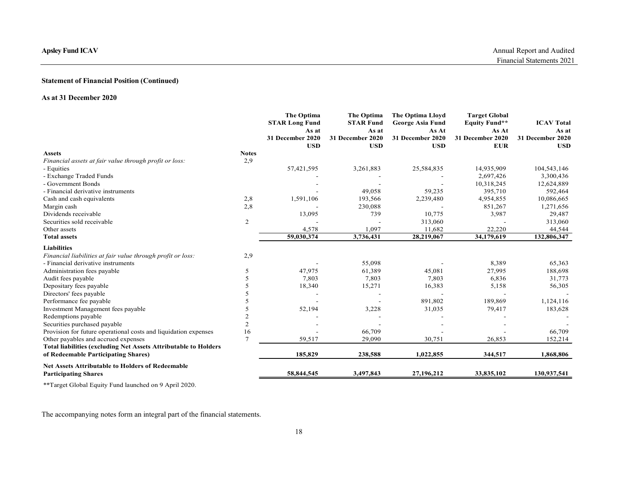# Statement of Financial Position (Continued)

## As at 31 December 2020

| <b>Apsley Fund ICAV</b>                                                                                |                          |                                              |                                         |                                                      |                                                       | Annual Report and Audited<br>Financial Statements 2021 |
|--------------------------------------------------------------------------------------------------------|--------------------------|----------------------------------------------|-----------------------------------------|------------------------------------------------------|-------------------------------------------------------|--------------------------------------------------------|
|                                                                                                        |                          |                                              |                                         |                                                      |                                                       |                                                        |
| <b>Statement of Financial Position (Continued)</b>                                                     |                          |                                              |                                         |                                                      |                                                       |                                                        |
| As at 31 December 2020                                                                                 |                          |                                              |                                         |                                                      |                                                       |                                                        |
|                                                                                                        |                          | The Optima<br><b>STAR Long Fund</b><br>As at | The Optima<br><b>STAR Fund</b><br>As at | The Optima Lloyd<br><b>George Asia Fund</b><br>As At | <b>Target Global</b><br><b>Equity Fund**</b><br>As At | <b>ICAV Total</b><br>As at                             |
|                                                                                                        |                          | 31 December 2020                             | 31 December 2020                        | 31 December 2020                                     | 31 December 2020                                      | 31 December 2020                                       |
| Assets                                                                                                 | <b>Notes</b>             | <b>USD</b>                                   | <b>USD</b>                              | <b>USD</b>                                           | EUR                                                   | <b>USD</b>                                             |
| Financial assets at fair value through profit or loss:<br>- Equities                                   | 2,9                      | 57,421,595                                   | 3,261,883                               | 25,584,835                                           | 14,935,909                                            | 104,543,146                                            |
| - Exchange Traded Funds                                                                                |                          |                                              | $\overline{\phantom{a}}$                | $\sim$                                               | 2,697,426                                             | 3,300,436                                              |
| - Government Bonds                                                                                     |                          |                                              |                                         |                                                      | 10,318,245                                            | 12,624,889                                             |
| - Financial derivative instruments                                                                     | 2,8                      | 1,591,106                                    | 49,058<br>193,566                       | 59,235<br>2,239,480                                  | 395,710<br>4,954,855                                  | 592,464<br>10,086,665                                  |
| Cash and cash equivalents<br>Margin cash                                                               | 2,8                      |                                              | 230,088                                 |                                                      | 851,267                                               | 1,271,656                                              |
| Dividends receivable                                                                                   |                          | 13,095                                       | 739                                     | 10,775                                               | 3,987                                                 | 29,487                                                 |
| Securities sold receivable<br>Other assets                                                             | 2                        | 4,578                                        |                                         | 313,060                                              |                                                       | 313,060                                                |
| <b>Total assets</b>                                                                                    |                          | 59,030,374                                   | 1,097<br>3,736,431                      | 11,682<br>28,219,067                                 | 22,220<br>34,179,619                                  | 44,544<br>132,806,347                                  |
| <b>Liabilities</b>                                                                                     |                          |                                              |                                         |                                                      |                                                       |                                                        |
| Financial liabilities at fair value through profit or loss:                                            | 2,9                      |                                              |                                         |                                                      |                                                       |                                                        |
| - Financial derivative instruments                                                                     |                          |                                              | 55,098                                  |                                                      | 8,389                                                 | 65,363                                                 |
| Administration fees payable<br>Audit fees payable                                                      | 5<br>5                   | 47,975<br>7,803                              | 61,389<br>7,803                         | 45,081<br>7,803                                      | 27,995<br>6,836                                       | 188,698<br>31,773                                      |
| Depositary fees payable                                                                                |                          | 18,340                                       | 15,271                                  | 16,383                                               | 5,158                                                 | 56,305                                                 |
| Directors' fees payable                                                                                | $\overline{\phantom{0}}$ |                                              | $\overline{\phantom{a}}$                |                                                      |                                                       |                                                        |
| Performance fee payable                                                                                | .5                       |                                              | $\overline{\phantom{a}}$                | 891,802                                              | 189,869                                               | 1,124,116                                              |
| Investment Management fees payable<br>Redemptions payable                                              |                          | 52,194                                       | 3,228                                   | 31,035                                               | 79,417                                                | 183,628                                                |
| Securities purchased payable                                                                           | $\overline{2}$           |                                              | $\overline{\phantom{a}}$                | $\overline{\phantom{a}}$                             |                                                       |                                                        |
| Provision for future operational costs and liquidation expenses                                        | 16                       |                                              | 66,709                                  | $\overline{\phantom{a}}$                             |                                                       | 66,709                                                 |
| Other payables and accrued expenses<br>Total liabilities (excluding Net Assets Attributable to Holders | $7\phantom{.0}$          | 59,517                                       | 29,090                                  | 30,751                                               | 26,853                                                | 152,214                                                |
| of Redeemable Participating Shares)                                                                    |                          | 185,829                                      | 238,588                                 | 1,022,855                                            | 344,517                                               | 1,868,806                                              |
| Net Assets Attributable to Holders of Redeemable<br><b>Participating Shares</b>                        |                          | 58,844,545                                   | 3,497,843                               | 27,196,212                                           | 33,835,102                                            | 130,937,541                                            |
|                                                                                                        |                          |                                              |                                         |                                                      |                                                       |                                                        |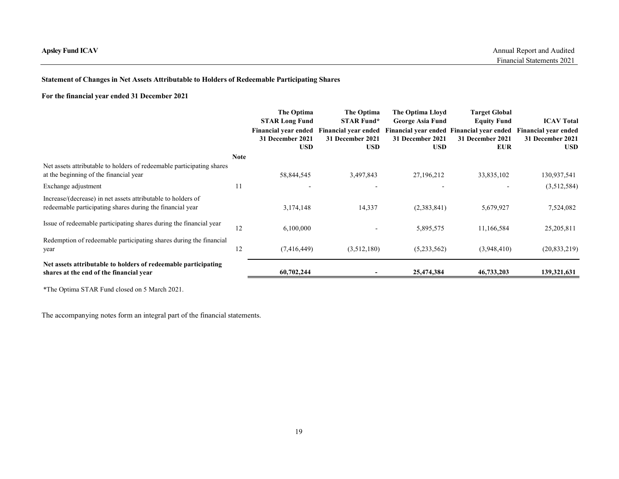# Statement of Changes in Net Assets Attributable to Holders of Redeemable Participating Shares

# For the financial year ended 31 December 2021

| <b>Apsley Fund ICAV</b>                                                                                                   |             |                                                                             |                                 |                                                                                                  |                                            |                                |
|---------------------------------------------------------------------------------------------------------------------------|-------------|-----------------------------------------------------------------------------|---------------------------------|--------------------------------------------------------------------------------------------------|--------------------------------------------|--------------------------------|
|                                                                                                                           |             |                                                                             |                                 |                                                                                                  |                                            |                                |
|                                                                                                                           |             |                                                                             |                                 |                                                                                                  |                                            |                                |
|                                                                                                                           |             |                                                                             |                                 |                                                                                                  |                                            | Annual Report and Audited      |
|                                                                                                                           |             |                                                                             |                                 |                                                                                                  |                                            | Financial Statements 2021      |
| <b>Statement of Changes in Net Assets Attributable to Holders of Redeemable Participating Shares</b>                      |             |                                                                             |                                 |                                                                                                  |                                            |                                |
| For the financial year ended 31 December 2021                                                                             |             |                                                                             |                                 |                                                                                                  |                                            |                                |
|                                                                                                                           |             | The Optima<br><b>STAR Long Fund</b>                                         | The Optima<br><b>STAR Fund*</b> | The Optima Lloyd<br><b>George Asia Fund</b>                                                      | <b>Target Global</b><br><b>Equity Fund</b> | <b>ICAV Total</b>              |
|                                                                                                                           |             | Financial year ended Financial year ended<br>31 December 2021<br><b>USD</b> | 31 December 2021<br><b>USD</b>  | Financial year ended Financial year ended Financial year ended<br>31 December 2021<br><b>USD</b> | 31 December 2021<br><b>EUR</b>             | 31 December 2021<br><b>USD</b> |
|                                                                                                                           | <b>Note</b> |                                                                             |                                 |                                                                                                  |                                            |                                |
| Net assets attributable to holders of redeemable participating shares<br>at the beginning of the financial year           |             | 58,844,545                                                                  | 3,497,843                       | 27,196,212                                                                                       | 33,835,102                                 | 130,937,541                    |
| Exchange adjustment                                                                                                       | 11          | $\sim$                                                                      | $\overline{\phantom{0}}$        |                                                                                                  | $\overline{\phantom{a}}$                   | (3,512,584)                    |
| Increase/(decrease) in net assets attributable to holders of<br>redeemable participating shares during the financial year |             | 3,174,148                                                                   | 14,337                          | (2,383,841)                                                                                      | 5,679,927                                  | 7,524,082                      |
|                                                                                                                           |             | 6,100,000                                                                   |                                 | 5,895,575                                                                                        | 11,166,584                                 | 25, 205, 811                   |
| Issue of redeemable participating shares during the financial year                                                        | 12          |                                                                             |                                 |                                                                                                  |                                            |                                |
| Redemption of redeemable participating shares during the financial<br>year                                                | 12          | (7,416,449)                                                                 | (3,512,180)                     | (5,233,562)                                                                                      | (3,948,410)                                | (20, 833, 219)                 |
| Net assets attributable to holders of redeemable participating<br>shares at the end of the financial year                 |             | 60,702,244                                                                  |                                 | 25,474,384                                                                                       | 46,733,203                                 | 139,321,631                    |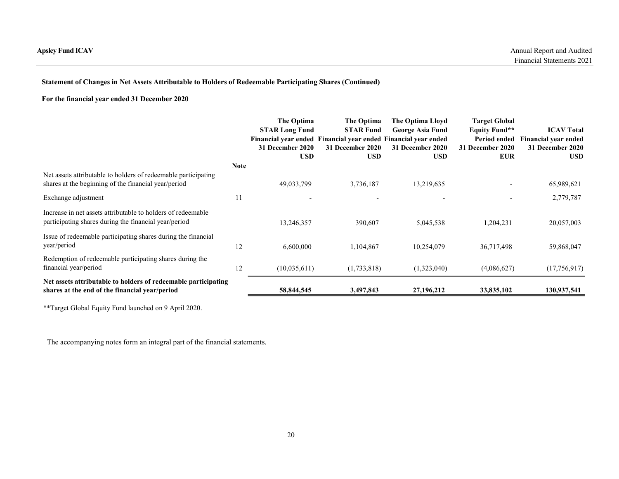# Statement of Changes in Net Assets Attributable to Holders of Redeemable Participating Shares (Continued)

| psley Fund ICAV                                                                                                                                            |             |                                                         |                                                                                                                      |                                                                 |                                                                  | Annual Report and Audited                                                  |
|------------------------------------------------------------------------------------------------------------------------------------------------------------|-------------|---------------------------------------------------------|----------------------------------------------------------------------------------------------------------------------|-----------------------------------------------------------------|------------------------------------------------------------------|----------------------------------------------------------------------------|
|                                                                                                                                                            |             |                                                         |                                                                                                                      |                                                                 |                                                                  | Financial Statements 2021                                                  |
| Statement of Changes in Net Assets Attributable to Holders of Redeemable Participating Shares (Continued)<br>For the financial year ended 31 December 2020 |             |                                                         |                                                                                                                      |                                                                 |                                                                  |                                                                            |
|                                                                                                                                                            |             |                                                         |                                                                                                                      |                                                                 |                                                                  |                                                                            |
|                                                                                                                                                            |             | The Optima<br><b>STAR Long Fund</b><br>31 December 2020 | The Optima<br><b>STAR Fund</b><br>Financial year ended Financial year ended Financial year ended<br>31 December 2020 | The Optima Lloyd<br><b>George Asia Fund</b><br>31 December 2020 | <b>Target Global</b><br><b>Equity Fund**</b><br>31 December 2020 | <b>ICAV Total</b><br>Period ended Financial year ended<br>31 December 2020 |
|                                                                                                                                                            | <b>Note</b> | <b>USD</b>                                              | <b>USD</b>                                                                                                           | <b>USD</b>                                                      | <b>EUR</b>                                                       | <b>USD</b>                                                                 |
| Net assets attributable to holders of redeemable participating<br>shares at the beginning of the financial year/period                                     |             | 49,033,799                                              | 3,736,187                                                                                                            | 13,219,635                                                      |                                                                  | 65,989,621                                                                 |
| Exchange adjustment                                                                                                                                        | 11          |                                                         | $\overline{\phantom{a}}$                                                                                             | $\overline{\phantom{a}}$                                        |                                                                  | 2,779,787                                                                  |
| Increase in net assets attributable to holders of redeemable<br>participating shares during the financial year/period                                      |             | 13,246,357                                              | 390,607                                                                                                              | 5,045,538                                                       | 1,204,231                                                        | 20,057,003                                                                 |
| Issue of redeemable participating shares during the financial                                                                                              |             | 6,600,000                                               | 1,104,867                                                                                                            | 10,254,079                                                      | 36,717,498                                                       | 59,868,047                                                                 |
| year/period                                                                                                                                                | 12          |                                                         |                                                                                                                      |                                                                 |                                                                  |                                                                            |
| Redemption of redeemable participating shares during the<br>financial year/period                                                                          | 12          | (10,035,611)                                            | (1,733,818)                                                                                                          | (1,323,040)                                                     | (4,086,627)                                                      | (17,756,917)                                                               |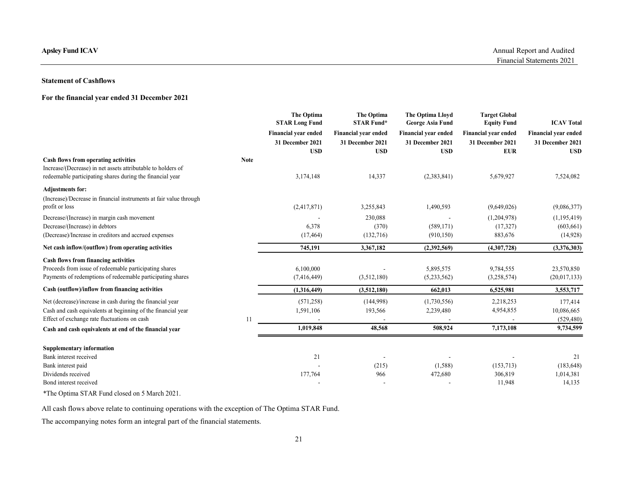# Statement of Cashflows

# For the financial year ended 31 December 2021

| <b>Apsley Fund ICAV</b>                                                                                                                                                   |      |                                                                                 |                                                                                            |                                                                                   |                                                                              | Annual Report and Audited                                                   |
|---------------------------------------------------------------------------------------------------------------------------------------------------------------------------|------|---------------------------------------------------------------------------------|--------------------------------------------------------------------------------------------|-----------------------------------------------------------------------------------|------------------------------------------------------------------------------|-----------------------------------------------------------------------------|
|                                                                                                                                                                           |      |                                                                                 |                                                                                            |                                                                                   |                                                                              | Financial Statements 2021                                                   |
| <b>Statement of Cashflows</b>                                                                                                                                             |      |                                                                                 |                                                                                            |                                                                                   |                                                                              |                                                                             |
| For the financial year ended 31 December 2021                                                                                                                             |      |                                                                                 |                                                                                            |                                                                                   |                                                                              |                                                                             |
|                                                                                                                                                                           |      | The Optima                                                                      | The Optima                                                                                 | The Optima Lloyd                                                                  | <b>Target Global</b>                                                         |                                                                             |
|                                                                                                                                                                           |      | <b>STAR Long Fund</b><br>Financial year ended<br>31 December 2021<br><b>USD</b> | <b>STAR Fund*</b><br>Financial year ended<br>31 December 2021<br>$\boldsymbol{\text{USD}}$ | <b>George Asia Fund</b><br>Financial year ended<br>31 December 2021<br><b>USD</b> | <b>Equity Fund</b><br>Financial year ended<br>31 December 2021<br><b>EUR</b> | <b>ICAV Total</b><br>Financial year ended<br>31 December 2021<br><b>USD</b> |
| Cash flows from operating activities<br>Increase/(Decrease) in net assets attributable to holders of<br>redeemable participating shares during the financial year         | Note | 3,174,148                                                                       | 14,337                                                                                     | (2,383,841)                                                                       | 5,679,927                                                                    | 7,524,082                                                                   |
| <b>Adjustments for:</b><br>(Increase)/Decrease in financial instruments at fair value through<br>profit or loss                                                           |      | (2,417,871)                                                                     | 3,255,843                                                                                  | 1,490,593                                                                         | (9,649,026)                                                                  | (9,086,377)                                                                 |
| Decrease/(Increase) in margin cash movement<br>Decrease/(Increase) in debtors                                                                                             |      | $\overline{\phantom{a}}$<br>6,378                                               | 230,088<br>(370)                                                                           | $\sim$<br>(589, 171)                                                              | (1,204,978)<br>(17, 327)                                                     | (1,195,419)<br>(603, 661)                                                   |
| (Decrease)/Increase in creditors and accrued expenses                                                                                                                     |      | (17, 464)                                                                       | (132,716)                                                                                  | (910, 150)                                                                        | 883,676                                                                      | (14, 928)                                                                   |
| Net cash inflow/(outflow) from operating activities                                                                                                                       |      | 745,191                                                                         | 3,367,182                                                                                  | (2,392,569)                                                                       | (4,307,728)                                                                  | (3,376,303)                                                                 |
| Cash flows from financing activities<br>Proceeds from issue of redeemable participating shares<br>Payments of redemptions of redeemable participating shares              |      | 6,100,000<br>(7,416,449)                                                        | (3,512,180)                                                                                | 5,895,575<br>(5,233,562)                                                          | 9,784,555<br>(3,258,574)                                                     | 23,570,850<br>(20,017,133)                                                  |
| Cash (outflow)/inflow from financing activities                                                                                                                           |      | (1,316,449)                                                                     | (3,512,180)                                                                                | 662,013                                                                           | 6,525,981                                                                    | 3,553,717                                                                   |
| Net (decrease)/increase in cash during the financial year<br>Cash and cash equivalents at beginning of the financial year<br>Effect of exchange rate fluctuations on cash | 11   | (571, 258)<br>1,591,106                                                         | (144,998)<br>193,566                                                                       | (1,730,556)<br>2,239,480                                                          | 2,218,253<br>4,954,855                                                       | 177,414<br>10,086,665<br>(529, 480)                                         |
| Cash and cash equivalents at end of the financial year                                                                                                                    |      | 1,019,848                                                                       | 48,568                                                                                     | 508,924                                                                           | 7,173,108                                                                    | 9,734,599                                                                   |
| <b>Supplementary information</b>                                                                                                                                          |      |                                                                                 |                                                                                            |                                                                                   |                                                                              |                                                                             |
| Bank interest received<br>Bank interest paid<br>Dividends received                                                                                                        |      | 21<br>177,764                                                                   | $\sim$<br>(215)<br>966                                                                     | $\overline{\phantom{a}}$<br>(1,588)<br>472,680                                    | $\overline{\phantom{a}}$<br>(153, 713)<br>306,819                            | 21<br>(183, 648)<br>1,014,381                                               |
| Bond interest received                                                                                                                                                    |      |                                                                                 | $\overline{\phantom{a}}$                                                                   | $\overline{\phantom{a}}$                                                          | 11,948                                                                       | 14,135                                                                      |
| *The Optima STAR Fund closed on 5 March 2021.                                                                                                                             |      |                                                                                 |                                                                                            |                                                                                   |                                                                              |                                                                             |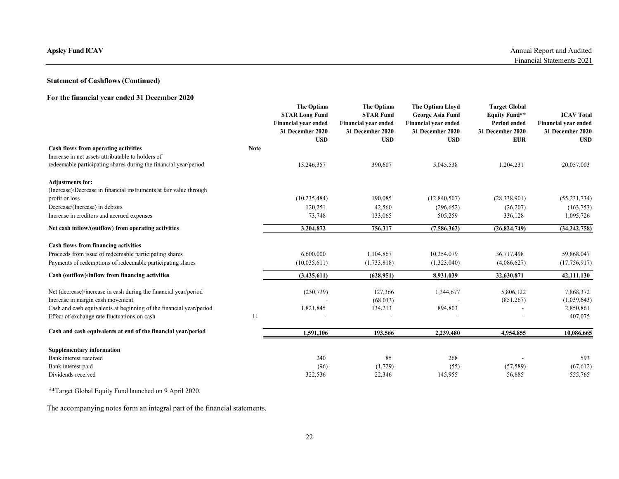# Statement of Cashflows (Continued)

# For the financial year ended 31 December 2020

| <b>Apsley Fund ICAV</b>                                                                                               |             |                                                                                        |                                                                                   |                                                                                         |                                                                                  |                                                               |
|-----------------------------------------------------------------------------------------------------------------------|-------------|----------------------------------------------------------------------------------------|-----------------------------------------------------------------------------------|-----------------------------------------------------------------------------------------|----------------------------------------------------------------------------------|---------------------------------------------------------------|
|                                                                                                                       |             |                                                                                        |                                                                                   |                                                                                         |                                                                                  | Annual Report and Audited<br>Financial Statements 2021        |
|                                                                                                                       |             |                                                                                        |                                                                                   |                                                                                         |                                                                                  |                                                               |
| <b>Statement of Cashflows (Continued)</b>                                                                             |             |                                                                                        |                                                                                   |                                                                                         |                                                                                  |                                                               |
| For the financial year ended 31 December 2020                                                                         |             |                                                                                        |                                                                                   |                                                                                         |                                                                                  |                                                               |
|                                                                                                                       |             | The Optima<br><b>STAR Long Fund</b><br><b>Financial year ended</b><br>31 December 2020 | The Optima<br><b>STAR Fund</b><br><b>Financial year ended</b><br>31 December 2020 | The Optima Lloyd<br><b>George Asia Fund</b><br>Financial year ended<br>31 December 2020 | <b>Target Global</b><br><b>Equity Fund**</b><br>Period ended<br>31 December 2020 | <b>ICAV Total</b><br>Financial year ended<br>31 December 2020 |
| Cash flows from operating activities                                                                                  | <b>Note</b> | <b>USD</b>                                                                             | <b>USD</b>                                                                        | <b>USD</b>                                                                              | <b>EUR</b>                                                                       | <b>USD</b>                                                    |
| Increase in net assets attributable to holders of<br>redeemable participating shares during the financial year/period |             | 13,246,357                                                                             | 390,607                                                                           | 5,045,538                                                                               | 1,204,231                                                                        | 20,057,003                                                    |
| Adjustments for:<br>(Increase)/Decrease in financial instruments at fair value through                                |             |                                                                                        |                                                                                   |                                                                                         |                                                                                  |                                                               |
| profit or loss                                                                                                        |             | (10, 235, 484)                                                                         | 190,085                                                                           | (12,840,507)                                                                            | (28, 338, 901)                                                                   | (55, 231, 734)                                                |
| Decrease/(Increase) in debtors                                                                                        |             | 120,251                                                                                | 42,560                                                                            | (296, 652)                                                                              | (26,207)                                                                         | (163, 753)<br>1,095,726                                       |
| Increase in creditors and accrued expenses<br>Net cash inflow/(outflow) from operating activities                     |             | 73,748<br>3,204,872                                                                    | 133,065<br>756,317                                                                | 505,259<br>(7,586,362)                                                                  | 336,128<br>(26,824,749)                                                          | (34, 242, 758)                                                |
|                                                                                                                       |             |                                                                                        |                                                                                   |                                                                                         |                                                                                  |                                                               |
| Cash flows from financing activities<br>Proceeds from issue of redeemable participating shares                        |             | 6,600,000                                                                              | 1,104,867                                                                         | 10,254,079                                                                              | 36,717,498                                                                       | 59,868,047                                                    |
| Payments of redemptions of redeemable participating shares                                                            |             | (10,035,611)                                                                           | (1,733,818)                                                                       | (1,323,040)                                                                             | (4,086,627)                                                                      | (17, 756, 917)                                                |
| Cash (outflow)/inflow from financing activities                                                                       |             | (3,435,611)                                                                            | (628, 951)                                                                        | 8,931,039                                                                               | 32,630,871                                                                       | 42,111,130                                                    |
| Net (decrease)/increase in cash during the financial year/period                                                      |             | (230, 739)                                                                             | 127,366                                                                           | 1,344,677                                                                               | 5,806,122                                                                        | 7,868,372                                                     |
| Increase in margin cash movement                                                                                      |             | 1,821,845                                                                              | (68, 013)<br>134,213                                                              | 894,803                                                                                 | (851,267)                                                                        | (1,039,643)<br>2,850,861                                      |
| Cash and cash equivalents at beginning of the financial year/period<br>Effect of exchange rate fluctuations on cash   | 11          |                                                                                        |                                                                                   |                                                                                         | ۰                                                                                | 407,075                                                       |
| Cash and cash equivalents at end of the financial year/period                                                         |             | 1,591,106                                                                              | 193,566                                                                           | 2,239,480                                                                               | 4,954,855                                                                        | 10,086,665                                                    |
| <b>Supplementary information</b>                                                                                      |             |                                                                                        |                                                                                   |                                                                                         |                                                                                  |                                                               |
| Bank interest received                                                                                                |             | 240                                                                                    | 85                                                                                | 268                                                                                     | $\overline{a}$                                                                   | 593                                                           |
| Bank interest paid                                                                                                    |             | (96)<br>322,536                                                                        | (1,729)<br>22,346                                                                 | (55)<br>145,955                                                                         | (57, 589)<br>56,885                                                              | (67, 612)<br>555,765                                          |
|                                                                                                                       |             |                                                                                        |                                                                                   |                                                                                         |                                                                                  |                                                               |
| Dividends received<br>** Target Global Equity Fund launched on 9 April 2020.                                          |             |                                                                                        |                                                                                   |                                                                                         |                                                                                  |                                                               |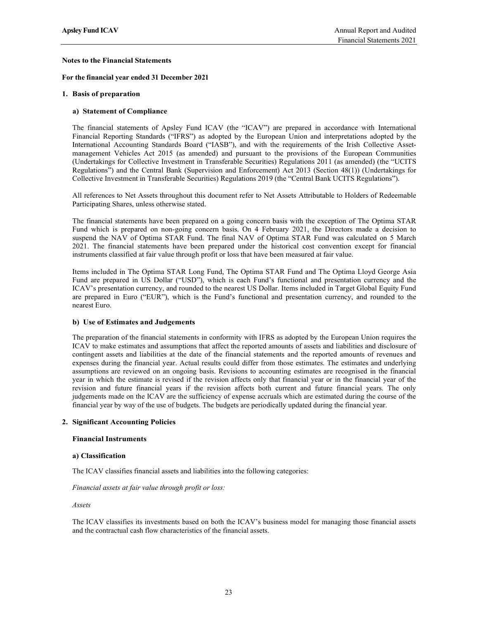## Notes to the Financial Statements

For the financial year ended 31 December 2021

### 1. Basis of preparation

#### a) Statement of Compliance

The financial statements of Apsley Fund ICAV (the "ICAV") are prepared in accordance with International Financial Reporting Standards ("IFRS") as adopted by the European Union and interpretations adopted by the International Accounting Standards Board ("IASB"), and with the requirements of the Irish Collective Assetmanagement Vehicles Act 2015 (as amended) and pursuant to the provisions of the European Communities (Undertakings for Collective Investment in Transferable Securities) Regulations 2011 (as amended) (the "UCITS Regulations") and the Central Bank (Supervision and Enforcement) Act 2013 (Section 48(1)) (Undertakings for Collective Investment in Transferable Securities) Regulations 2019 (the "Central Bank UCITS Regulations").

All references to Net Assets throughout this document refer to Net Assets Attributable to Holders of Redeemable Participating Shares, unless otherwise stated.

The financial statements have been prepared on a going concern basis with the exception of The Optima STAR Fund which is prepared on non-going concern basis. On 4 February 2021, the Directors made a decision to suspend the NAV of Optima STAR Fund. The final NAV of Optima STAR Fund was calculated on 5 March 2021. The financial statements have been prepared under the historical cost convention except for financial instruments classified at fair value through profit or loss that have been measured at fair value.

Items included in The Optima STAR Long Fund, The Optima STAR Fund and The Optima Lloyd George Asia Fund are prepared in US Dollar ("USD"), which is each Fund's functional and presentation currency and the ICAV's presentation currency, and rounded to the nearest US Dollar. Items included in Target Global Equity Fund are prepared in Euro ("EUR"), which is the Fund's functional and presentation currency, and rounded to the nearest Euro.

#### b) Use of Estimates and Judgements

The preparation of the financial statements in conformity with IFRS as adopted by the European Union requires the ICAV to make estimates and assumptions that affect the reported amounts of assets and liabilities and disclosure of contingent assets and liabilities at the date of the financial statements and the reported amounts of revenues and expenses during the financial year. Actual results could differ from those estimates. The estimates and underlying assumptions are reviewed on an ongoing basis. Revisions to accounting estimates are recognised in the financial year in which the estimate is revised if the revision affects only that financial year or in the financial year of the revision and future financial years if the revision affects both current and future financial years. The only judgements made on the ICAV are the sufficiency of expense accruals which are estimated during the course of the financial year by way of the use of budgets. The budgets are periodically updated during the financial year.

#### 2. Significant Accounting Policies

### Financial Instruments

#### a) Classification

The ICAV classifies financial assets and liabilities into the following categories:

Financial assets at fair value through profit or loss:

Assets

The ICAV classifies its investments based on both the ICAV's business model for managing those financial assets and the contractual cash flow characteristics of the financial assets.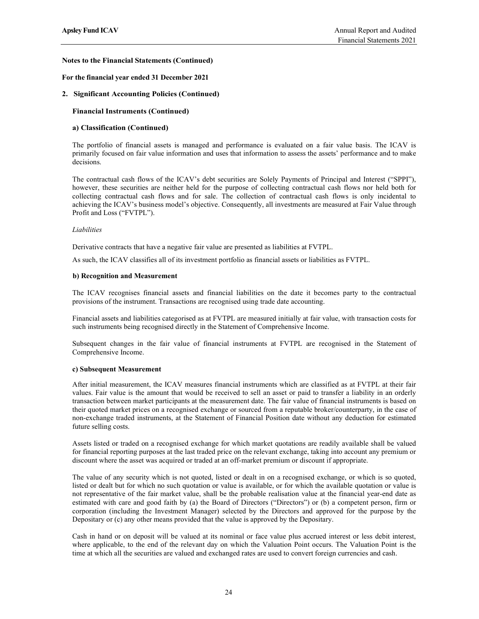## For the financial year ended 31 December 2021

## 2. Significant Accounting Policies (Continued)

## Financial Instruments (Continued)

## a) Classification (Continued)

The portfolio of financial assets is managed and performance is evaluated on a fair value basis. The ICAV is primarily focused on fair value information and uses that information to assess the assets' performance and to make decisions.

The contractual cash flows of the ICAV's debt securities are Solely Payments of Principal and Interest ("SPPI"), however, these securities are neither held for the purpose of collecting contractual cash flows nor held both for collecting contractual cash flows and for sale. The collection of contractual cash flows is only incidental to achieving the ICAV's business model's objective. Consequently, all investments are measured at Fair Value through Profit and Loss ("FVTPL").

#### Liabilities

Derivative contracts that have a negative fair value are presented as liabilities at FVTPL.

As such, the ICAV classifies all of its investment portfolio as financial assets or liabilities as FVTPL.

#### b) Recognition and Measurement

The ICAV recognises financial assets and financial liabilities on the date it becomes party to the contractual provisions of the instrument. Transactions are recognised using trade date accounting.

Financial assets and liabilities categorised as at FVTPL are measured initially at fair value, with transaction costs for such instruments being recognised directly in the Statement of Comprehensive Income.

Subsequent changes in the fair value of financial instruments at FVTPL are recognised in the Statement of Comprehensive Income.

#### c) Subsequent Measurement

After initial measurement, the ICAV measures financial instruments which are classified as at FVTPL at their fair values. Fair value is the amount that would be received to sell an asset or paid to transfer a liability in an orderly transaction between market participants at the measurement date. The fair value of financial instruments is based on their quoted market prices on a recognised exchange or sourced from a reputable broker/counterparty, in the case of non-exchange traded instruments, at the Statement of Financial Position date without any deduction for estimated future selling costs.

Assets listed or traded on a recognised exchange for which market quotations are readily available shall be valued for financial reporting purposes at the last traded price on the relevant exchange, taking into account any premium or discount where the asset was acquired or traded at an off-market premium or discount if appropriate.

The value of any security which is not quoted, listed or dealt in on a recognised exchange, or which is so quoted, listed or dealt but for which no such quotation or value is available, or for which the available quotation or value is not representative of the fair market value, shall be the probable realisation value at the financial year-end date as estimated with care and good faith by (a) the Board of Directors ("Directors") or (b) a competent person, firm or corporation (including the Investment Manager) selected by the Directors and approved for the purpose by the Depositary or (c) any other means provided that the value is approved by the Depositary.

Cash in hand or on deposit will be valued at its nominal or face value plus accrued interest or less debit interest, where applicable, to the end of the relevant day on which the Valuation Point occurs. The Valuation Point is the time at which all the securities are valued and exchanged rates are used to convert foreign currencies and cash.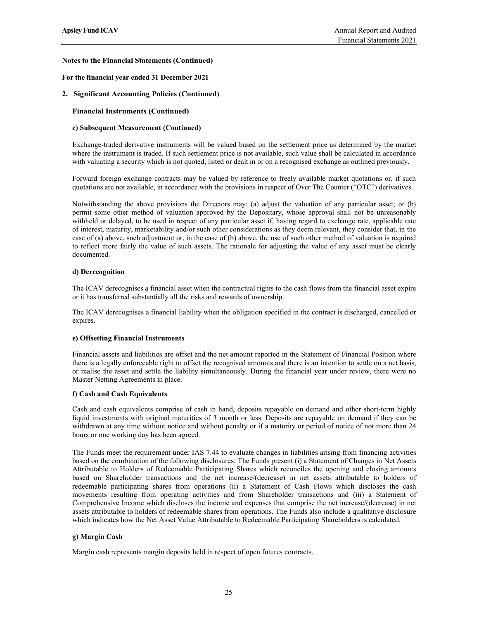## For the financial year ended 31 December 2021

## 2. Significant Accounting Policies (Continued)

## Financial Instruments (Continued)

## c) Subsequent Measurement (Continued)

Exchange-traded derivative instruments will be valued based on the settlement price as determined by the market where the instrument is traded. If such settlement price is not available, such value shall be calculated in accordance with valuating a security which is not quoted, listed or dealt in or on a recognised exchange as outlined previously.

Forward foreign exchange contracts may be valued by reference to freely available market quotations or, if such quotations are not available, in accordance with the provisions in respect of Over The Counter ("OTC") derivatives.

Notwithstanding the above provisions the Directors may: (a) adjust the valuation of any particular asset; or (b) permit some other method of valuation approved by the Depositary, whose approval shall not be unreasonably withheld or delayed, to be used in respect of any particular asset if, having regard to exchange rate, applicable rate of interest, maturity, marketability and/or such other considerations as they deem relevant, they consider that, in the case of (a) above, such adjustment or, in the case of (b) above, the use of such other method of valuation is required to reflect more fairly the value of such assets. The rationale for adjusting the value of any asset must be clearly documented.

## d) Derecognition

The ICAV derecognises a financial asset when the contractual rights to the cash flows from the financial asset expire or it has transferred substantially all the risks and rewards of ownership.

The ICAV derecognises a financial liability when the obligation specified in the contract is discharged, cancelled or expires.

## e) Offsetting Financial Instruments

Financial assets and liabilities are offset and the net amount reported in the Statement of Financial Position where there is a legally enforceable right to offset the recognised amounts and there is an intention to settle on a net basis, or realise the asset and settle the liability simultaneously. During the financial year under review, there were no Master Netting Agreements in place.

## f) Cash and Cash Equivalents

Cash and cash equivalents comprise of cash in hand, deposits repayable on demand and other short-term highly liquid investments with original maturities of 3 month or less. Deposits are repayable on demand if they can be withdrawn at any time without notice and without penalty or if a maturity or period of notice of not more than 24 hours or one working day has been agreed.

The Funds meet the requirement under IAS 7.44 to evaluate changes in liabilities arising from financing activities based on the combination of the following disclosures: The Funds present (i) a Statement of Changes in Net Assets Attributable to Holders of Redeemable Participating Shares which reconciles the opening and closing amounts based on Shareholder transactions and the net increase/(decrease) in net assets attributable to holders of redeemable participating shares from operations (ii) a Statement of Cash Flows which discloses the cash movements resulting from operating activities and from Shareholder transactions and (iii) a Statement of Comprehensive Income which discloses the income and expenses that comprise the net increase/(decrease) in net assets attributable to holders of redeemable shares from operations. The Funds also include a qualitative disclosure which indicates how the Net Asset Value Attributable to Redeemable Participating Shareholders is calculated.

## g) Margin Cash

Margin cash represents margin deposits held in respect of open futures contracts.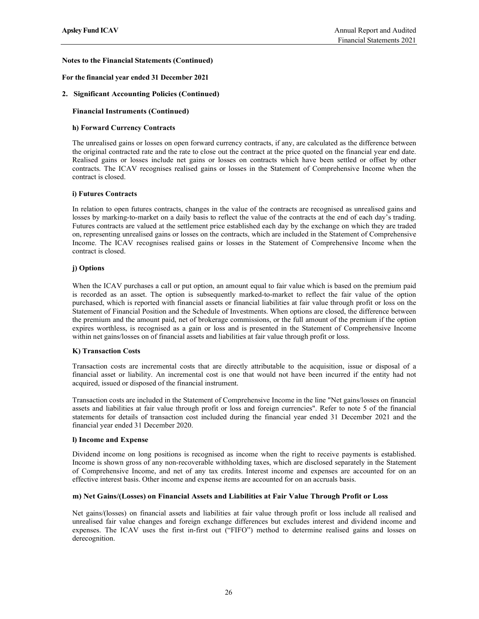## For the financial year ended 31 December 2021

## 2. Significant Accounting Policies (Continued)

## Financial Instruments (Continued)

## h) Forward Currency Contracts

The unrealised gains or losses on open forward currency contracts, if any, are calculated as the difference between the original contracted rate and the rate to close out the contract at the price quoted on the financial year end date. Realised gains or losses include net gains or losses on contracts which have been settled or offset by other contracts. The ICAV recognises realised gains or losses in the Statement of Comprehensive Income when the contract is closed.

## i) Futures Contracts

In relation to open futures contracts, changes in the value of the contracts are recognised as unrealised gains and losses by marking-to-market on a daily basis to reflect the value of the contracts at the end of each day's trading. Futures contracts are valued at the settlement price established each day by the exchange on which they are traded on, representing unrealised gains or losses on the contracts, which are included in the Statement of Comprehensive Income. The ICAV recognises realised gains or losses in the Statement of Comprehensive Income when the contract is closed.

## j) Options

When the ICAV purchases a call or put option, an amount equal to fair value which is based on the premium paid is recorded as an asset. The option is subsequently marked-to-market to reflect the fair value of the option purchased, which is reported with financial assets or financial liabilities at fair value through profit or loss on the Statement of Financial Position and the Schedule of Investments. When options are closed, the difference between the premium and the amount paid, net of brokerage commissions, or the full amount of the premium if the option expires worthless, is recognised as a gain or loss and is presented in the Statement of Comprehensive Income within net gains/losses on of financial assets and liabilities at fair value through profit or loss.

## K) Transaction Costs

Transaction costs are incremental costs that are directly attributable to the acquisition, issue or disposal of a financial asset or liability. An incremental cost is one that would not have been incurred if the entity had not acquired, issued or disposed of the financial instrument.

Transaction costs are included in the Statement of Comprehensive Income in the line "Net gains/losses on financial assets and liabilities at fair value through profit or loss and foreign currencies". Refer to note 5 of the financial statements for details of transaction cost included during the financial year ended 31 December 2021 and the financial year ended 31 December 2020.

## l) Income and Expense

Dividend income on long positions is recognised as income when the right to receive payments is established. Income is shown gross of any non-recoverable withholding taxes, which are disclosed separately in the Statement of Comprehensive Income, and net of any tax credits. Interest income and expenses are accounted for on an effective interest basis. Other income and expense items are accounted for on an accruals basis.

## m) Net Gains/(Losses) on Financial Assets and Liabilities at Fair Value Through Profit or Loss

Net gains/(losses) on financial assets and liabilities at fair value through profit or loss include all realised and unrealised fair value changes and foreign exchange differences but excludes interest and dividend income and expenses. The ICAV uses the first in-first out ("FIFO") method to determine realised gains and losses on derecognition.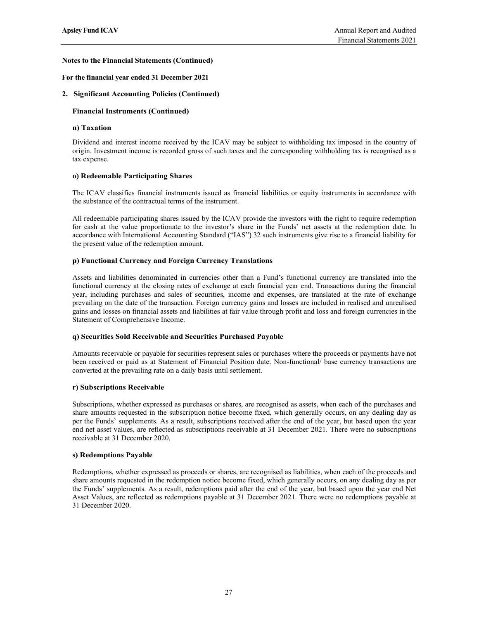### For the financial year ended 31 December 2021

### 2. Significant Accounting Policies (Continued)

### Financial Instruments (Continued)

## n) Taxation

Dividend and interest income received by the ICAV may be subject to withholding tax imposed in the country of origin. Investment income is recorded gross of such taxes and the corresponding withholding tax is recognised as a tax expense.

### o) Redeemable Participating Shares

The ICAV classifies financial instruments issued as financial liabilities or equity instruments in accordance with the substance of the contractual terms of the instrument.

All redeemable participating shares issued by the ICAV provide the investors with the right to require redemption for cash at the value proportionate to the investor's share in the Funds' net assets at the redemption date. In accordance with International Accounting Standard ("IAS") 32 such instruments give rise to a financial liability for the present value of the redemption amount.

### p) Functional Currency and Foreign Currency Translations

Assets and liabilities denominated in currencies other than a Fund's functional currency are translated into the functional currency at the closing rates of exchange at each financial year end. Transactions during the financial year, including purchases and sales of securities, income and expenses, are translated at the rate of exchange prevailing on the date of the transaction. Foreign currency gains and losses are included in realised and unrealised gains and losses on financial assets and liabilities at fair value through profit and loss and foreign currencies in the Statement of Comprehensive Income.

#### q) Securities Sold Receivable and Securities Purchased Payable

Amounts receivable or payable for securities represent sales or purchases where the proceeds or payments have not been received or paid as at Statement of Financial Position date. Non-functional/ base currency transactions are converted at the prevailing rate on a daily basis until settlement.

#### r) Subscriptions Receivable

Subscriptions, whether expressed as purchases or shares, are recognised as assets, when each of the purchases and share amounts requested in the subscription notice become fixed, which generally occurs, on any dealing day as per the Funds' supplements. As a result, subscriptions received after the end of the year, but based upon the year end net asset values, are reflected as subscriptions receivable at 31 December 2021. There were no subscriptions receivable at 31 December 2020.

#### s) Redemptions Payable

Redemptions, whether expressed as proceeds or shares, are recognised as liabilities, when each of the proceeds and share amounts requested in the redemption notice become fixed, which generally occurs, on any dealing day as per the Funds' supplements. As a result, redemptions paid after the end of the year, but based upon the year end Net Asset Values, are reflected as redemptions payable at 31 December 2021. There were no redemptions payable at 31 December 2020.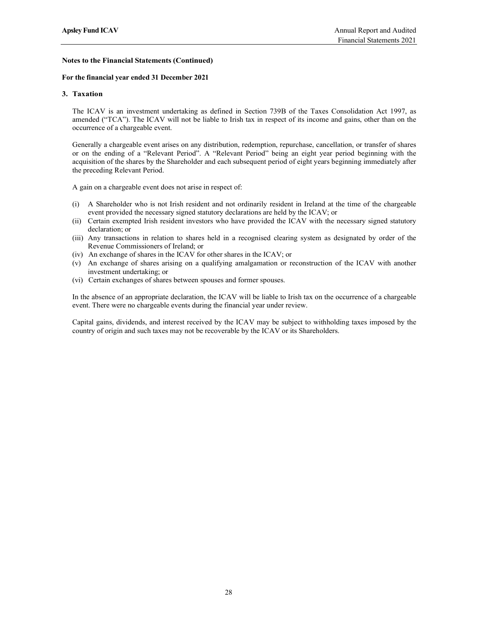## For the financial year ended 31 December 2021

## 3. Taxation

The ICAV is an investment undertaking as defined in Section 739B of the Taxes Consolidation Act 1997, as amended ("TCA"). The ICAV will not be liable to Irish tax in respect of its income and gains, other than on the occurrence of a chargeable event.

Generally a chargeable event arises on any distribution, redemption, repurchase, cancellation, or transfer of shares or on the ending of a "Relevant Period". A "Relevant Period" being an eight year period beginning with the acquisition of the shares by the Shareholder and each subsequent period of eight years beginning immediately after the preceding Relevant Period.

A gain on a chargeable event does not arise in respect of:

- (i) A Shareholder who is not Irish resident and not ordinarily resident in Ireland at the time of the chargeable event provided the necessary signed statutory declarations are held by the ICAV; or
- (ii) Certain exempted Irish resident investors who have provided the ICAV with the necessary signed statutory declaration; or
- (iii) Any transactions in relation to shares held in a recognised clearing system as designated by order of the Revenue Commissioners of Ireland; or
- (iv) An exchange of shares in the ICAV for other shares in the ICAV; or
- (v) An exchange of shares arising on a qualifying amalgamation or reconstruction of the ICAV with another investment undertaking; or
- (vi) Certain exchanges of shares between spouses and former spouses.

In the absence of an appropriate declaration, the ICAV will be liable to Irish tax on the occurrence of a chargeable event. There were no chargeable events during the financial year under review.

Capital gains, dividends, and interest received by the ICAV may be subject to withholding taxes imposed by the country of origin and such taxes may not be recoverable by the ICAV or its Shareholders.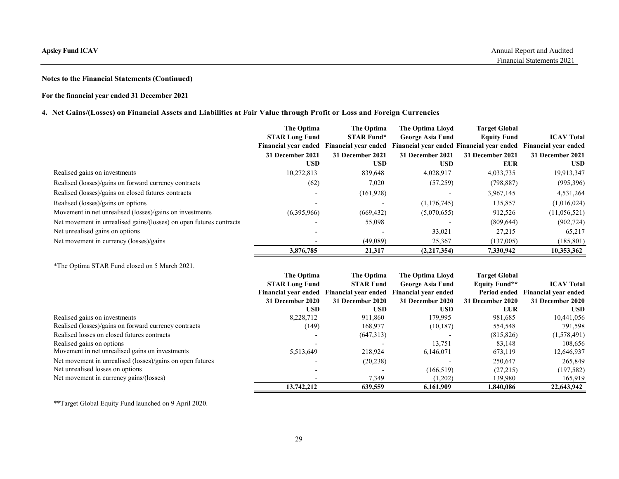# For the financial year ended 31 December 2021

# 4. Net Gains/(Losses) on Financial Assets and Liabilities at Fair Value through Profit or Loss and Foreign Currencies

| psley Fund ICAV                                                                                                    |                                                         |                                                                                    |                                                                                                                                                                             |                                                                | Annual Report and Audited<br>Financial Statements 2021 |
|--------------------------------------------------------------------------------------------------------------------|---------------------------------------------------------|------------------------------------------------------------------------------------|-----------------------------------------------------------------------------------------------------------------------------------------------------------------------------|----------------------------------------------------------------|--------------------------------------------------------|
|                                                                                                                    |                                                         |                                                                                    |                                                                                                                                                                             |                                                                |                                                        |
| otes to the Financial Statements (Continued)                                                                       |                                                         |                                                                                    |                                                                                                                                                                             |                                                                |                                                        |
| or the financial year ended 31 December 2021                                                                       |                                                         |                                                                                    |                                                                                                                                                                             |                                                                |                                                        |
| Net Gains/(Losses) on Financial Assets and Liabilities at Fair Value through Profit or Loss and Foreign Currencies |                                                         |                                                                                    |                                                                                                                                                                             |                                                                |                                                        |
|                                                                                                                    | The Optima<br><b>STAR Long Fund</b><br>31 December 2021 | The Optima<br><b>STAR Fund*</b><br>31 December 2021                                | The Optima Lloyd<br><b>George Asia Fund</b><br>Financial year ended Financial year ended Financial year ended Financial year ended Financial year ended<br>31 December 2021 | <b>Target Global</b><br><b>Equity Fund</b><br>31 December 2021 | <b>ICAV Total</b><br>31 December 2021                  |
|                                                                                                                    | <b>USD</b>                                              | <b>USD</b>                                                                         | <b>USD</b>                                                                                                                                                                  | <b>EUR</b>                                                     | <b>USD</b>                                             |
| Realised gains on investments<br>Realised (losses)/gains on forward currency contracts                             | 10,272,813                                              | 839,648<br>7,020                                                                   | 4,028,917<br>(57,259)                                                                                                                                                       | 4,033,735<br>(798, 887)                                        | 19,913,347<br>(995, 396)                               |
| Realised (losses)/gains on closed futures contracts                                                                | (62)                                                    | (161, 928)                                                                         |                                                                                                                                                                             | 3,967,145                                                      | 4,531,264                                              |
| Realised (losses)/gains on options                                                                                 |                                                         | $\blacksquare$                                                                     | (1,176,745)                                                                                                                                                                 | 135,857                                                        | (1,016,024)                                            |
| Movement in net unrealised (losses)/gains on investments                                                           | (6,395,966)                                             | (669, 432)                                                                         | (5,070,655)                                                                                                                                                                 | 912,526                                                        | (11,056,521)                                           |
| Net movement in unrealised gains/(losses) on open futures contracts                                                |                                                         | 55,098                                                                             |                                                                                                                                                                             | (809, 644)                                                     | (902, 724)                                             |
| Net unrealised gains on options                                                                                    |                                                         |                                                                                    | 33,021                                                                                                                                                                      | 27,215                                                         | 65,217                                                 |
| Net movement in currency (losses)/gains                                                                            |                                                         | (49,089)                                                                           | 25,367                                                                                                                                                                      | (137,005)                                                      | (185, 801)                                             |
|                                                                                                                    | 3,876,785                                               | 21,317                                                                             | (2,217,354)                                                                                                                                                                 | 7,330,942                                                      | 10,353,362                                             |
| *The Optima STAR Fund closed on 5 March 2021.                                                                      |                                                         |                                                                                    |                                                                                                                                                                             |                                                                |                                                        |
|                                                                                                                    | The Optima<br><b>STAR Long Fund</b>                     | The Optima<br><b>STAR Fund</b>                                                     | <b>The Optima Lloyd</b><br><b>George Asia Fund</b>                                                                                                                          | <b>Target Global</b><br><b>Equity Fund**</b>                   | <b>ICAV Total</b>                                      |
|                                                                                                                    | 31 December 2020                                        | Financial year ended Financial year ended Financial year ended<br>31 December 2020 | 31 December 2020                                                                                                                                                            | 31 December 2020                                               | Period ended Financial year ended<br>31 December 2020  |
| Realised gains on investments                                                                                      | <b>USD</b><br>8,228,712                                 | <b>USD</b><br>911,860                                                              | <b>USD</b><br>179,995                                                                                                                                                       | <b>EUR</b><br>981,685                                          | <b>USD</b><br>10,441,056                               |
| Realised (losses)/gains on forward currency contracts                                                              | (149)                                                   | 168,977                                                                            | (10, 187)                                                                                                                                                                   | 554,548                                                        | 791,598                                                |
| Realised losses on closed futures contracts                                                                        |                                                         | (647,313)                                                                          |                                                                                                                                                                             | (815, 826)                                                     | (1,578,491)                                            |
| Realised gains on options                                                                                          |                                                         |                                                                                    | 13,751                                                                                                                                                                      | 83,148                                                         | 108,656                                                |
| Movement in net unrealised gains on investments                                                                    | 5,513,649                                               | 218,924                                                                            | 6,146,071                                                                                                                                                                   | 673,119                                                        | 12,646,937                                             |
| Net movement in unrealised (losses)/gains on open futures<br>Net unrealised losses on options                      |                                                         | (20, 238)                                                                          | (166, 519)                                                                                                                                                                  | 250,647<br>(27,215)                                            | 265,849<br>(197, 582)                                  |
| Net movement in currency gains/(losses)                                                                            |                                                         | 7,349                                                                              | (1,202)                                                                                                                                                                     | 139,980                                                        | 165,919                                                |
|                                                                                                                    | 12,742,312                                              | 620E50                                                                             | 616100                                                                                                                                                                      | 1.040.006                                                      | 22612012                                               |

|                                                                     | 31 December 2021<br><b>USD</b> | 31 December 2021<br><b>USD</b> | 31 December 2021<br><b>USD</b> | 31 December 2021<br><b>EUR</b> | 31 December 2021<br><b>USD</b> |
|---------------------------------------------------------------------|--------------------------------|--------------------------------|--------------------------------|--------------------------------|--------------------------------|
| Realised gains on investments                                       | 10,272,813                     | 839,648                        | 4,028,917                      | 4,033,735                      | 19,913,347                     |
| Realised (losses)/gains on forward currency contracts               | (62)                           | 7,020                          | (57,259)                       | (798, 887)                     | (995,396)                      |
| Realised (losses)/gains on closed futures contracts                 |                                | (161, 928)                     |                                | 3,967,145                      | 4,531,264                      |
| Realised (losses)/gains on options                                  |                                |                                | (1,176,745)                    | 135,857                        | (1,016,024)                    |
| Movement in net unrealised (losses)/gains on investments            | (6,395,966)                    | (669, 432)                     | (5,070,655)                    | 912,526                        | (11,056,521)                   |
| Net movement in unrealised gains/(losses) on open futures contracts |                                | 55,098                         |                                | (809, 644)                     | (902, 724)                     |
| Net unrealised gains on options                                     |                                |                                | 33,021                         | 27,215                         | 65,217                         |
| Net movement in currency (losses)/gains                             |                                | (49,089)                       | 25,367                         | (137,005)                      | (185, 801)                     |
|                                                                     | 3,876,785                      | 21,317                         | (2,217,354)                    | 7,330,942                      | 10,353,362                     |
| *The Optima STAR Fund closed on 5 March 2021.                       |                                |                                |                                |                                |                                |
|                                                                     | The Optima                     | The Optima                     | <b>The Optima Lloyd</b>        | <b>Target Global</b>           |                                |
|                                                                     | <b>STAR Long Fund</b>          | <b>STAR Fund</b>               | <b>George Asia Fund</b>        | <b>Equity Fund**</b>           | <b>ICAV Total</b>              |
|                                                                     | <b>Financial year ended</b>    | <b>Financial year ended</b>    | <b>Financial year ended</b>    | Period ended                   | <b>Financial year ended</b>    |
|                                                                     | 31 December 2020               | 31 December 2020               | 31 December 2020               | 31 December 2020               | 31 December 2020               |
|                                                                     | <b>USD</b>                     | <b>USD</b>                     | <b>USD</b>                     | <b>EUR</b>                     | <b>USD</b>                     |
| Realised gains on investments                                       | 8,228,712                      | 911,860                        | 179,995                        | 981,685                        | 10,441,056                     |
| Realised (losses)/gains on forward currency contracts               | (149)                          | 168,977                        | (10, 187)                      | 554,548                        | 791,598                        |
| Realised losses on closed futures contracts                         |                                | (647,313)                      |                                | (815, 826)                     | (1,578,491)                    |
| Realised gains on options                                           |                                |                                | 13,751                         | 83,148                         | 108,656                        |
| Movement in net unrealised gains on investments                     | 5,513,649                      | 218,924                        | 6,146,071                      | 673,119                        | 12,646,937                     |
|                                                                     |                                | (20, 238)                      |                                | 250,647                        | 265,849                        |
| Net movement in unrealised (losses)/gains on open futures           |                                |                                | (166, 519)                     | (27,215)                       | (197, 582)                     |
| Net unrealised losses on options                                    |                                |                                |                                |                                |                                |
| Net movement in currency gains/(losses)                             |                                | 7,349                          | (1,202)                        | 139,980                        | 165,919                        |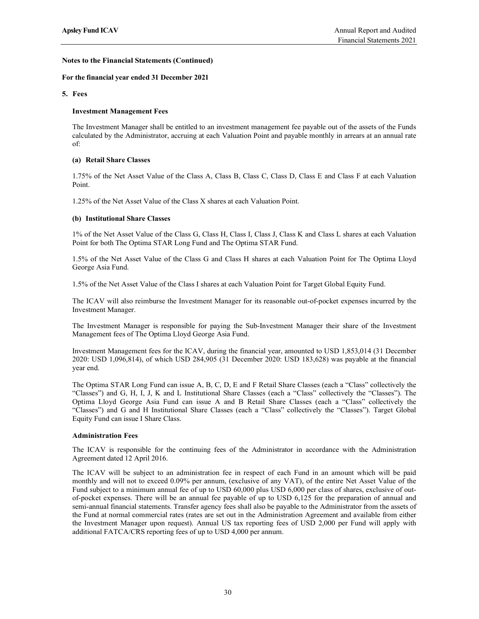### For the financial year ended 31 December 2021

### 5. Fees

### Investment Management Fees

The Investment Manager shall be entitled to an investment management fee payable out of the assets of the Funds calculated by the Administrator, accruing at each Valuation Point and payable monthly in arrears at an annual rate of:

### (a) Retail Share Classes

1.75% of the Net Asset Value of the Class A, Class B, Class C, Class D, Class E and Class F at each Valuation Point.

1.25% of the Net Asset Value of the Class X shares at each Valuation Point.

#### (b) Institutional Share Classes

1% of the Net Asset Value of the Class G, Class H, Class I, Class J, Class K and Class L shares at each Valuation Point for both The Optima STAR Long Fund and The Optima STAR Fund.

1.5% of the Net Asset Value of the Class G and Class H shares at each Valuation Point for The Optima Lloyd George Asia Fund.

1.5% of the Net Asset Value of the Class I shares at each Valuation Point for Target Global Equity Fund.

The ICAV will also reimburse the Investment Manager for its reasonable out-of-pocket expenses incurred by the Investment Manager.

The Investment Manager is responsible for paying the Sub-Investment Manager their share of the Investment Management fees of The Optima Lloyd George Asia Fund.

Investment Management fees for the ICAV, during the financial year, amounted to USD 1,853,014 (31 December 2020: USD 1,096,814), of which USD 284,905 (31 December 2020: USD 183,628) was payable at the financial year end.

The Optima STAR Long Fund can issue A, B, C, D, E and F Retail Share Classes (each a "Class" collectively the "Classes") and G, H, I, J, K and L Institutional Share Classes (each a "Class" collectively the "Classes"). The Optima Lloyd George Asia Fund can issue A and B Retail Share Classes (each a "Class" collectively the "Classes") and G and H Institutional Share Classes (each a "Class" collectively the "Classes"). Target Global Equity Fund can issue I Share Class.

#### Administration Fees

The ICAV is responsible for the continuing fees of the Administrator in accordance with the Administration Agreement dated 12 April 2016.

The ICAV will be subject to an administration fee in respect of each Fund in an amount which will be paid monthly and will not to exceed 0.09% per annum, (exclusive of any VAT), of the entire Net Asset Value of the Fund subject to a minimum annual fee of up to USD 60,000 plus USD 6,000 per class of shares, exclusive of outof-pocket expenses. There will be an annual fee payable of up to USD 6,125 for the preparation of annual and semi-annual financial statements. Transfer agency fees shall also be payable to the Administrator from the assets of the Fund at normal commercial rates (rates are set out in the Administration Agreement and available from either the Investment Manager upon request). Annual US tax reporting fees of USD 2,000 per Fund will apply with additional FATCA/CRS reporting fees of up to USD 4,000 per annum.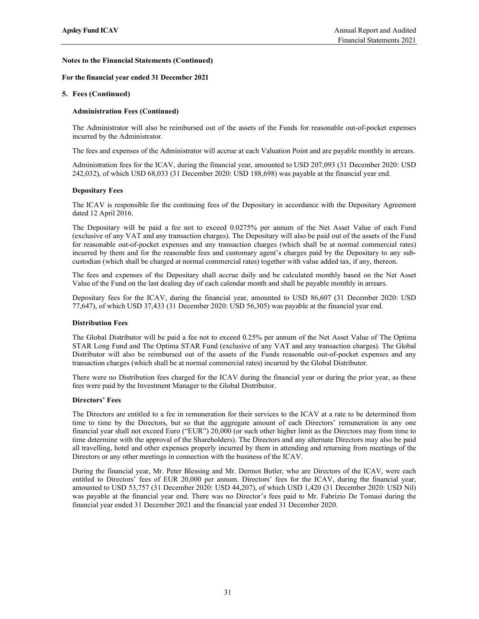### For the financial year ended 31 December 2021

## 5. Fees (Continued)

### Administration Fees (Continued)

The Administrator will also be reimbursed out of the assets of the Funds for reasonable out-of-pocket expenses incurred by the Administrator.

The fees and expenses of the Administrator will accrue at each Valuation Point and are payable monthly in arrears.

Administration fees for the ICAV, during the financial year, amounted to USD 207,093 (31 December 2020: USD 242,032), of which USD 68,033 (31 December 2020: USD 188,698) was payable at the financial year end.

#### Depositary Fees

The ICAV is responsible for the continuing fees of the Depositary in accordance with the Depositary Agreement dated 12 April 2016.

The Depositary will be paid a fee not to exceed 0.0275% per annum of the Net Asset Value of each Fund (exclusive of any VAT and any transaction charges). The Depositary will also be paid out of the assets of the Fund for reasonable out-of-pocket expenses and any transaction charges (which shall be at normal commercial rates) incurred by them and for the reasonable fees and customary agent's charges paid by the Depositary to any subcustodian (which shall be charged at normal commercial rates) together with value added tax, if any, thereon.

The fees and expenses of the Depositary shall accrue daily and be calculated monthly based on the Net Asset Value of the Fund on the last dealing day of each calendar month and shall be payable monthly in arrears.

Depositary fees for the ICAV, during the financial year, amounted to USD 86,607 (31 December 2020: USD 77,647), of which USD 37,433 (31 December 2020: USD 56,305) was payable at the financial year end.

#### Distribution Fees

The Global Distributor will be paid a fee not to exceed 0.25% per annum of the Net Asset Value of The Optima STAR Long Fund and The Optima STAR Fund (exclusive of any VAT and any transaction charges). The Global Distributor will also be reimbursed out of the assets of the Funds reasonable out-of-pocket expenses and any transaction charges (which shall be at normal commercial rates) incurred by the Global Distributor.

There were no Distribution fees charged for the ICAV during the financial year or during the prior year, as these fees were paid by the Investment Manager to the Global Distributor.

#### Directors' Fees

The Directors are entitled to a fee in remuneration for their services to the ICAV at a rate to be determined from time to time by the Directors, but so that the aggregate amount of each Directors' remuneration in any one financial year shall not exceed Euro ("EUR") 20,000 (or such other higher limit as the Directors may from time to time determine with the approval of the Shareholders). The Directors and any alternate Directors may also be paid all travelling, hotel and other expenses properly incurred by them in attending and returning from meetings of the Directors or any other meetings in connection with the business of the ICAV.

During the financial year, Mr. Peter Blessing and Mr. Dermot Butler, who are Directors of the ICAV, were each entitled to Directors' fees of EUR 20,000 per annum. Directors' fees for the ICAV, during the financial year, amounted to USD 53,757 (31 December 2020: USD 44,207), of which USD 1,420 (31 December 2020: USD Nil) was payable at the financial year end. There was no Director's fees paid to Mr. Fabrizio De Tomasi during the financial year ended 31 December 2021 and the financial year ended 31 December 2020.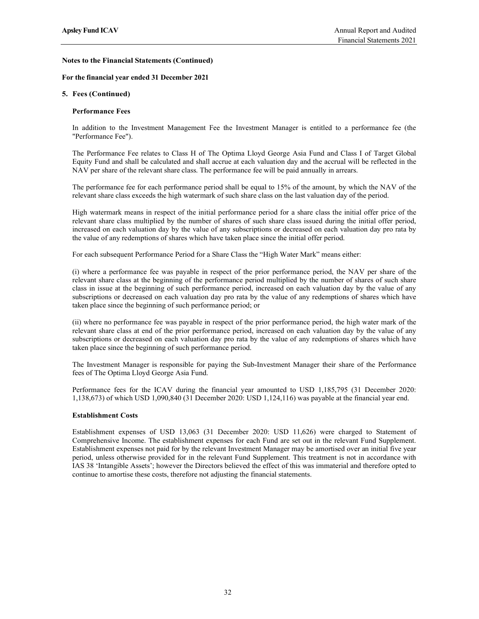### For the financial year ended 31 December 2021

## 5. Fees (Continued)

### Performance Fees

In addition to the Investment Management Fee the Investment Manager is entitled to a performance fee (the "Performance Fee").

The Performance Fee relates to Class H of The Optima Lloyd George Asia Fund and Class I of Target Global Equity Fund and shall be calculated and shall accrue at each valuation day and the accrual will be reflected in the NAV per share of the relevant share class. The performance fee will be paid annually in arrears.

The performance fee for each performance period shall be equal to 15% of the amount, by which the NAV of the relevant share class exceeds the high watermark of such share class on the last valuation day of the period.

High watermark means in respect of the initial performance period for a share class the initial offer price of the relevant share class multiplied by the number of shares of such share class issued during the initial offer period, increased on each valuation day by the value of any subscriptions or decreased on each valuation day pro rata by the value of any redemptions of shares which have taken place since the initial offer period.

For each subsequent Performance Period for a Share Class the "High Water Mark" means either:

(i) where a performance fee was payable in respect of the prior performance period, the NAV per share of the relevant share class at the beginning of the performance period multiplied by the number of shares of such share class in issue at the beginning of such performance period, increased on each valuation day by the value of any subscriptions or decreased on each valuation day pro rata by the value of any redemptions of shares which have taken place since the beginning of such performance period; or

(ii) where no performance fee was payable in respect of the prior performance period, the high water mark of the relevant share class at end of the prior performance period, increased on each valuation day by the value of any subscriptions or decreased on each valuation day pro rata by the value of any redemptions of shares which have taken place since the beginning of such performance period.

The Investment Manager is responsible for paying the Sub-Investment Manager their share of the Performance fees of The Optima Lloyd George Asia Fund.

Performance fees for the ICAV during the financial year amounted to USD 1,185,795 (31 December 2020: 1,138,673) of which USD 1,090,840 (31 December 2020: USD 1,124,116) was payable at the financial year end.

#### Establishment Costs

Establishment expenses of USD 13,063 (31 December 2020: USD 11,626) were charged to Statement of Comprehensive Income. The establishment expenses for each Fund are set out in the relevant Fund Supplement. Establishment expenses not paid for by the relevant Investment Manager may be amortised over an initial five year period, unless otherwise provided for in the relevant Fund Supplement. This treatment is not in accordance with IAS 38 'Intangible Assets'; however the Directors believed the effect of this was immaterial and therefore opted to continue to amortise these costs, therefore not adjusting the financial statements.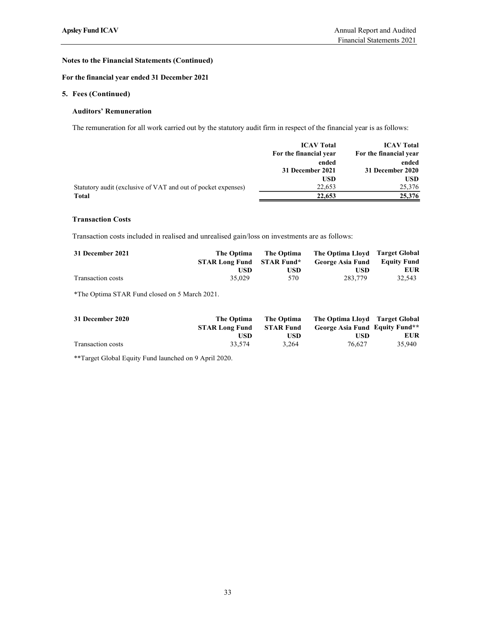# For the financial year ended 31 December 2021

## 5. Fees (Continued)

## Auditors' Remuneration

| <b>Fees (Continued)</b>                                                                                               |                                                   |                                               |                                                |                                                                                              |
|-----------------------------------------------------------------------------------------------------------------------|---------------------------------------------------|-----------------------------------------------|------------------------------------------------|----------------------------------------------------------------------------------------------|
| <b>Auditors' Remuneration</b>                                                                                         |                                                   |                                               |                                                |                                                                                              |
| The remuneration for all work carried out by the statutory audit firm in respect of the financial year is as follows: |                                                   |                                               |                                                |                                                                                              |
|                                                                                                                       |                                                   | For the financial year                        | <b>ICAV Total</b><br>ended<br>31 December 2021 | <b>ICAV Total</b><br>For the financial year<br>ended<br>31 December 2020                     |
| Statutory audit (exclusive of VAT and out of pocket expenses)<br><b>Total</b>                                         |                                                   |                                               | <b>USD</b><br>22,653<br>22,653                 | <b>USD</b><br>25,376<br>25,376                                                               |
| Transaction costs included in realised and unrealised gain/loss on investments are as follows:                        |                                                   |                                               |                                                |                                                                                              |
| 31 December 2021                                                                                                      | The Optima<br><b>STAR Long Fund</b><br><b>USD</b> | The Optima<br><b>STAR Fund*</b><br><b>USD</b> | The Optima Lloyd<br><b>George Asia Fund</b>    | <b>Target Global</b><br><b>Equity Fund</b><br><b>EUR</b><br><b>USD</b>                       |
| Transaction costs                                                                                                     | 35,029                                            | 570                                           | 283,779                                        | 32,543                                                                                       |
| *The Optima STAR Fund closed on 5 March 2021.                                                                         |                                                   |                                               |                                                |                                                                                              |
| 31 December 2020                                                                                                      | The Optima<br><b>STAR Long Fund</b><br><b>USD</b> | The Optima<br><b>STAR Fund</b><br><b>USD</b>  |                                                | The Optima Lloyd Target Global<br>George Asia Fund Equity Fund**<br><b>EUR</b><br><b>USD</b> |
| Transaction costs                                                                                                     | 33,574                                            | 3,264                                         | 76,627                                         | 35,940                                                                                       |

# Transaction Costs

| 31 December 2021  | The Optima            | The Optima        | The Optima Llovd Target Global |                    |
|-------------------|-----------------------|-------------------|--------------------------------|--------------------|
|                   | <b>STAR Long Fund</b> | <b>STAR Fund*</b> | George Asia Fund               | <b>Equity Fund</b> |
|                   | USD                   | USD               | USD                            | <b>EUR</b>         |
| Transaction costs | 35,029                | 570               | 283,779                        | 32,543             |

| 31 December 2020  | <b>The Optima</b><br><b>STAR Long Fund</b> | The Optima<br><b>STAR Fund</b> | The Optima Lloyd<br>George Asia Fund Equity Fund** | <b>Target Global</b> |
|-------------------|--------------------------------------------|--------------------------------|----------------------------------------------------|----------------------|
|                   | USD                                        | USD                            | USD                                                | <b>EUR</b>           |
| Transaction costs | 33,574                                     | 3,264                          | 76,627                                             | 35,940               |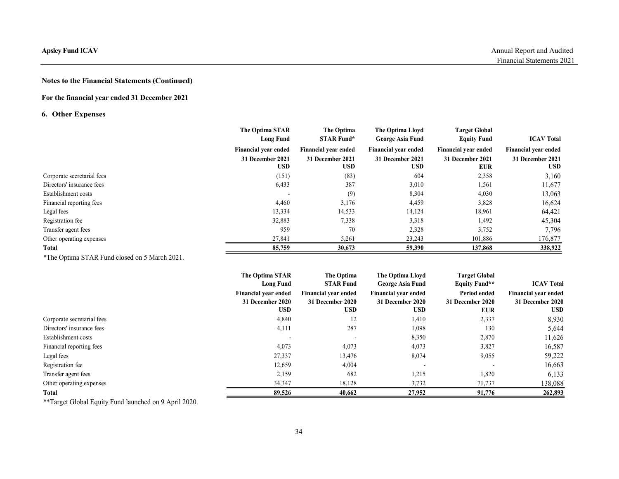# For the financial year ended 31 December 2021

# 6. Other Expenses

| <b>Apsley Fund ICAV</b>                              |                                                        |                                                        |                                                               |                                                        | Annual Report and Audited                              |
|------------------------------------------------------|--------------------------------------------------------|--------------------------------------------------------|---------------------------------------------------------------|--------------------------------------------------------|--------------------------------------------------------|
|                                                      |                                                        |                                                        |                                                               |                                                        | Financial Statements 2021                              |
| <b>Notes to the Financial Statements (Continued)</b> |                                                        |                                                        |                                                               |                                                        |                                                        |
| For the financial year ended 31 December 2021        |                                                        |                                                        |                                                               |                                                        |                                                        |
| <b>6. Other Expenses</b>                             |                                                        |                                                        |                                                               |                                                        |                                                        |
|                                                      | The Optima STAR<br><b>Long Fund</b>                    | The Optima<br><b>STAR Fund*</b>                        | The Optima Lloyd<br>George Asia Fund                          | <b>Target Global</b><br><b>Equity Fund</b>             | <b>ICAV Total</b>                                      |
|                                                      | Financial year ended<br>31 December 2021<br><b>USD</b> | Financial year ended<br>31 December 2021<br><b>USD</b> | <b>Financial year ended</b><br>31 December 2021<br><b>USD</b> | Financial year ended<br>31 December 2021<br><b>EUR</b> | Financial year ended<br>31 December 2021<br><b>USD</b> |
| Corporate secretarial fees                           | (151)                                                  | (83)                                                   | 604                                                           | 2,358                                                  | 3,160                                                  |
| Directors' insurance fees                            | 6,433                                                  | 387                                                    | 3,010                                                         | 1,561                                                  | 11,677                                                 |
| Establishment costs                                  | $\sim$                                                 | (9)                                                    | 8,304                                                         | 4,030                                                  | 13,063                                                 |
| Financial reporting fees                             | 4,460                                                  | 3,176                                                  | 4,459                                                         | 3,828                                                  | 16,624                                                 |
| Legal fees                                           | 13,334                                                 | 14,533                                                 | 14,124                                                        | 18,961                                                 | 64,421                                                 |
| Registration fee                                     | 32,883                                                 | 7,338                                                  | 3,318                                                         | 1,492                                                  | 45,304                                                 |
| Transfer agent fees                                  | 959                                                    | 70                                                     | 2,328                                                         | 3,752                                                  | 7,796                                                  |
| Other operating expenses                             | 27,841                                                 | 5,261                                                  | 23,243                                                        | 101,886                                                | 176,877                                                |
| <b>Total</b>                                         | 85,759                                                 | 30,673                                                 | 59,390                                                        | 137,868                                                | 338,922                                                |
| *The Optima STAR Fund closed on 5 March 2021.        |                                                        |                                                        |                                                               |                                                        |                                                        |
|                                                      | The Optima STAR                                        | The Optima                                             | The Optima Lloyd                                              | <b>Target Global</b>                                   |                                                        |
|                                                      | <b>Long Fund</b>                                       | <b>STAR Fund</b>                                       | <b>George Asia Fund</b>                                       | <b>Equity Fund**</b>                                   | <b>ICAV Total</b>                                      |
|                                                      | Financial year ended                                   | Financial year ended                                   | Financial year ended                                          | Period ended                                           | Financial year ended                                   |
|                                                      | 31 December 2020                                       | 31 December 2020                                       | 31 December 2020                                              | 31 December 2020                                       | 31 December 2020                                       |
|                                                      | <b>USD</b>                                             | <b>USD</b>                                             | <b>USD</b>                                                    | <b>EUR</b>                                             | <b>USD</b>                                             |
| Corporate secretarial fees                           | 4,840                                                  | 12                                                     | 1,410                                                         | 2,337                                                  | 8,930                                                  |
| Directors' insurance fees                            | 4,111                                                  | 287                                                    | 1,098                                                         | 130                                                    | 5,644                                                  |
| Establishment costs                                  | $\sim$                                                 | $\sim$                                                 | 8,350                                                         | 2,870                                                  | 11,626                                                 |
| Financial reporting fees                             | 4,073                                                  | 4,073                                                  | 4,073                                                         | 3,827                                                  | 16,587                                                 |
| Legal fees                                           | 27,337                                                 | 13,476                                                 | 8,074                                                         | 9,055                                                  | 59,222                                                 |
| Registration fee                                     | 12,659                                                 | 4,004                                                  | $\overline{\phantom{a}}$                                      | $\overline{\phantom{a}}$                               | 16,663                                                 |
| Transfer agent fees                                  | 2,159                                                  | 682                                                    | 1,215                                                         | 1,820                                                  | 6,133                                                  |
| Other operating expenses                             | 34,347                                                 | 18,128                                                 | 3,732                                                         | 71,737                                                 | 138,088                                                |

|                                               | Financial year ended                | Financial year ended           | <b>Financial year ended</b>                 | Financial year ended                  | Financial year ended           |
|-----------------------------------------------|-------------------------------------|--------------------------------|---------------------------------------------|---------------------------------------|--------------------------------|
|                                               | 31 December 2021<br><b>USD</b>      | 31 December 2021<br><b>USD</b> | 31 December 2021<br><b>USD</b>              | 31 December 2021<br><b>EUR</b>        | 31 December 2021<br><b>USD</b> |
| Corporate secretarial fees                    | (151)                               | (83)                           | 604                                         | 2,358                                 | 3,160                          |
| Directors' insurance fees                     | 6,433                               | 387                            | 3,010                                       | 1,561                                 | 11,677                         |
| Establishment costs                           | $\sim$                              | (9)                            | 8,304                                       | 4,030                                 | 13,063                         |
| Financial reporting fees                      | 4,460                               | 3,176                          | 4,459                                       | 3,828                                 | 16,624                         |
| Legal fees                                    | 13,334                              | 14,533                         | 14,124                                      | 18,961                                | 64,421                         |
| Registration fee                              | 32,883                              | 7,338                          | 3,318                                       | 1,492                                 | 45,304                         |
| Transfer agent fees                           | 959                                 | 70                             | 2,328                                       | 3,752                                 | 7,796                          |
| Other operating expenses                      | 27,841                              | 5,261                          | 23,243                                      | 101,886                               | 176,877                        |
| <b>Total</b>                                  | 85,759                              | 30,673                         | 59,390                                      | 137,868                               | 338,922                        |
| *The Optima STAR Fund closed on 5 March 2021. |                                     |                                |                                             |                                       |                                |
|                                               | The Optima STAR<br><b>Long Fund</b> | The Optima<br><b>STAR Fund</b> | The Optima Lloyd<br><b>George Asia Fund</b> | <b>Target Global</b><br>Equity Fund** | <b>ICAV Total</b>              |
|                                               | Financial year ended                | <b>Financial year ended</b>    | Financial year ended                        | Period ended                          | <b>Financial year ended</b>    |
|                                               | 31 December 2020                    | 31 December 2020               | 31 December 2020                            | 31 December 2020                      | 31 December 2020               |
|                                               | <b>USD</b>                          | <b>USD</b>                     | <b>USD</b>                                  | <b>EUR</b>                            | <b>USD</b>                     |
| Corporate secretarial fees                    | 4,840                               | 12                             | 1,410                                       | 2,337                                 | 8,930                          |
| Directors' insurance fees                     | 4,111                               | 287                            | 1,098                                       | 130                                   | 5,644                          |
| Establishment costs                           | $\overline{\phantom{a}}$            | $\sim$                         | 8,350                                       | 2,870                                 | 11,626                         |
| Financial reporting fees                      | 4,073                               | 4,073                          | 4,073                                       | 3,827                                 | 16,587                         |
| Legal fees                                    | 27,337                              | 13,476                         | 8,074                                       | 9,055                                 | 59,222                         |
|                                               | 12,659                              | 4,004                          |                                             |                                       | 16,663                         |
|                                               |                                     |                                |                                             |                                       |                                |
| Registration fee                              |                                     |                                |                                             |                                       |                                |
| Transfer agent fees                           | 2,159                               | 682                            | 1,215                                       | 1,820                                 | 6,133                          |
| Other operating expenses<br><b>Total</b>      | 34,347<br>89,526                    | 18,128<br>40,662               | 3,732<br>27,952                             | 71,737<br>91,776                      | 138,088<br>262,893             |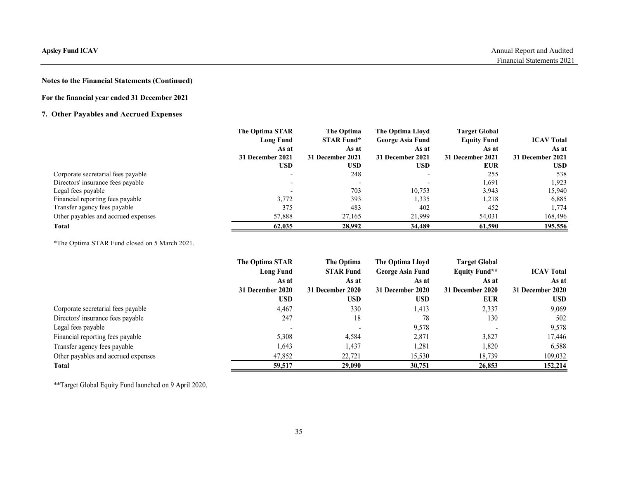# For the financial year ended 31 December 2021

# 7. Other Payables and Accrued Expenses

| sley Fund ICAV                                |                           |                           |                           |                           | Annual Report and Audited |
|-----------------------------------------------|---------------------------|---------------------------|---------------------------|---------------------------|---------------------------|
|                                               |                           |                           |                           |                           | Financial Statements 2021 |
| tes to the Financial Statements (Continued)   |                           |                           |                           |                           |                           |
| r the financial year ended 31 December 2021   |                           |                           |                           |                           |                           |
|                                               |                           |                           |                           |                           |                           |
| <b>Other Payables and Accrued Expenses</b>    |                           |                           |                           |                           |                           |
|                                               | The Optima STAR           | The Optima                | The Optima Lloyd          | <b>Target Global</b>      |                           |
|                                               | <b>Long Fund</b>          | <b>STAR Fund*</b>         | <b>George Asia Fund</b>   | <b>Equity Fund</b>        | <b>ICAV Total</b>         |
|                                               | As at<br>31 December 2021 | As at<br>31 December 2021 | As at<br>31 December 2021 | As at<br>31 December 2021 | As at<br>31 December 2021 |
|                                               | <b>USD</b>                | <b>USD</b>                | <b>USD</b>                | <b>EUR</b>                | <b>USD</b>                |
| Corporate secretarial fees payable            |                           | 248                       |                           | 255                       | 538                       |
| Directors' insurance fees payable             |                           |                           | $\overline{\phantom{a}}$  | 1,691                     | 1,923                     |
| Legal fees payable                            |                           | 703                       | 10,753                    | 3,943                     | 15,940                    |
| Financial reporting fees payable              | 3,772                     | 393                       | 1,335                     | 1,218                     | 6,885                     |
| Transfer agency fees payable                  | 375                       | 483                       | 402                       | 452                       | 1,774                     |
| Other payables and accrued expenses           | 57,888                    | 27,165                    | 21,999                    | 54,031                    | 168,496                   |
| <b>Total</b>                                  | 62,035                    | 28,992                    | 34,489                    | 61,590                    | 195,556                   |
| *The Optima STAR Fund closed on 5 March 2021. |                           |                           |                           |                           |                           |
|                                               | The Optima STAR           | The Optima                | The Optima Lloyd          | <b>Target Global</b>      |                           |
|                                               | <b>Long Fund</b>          | <b>STAR Fund</b>          | <b>George Asia Fund</b>   | <b>Equity Fund**</b>      | <b>ICAV Total</b>         |
|                                               | As at                     | As at                     | As at                     | As at                     | As at                     |
|                                               | 31 December 2020          | 31 December 2020          | 31 December 2020          | 31 December 2020          | 31 December 2020          |
|                                               | <b>USD</b>                | <b>USD</b>                | <b>USD</b>                | <b>EUR</b>                | <b>USD</b>                |
| Corporate secretarial fees payable            | 4,467                     | 330                       | 1,413                     | 2,337                     | 9,069                     |
| Directors' insurance fees payable             | 247                       | 18                        | 78                        | 130                       | 502                       |
|                                               |                           |                           |                           |                           |                           |

|                                                       | <b>USD</b>               | <b>USD</b>       | <b>USD</b>              | <b>EUR</b>               | <b>USD</b>        |
|-------------------------------------------------------|--------------------------|------------------|-------------------------|--------------------------|-------------------|
| Corporate secretarial fees payable                    |                          | 248              |                         | 255                      | 538               |
| Directors' insurance fees payable                     |                          |                  |                         | 1,691                    | 1,923             |
| Legal fees payable                                    | $\overline{\phantom{a}}$ | 703              | 10,753                  | 3,943                    | 15,940            |
| Financial reporting fees payable                      | 3,772                    | 393              | 1,335                   | 1,218                    | 6,885             |
| Transfer agency fees payable                          | 375                      | 483              | 402                     | 452                      | 1,774             |
| Other payables and accrued expenses                   | 57,888                   | 27,165           | 21,999                  | 54,031                   | 168,496           |
| <b>Total</b>                                          | 62,035                   | 28,992           | 34,489                  | 61,590                   | 195,556           |
| *The Optima STAR Fund closed on 5 March 2021.         |                          |                  |                         |                          |                   |
|                                                       | The Optima STAR          | The Optima       | The Optima Lloyd        | <b>Target Global</b>     |                   |
|                                                       | <b>Long Fund</b>         | <b>STAR Fund</b> | <b>George Asia Fund</b> | <b>Equity Fund**</b>     | <b>ICAV Total</b> |
|                                                       | As at                    | As at            | As at                   | As at                    | As at             |
|                                                       | 31 December 2020         | 31 December 2020 | 31 December 2020        | 31 December 2020         | 31 December 2020  |
|                                                       | <b>USD</b>               | <b>USD</b>       | <b>USD</b>              | <b>EUR</b>               | <b>USD</b>        |
| Corporate secretarial fees payable                    | 4,467                    | 330              | 1,413                   | 2,337                    | 9,069             |
| Directors' insurance fees payable                     | 247                      | 18               | 78                      | 130                      | 502               |
| Legal fees payable                                    |                          |                  | 9,578                   | $\overline{\phantom{a}}$ | 9,578             |
| Financial reporting fees payable                      | 5,308                    | 4,584            | 2,871                   | 3,827                    | 17,446            |
| Transfer agency fees payable                          | 1,643                    | 1,437            | 1,281                   | 1,820                    | 6,588             |
| Other payables and accrued expenses                   | 47,852                   | 22,721           | 15,530                  | 18,739                   | 109,032           |
| Total                                                 | 59,517                   | 29,090           | 30,751                  | 26,853                   | 152,214           |
| **Target Global Equity Fund launched on 9 April 2020. |                          |                  |                         |                          |                   |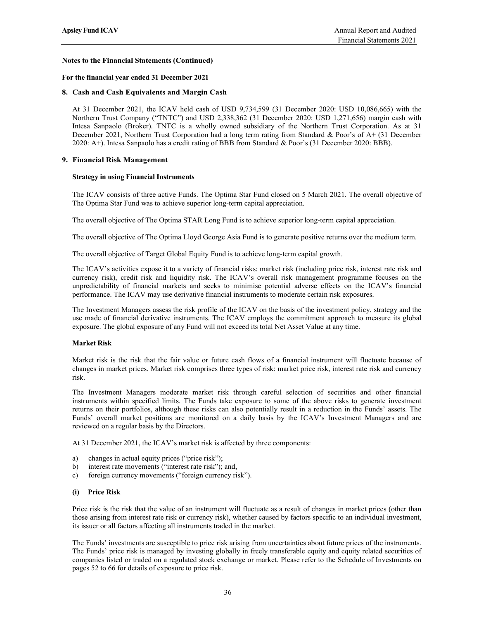### For the financial year ended 31 December 2021

### 8. Cash and Cash Equivalents and Margin Cash

At 31 December 2021, the ICAV held cash of USD 9,734,599 (31 December 2020: USD 10,086,665) with the Northern Trust Company ("TNTC") and USD 2,338,362 (31 December 2020: USD 1,271,656) margin cash with Intesa Sanpaolo (Broker). TNTC is a wholly owned subsidiary of the Northern Trust Corporation. As at 31 December 2021, Northern Trust Corporation had a long term rating from Standard & Poor's of A+ (31 December 2020: A+). Intesa Sanpaolo has a credit rating of BBB from Standard & Poor's (31 December 2020: BBB).

### 9. Financial Risk Management

#### Strategy in using Financial Instruments

The ICAV consists of three active Funds. The Optima Star Fund closed on 5 March 2021. The overall objective of The Optima Star Fund was to achieve superior long-term capital appreciation.

The overall objective of The Optima STAR Long Fund is to achieve superior long-term capital appreciation.

The overall objective of The Optima Lloyd George Asia Fund is to generate positive returns over the medium term.

The overall objective of Target Global Equity Fund is to achieve long-term capital growth.

The ICAV's activities expose it to a variety of financial risks: market risk (including price risk, interest rate risk and currency risk), credit risk and liquidity risk. The ICAV's overall risk management programme focuses on the unpredictability of financial markets and seeks to minimise potential adverse effects on the ICAV's financial performance. The ICAV may use derivative financial instruments to moderate certain risk exposures.

The Investment Managers assess the risk profile of the ICAV on the basis of the investment policy, strategy and the use made of financial derivative instruments. The ICAV employs the commitment approach to measure its global exposure. The global exposure of any Fund will not exceed its total Net Asset Value at any time.

### Market Risk

Market risk is the risk that the fair value or future cash flows of a financial instrument will fluctuate because of changes in market prices. Market risk comprises three types of risk: market price risk, interest rate risk and currency risk.

The Investment Managers moderate market risk through careful selection of securities and other financial instruments within specified limits. The Funds take exposure to some of the above risks to generate investment returns on their portfolios, although these risks can also potentially result in a reduction in the Funds' assets. The Funds' overall market positions are monitored on a daily basis by the ICAV's Investment Managers and are reviewed on a regular basis by the Directors.

At 31 December 2021, the ICAV's market risk is affected by three components:

- a) changes in actual equity prices ("price risk");
- b) interest rate movements ("interest rate risk"); and,
- c) foreign currency movements ("foreign currency risk").

#### (i) Price Risk

Price risk is the risk that the value of an instrument will fluctuate as a result of changes in market prices (other than those arising from interest rate risk or currency risk), whether caused by factors specific to an individual investment, its issuer or all factors affecting all instruments traded in the market.

The Funds' investments are susceptible to price risk arising from uncertainties about future prices of the instruments. The Funds' price risk is managed by investing globally in freely transferable equity and equity related securities of companies listed or traded on a regulated stock exchange or market. Please refer to the Schedule of Investments on pages 52 to 66 for details of exposure to price risk.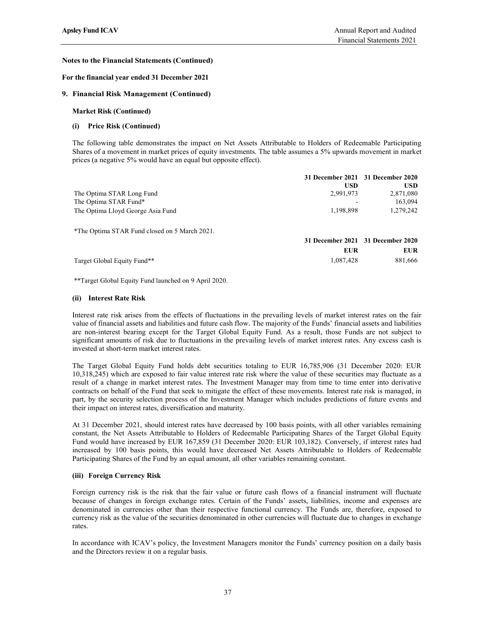#### For the financial year ended 31 December 2021

#### 9. Financial Risk Management (Continued)

#### Market Risk (Continued)

#### (i) Price Risk (Continued)

|                                                                                                                                                                                                                                                                                                    |                         | Financial Statements 2021         |
|----------------------------------------------------------------------------------------------------------------------------------------------------------------------------------------------------------------------------------------------------------------------------------------------------|-------------------------|-----------------------------------|
| tes to the Financial Statements (Continued)                                                                                                                                                                                                                                                        |                         |                                   |
| the financial year ended 31 December 2021                                                                                                                                                                                                                                                          |                         |                                   |
| <b>Financial Risk Management (Continued)</b>                                                                                                                                                                                                                                                       |                         |                                   |
| <b>Market Risk (Continued)</b>                                                                                                                                                                                                                                                                     |                         |                                   |
| (i) Price Risk (Continued)                                                                                                                                                                                                                                                                         |                         |                                   |
| The following table demonstrates the impact on Net Assets Attributable to Holders of Redeemable Participating<br>Shares of a movement in market prices of equity investments. The table assumes a 5% upwards movement in market<br>prices (a negative 5% would have an equal but opposite effect). |                         |                                   |
|                                                                                                                                                                                                                                                                                                    |                         | 31 December 2021 31 December 2020 |
| The Optima STAR Long Fund                                                                                                                                                                                                                                                                          | <b>USD</b><br>2,991,973 | <b>USD</b><br>2,871,080           |
| The Optima STAR Fund*                                                                                                                                                                                                                                                                              |                         | 163,094                           |
| The Optima Lloyd George Asia Fund                                                                                                                                                                                                                                                                  | 1,198,898               | 1,279,242                         |
| *The Optima STAR Fund closed on 5 March 2021.                                                                                                                                                                                                                                                      |                         |                                   |
|                                                                                                                                                                                                                                                                                                    |                         | 31 December 2021 31 December 2020 |
|                                                                                                                                                                                                                                                                                                    | <b>EUR</b>              | <b>EUR</b>                        |
| Target Global Equity Fund**                                                                                                                                                                                                                                                                        | 1,087,428               | 881,666                           |
| **Target Global Equity Fund launched on 9 April 2020.                                                                                                                                                                                                                                              |                         |                                   |
| (ii) Interest Rate Risk                                                                                                                                                                                                                                                                            |                         |                                   |

#### (ii) Interest Rate Risk

Interest rate risk arises from the effects of fluctuations in the prevailing levels of market interest rates on the fair value of financial assets and liabilities and future cash flow. The majority of the Funds' financial assets and liabilities are non-interest bearing except for the Target Global Equity Fund. As a result, those Funds are not subject to significant amounts of risk due to fluctuations in the prevailing levels of market interest rates. Any excess cash is invested at short-term market interest rates.

The Target Global Equity Fund holds debt securities totaling to EUR 16,785,906 (31 December 2020: EUR 10,318,245) which are exposed to fair value interest rate risk where the value of these securities may fluctuate as a result of a change in market interest rates. The Investment Manager may from time to time enter into derivative contracts on behalf of the Fund that seek to mitigate the effect of these movements. Interest rate risk is managed, in part, by the security selection process of the Investment Manager which includes predictions of future events and their impact on interest rates, diversification and maturity.

At 31 December 2021, should interest rates have decreased by 100 basis points, with all other variables remaining constant, the Net Assets Attributable to Holders of Redeemable Participating Shares of the Target Global Equity Fund would have increased by EUR 167,859 (31 December 2020: EUR 103,182). Conversely, if interest rates had increased by 100 basis points, this would have decreased Net Assets Attributable to Holders of Redeemable Participating Shares of the Fund by an equal amount, all other variables remaining constant.

### (iii) Foreign Currency Risk

Foreign currency risk is the risk that the fair value or future cash flows of a financial instrument will fluctuate because of changes in foreign exchange rates. Certain of the Funds' assets, liabilities, income and expenses are denominated in currencies other than their respective functional currency. The Funds are, therefore, exposed to currency risk as the value of the securities denominated in other currencies will fluctuate due to changes in exchange rates.

In accordance with ICAV's policy, the Investment Managers monitor the Funds' currency position on a daily basis and the Directors review it on a regular basis.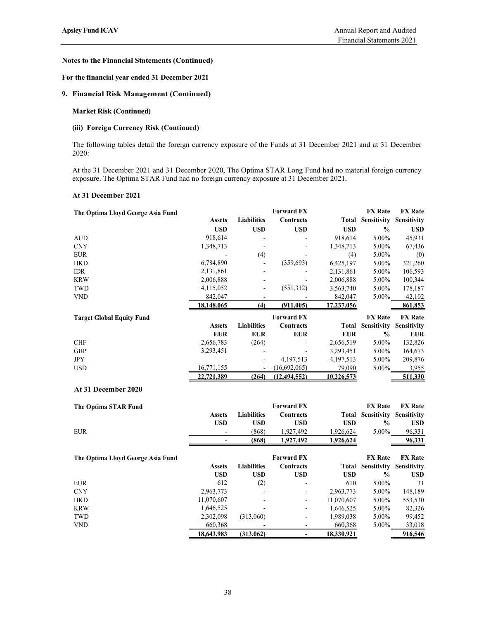## For the financial year ended 31 December 2021

## 9. Financial Risk Management (Continued)

## Market Risk (Continued)

### (iii) Foreign Currency Risk (Continued)

#### At 31 December 2021

| tes to the Financial Statements (Continued)                                                                                                                                                      |                          |                          |                                |                      |                                            |                               |
|--------------------------------------------------------------------------------------------------------------------------------------------------------------------------------------------------|--------------------------|--------------------------|--------------------------------|----------------------|--------------------------------------------|-------------------------------|
| r the financial year ended 31 December 2021                                                                                                                                                      |                          |                          |                                |                      |                                            |                               |
| <b>Financial Risk Management (Continued)</b>                                                                                                                                                     |                          |                          |                                |                      |                                            |                               |
| <b>Market Risk (Continued)</b>                                                                                                                                                                   |                          |                          |                                |                      |                                            |                               |
| (iii) Foreign Currency Risk (Continued)                                                                                                                                                          |                          |                          |                                |                      |                                            |                               |
| The following tables detail the foreign currency exposure of the Funds at 31 December 2021 and at 31 December<br>2020:                                                                           |                          |                          |                                |                      |                                            |                               |
| At the 31 December 2021 and 31 December 2020, The Optima STAR Long Fund had no material foreign currency<br>exposure. The Optima STAR Fund had no foreign currency exposure at 31 December 2021. |                          |                          |                                |                      |                                            |                               |
| At 31 December 2021                                                                                                                                                                              |                          |                          |                                |                      |                                            |                               |
| The Optima Lloyd George Asia Fund                                                                                                                                                                | <b>Assets</b>            | <b>Liabilities</b>       | <b>Forward FX</b><br>Contracts |                      | <b>FX</b> Rate<br><b>Total Sensitivity</b> | <b>FX</b> Rate<br>Sensitivity |
|                                                                                                                                                                                                  | <b>USD</b>               | <b>USD</b>               | <b>USD</b>                     | <b>USD</b>           | $\%$                                       | <b>USD</b>                    |
|                                                                                                                                                                                                  | 918,614                  |                          |                                |                      | 5.00%                                      | 45,931                        |
| AUD<br><b>CNY</b>                                                                                                                                                                                | 1,348,713                |                          |                                | 918,614<br>1,348,713 | 5.00%                                      |                               |
|                                                                                                                                                                                                  |                          |                          |                                |                      |                                            | 67,436                        |
| <b>EUR</b>                                                                                                                                                                                       |                          | (4)                      |                                | (4)                  | 5.00%                                      | (0)                           |
| <b>HKD</b>                                                                                                                                                                                       | 6,784,890                | $\overline{\phantom{a}}$ | (359, 693)                     | 6,425,197            | 5.00%                                      | 321,260                       |
| IDR                                                                                                                                                                                              | 2,131,861                |                          |                                | 2,131,861            | 5.00%                                      | 106,593                       |
| <b>KRW</b>                                                                                                                                                                                       | 2,006,888                | $\overline{\phantom{a}}$ |                                | 2,006,888            | 5.00%                                      | 100,344                       |
| <b>TWD</b>                                                                                                                                                                                       | 4,115,052                | $\overline{\phantom{a}}$ | (551,312)                      | 3,563,740            | 5.00%                                      | 178,187                       |
| <b>VND</b>                                                                                                                                                                                       | 842,047                  | $\overline{\phantom{a}}$ |                                | 842,047              | 5.00%                                      | 42,102                        |
|                                                                                                                                                                                                  | 18,148,065               | (4)                      | (911,005)                      | 17,237,056           |                                            | 861,853                       |
| <b>Target Global Equity Fund</b>                                                                                                                                                                 |                          |                          | <b>Forward FX</b>              |                      | <b>FX</b> Rate                             | <b>FX</b> Rate                |
|                                                                                                                                                                                                  | <b>Assets</b>            | <b>Liabilities</b>       | Contracts                      |                      | <b>Total Sensitivity</b>                   | <b>Sensitivity</b>            |
|                                                                                                                                                                                                  | <b>EUR</b>               | <b>EUR</b>               | <b>EUR</b>                     | <b>EUR</b>           | $\%$                                       | <b>EUR</b>                    |
| <b>CHF</b>                                                                                                                                                                                       | 2,656,783                | (264)                    |                                | 2,656,519            | 5.00%                                      | 132,826                       |
| <b>GBP</b>                                                                                                                                                                                       | 3,293,451                |                          | $\overline{\phantom{a}}$       | 3,293,451            | 5.00%                                      | 164,673                       |
| <b>JPY</b>                                                                                                                                                                                       |                          | $\overline{\phantom{a}}$ | 4,197,513                      | 4,197,513            | 5.00%                                      | 209,876                       |
| <b>USD</b>                                                                                                                                                                                       | 16,771,155               | $\overline{\phantom{a}}$ | (16,692,065)                   | 79,090               | 5.00%                                      | 3,955                         |
|                                                                                                                                                                                                  | 22,721,389               | (264)                    | (12, 494, 552)                 | 10,226,573           |                                            | 511,330                       |
| At 31 December 2020                                                                                                                                                                              |                          |                          |                                |                      |                                            |                               |
| The Optima STAR Fund                                                                                                                                                                             |                          |                          | <b>Forward FX</b>              |                      | <b>FX</b> Rate                             | <b>FX Rate</b>                |
|                                                                                                                                                                                                  | <b>Assets</b>            | Liabilities              | Contracts                      |                      | <b>Total Sensitivity</b>                   | Sensitivity                   |
|                                                                                                                                                                                                  | <b>USD</b>               | <b>USD</b>               | <b>USD</b>                     | <b>USD</b>           | $\%$                                       | <b>USD</b>                    |
| <b>EUR</b>                                                                                                                                                                                       |                          | (868)                    | 1,927,492                      | 1,926,624            | 5.00%                                      | 96,331                        |
|                                                                                                                                                                                                  | $\overline{\phantom{a}}$ | (868)                    | 1,927,492                      | 1,926,624            |                                            | 96,331                        |
| The Optima Lloyd George Asia Fund                                                                                                                                                                |                          |                          | <b>Forward FX</b>              |                      | <b>FX</b> Rate                             | <b>FX</b> Rate                |
|                                                                                                                                                                                                  | <b>Assets</b>            | <b>Liabilities</b>       | Contracts                      |                      | <b>Total Sensitivity</b>                   | Sensitivity                   |
|                                                                                                                                                                                                  | <b>USD</b>               | <b>USD</b>               | <b>USD</b>                     | <b>USD</b>           | $\%$                                       | <b>USD</b>                    |
| <b>EUR</b>                                                                                                                                                                                       | 612                      | (2)                      |                                | 610                  | 5.00%                                      | 31                            |
| C <sub>N</sub>                                                                                                                                                                                   | 2963773                  |                          |                                | 2.963.773            | 5.00%                                      | 148 189                       |
|                                                                                                                                                                                                  |                          |                          |                                |                      |                                            |                               |

| The Optima STAR Fund |                          |                    | <b>Forward FX</b> |           | <b>FX</b> Rate | <b>FX</b> Rate |
|----------------------|--------------------------|--------------------|-------------------|-----------|----------------|----------------|
|                      | Assets                   | <b>Liabilities</b> | Contracts         | Total     | Sensitivity    | Sensitivity    |
|                      | <b>USD</b>               | USD                | USD               | USD       | $\%$           | USD            |
| <b>EUR</b>           |                          | (868)              | 1.927.492         | 1,926,624 | $5.00\%$       | 96,331         |
|                      | $\overline{\phantom{0}}$ | (868)              | 1.927.492         | 1,926,624 |                | 96,331         |

|                                   | <b>EUR</b>               | <b>EUR</b>         | <b>EUR</b>               | <b>EUR</b> | $\frac{0}{0}$  | ${\bf EUR}$    |
|-----------------------------------|--------------------------|--------------------|--------------------------|------------|----------------|----------------|
| ${\rm CHF}$                       | 2,656,783                | (264)              |                          | 2,656,519  | 5.00%          | 132,826        |
| GBP                               | 3,293,451                |                    |                          | 3,293,451  | 5.00%          | 164,673        |
| <b>JPY</b>                        | $\overline{\phantom{a}}$ | $\overline{a}$     | 4,197,513                | 4,197,513  | 5.00%          | 209,876        |
| <b>USD</b>                        | 16,771,155               |                    | (16,692,065)             | 79,090     | 5.00%          | 3,955          |
|                                   | 22,721,389               | (264)              | (12, 494, 552)           | 10,226,573 |                | 511,330        |
| At 31 December 2020               |                          |                    |                          |            |                |                |
| The Optima STAR Fund              |                          |                    | <b>Forward FX</b>        |            | <b>FX</b> Rate | <b>FX</b> Rate |
|                                   | <b>Assets</b>            | <b>Liabilities</b> | Contracts                | Total      | Sensitivity    | Sensitivity    |
|                                   | <b>USD</b>               | <b>USD</b>         | <b>USD</b>               | <b>USD</b> | $\frac{0}{0}$  | <b>USD</b>     |
| ${\rm EUR}$                       |                          | (868)              | 1,927,492                | 1,926,624  | 5.00%          | 96,331         |
|                                   |                          | (868)              | 1,927,492                | 1,926,624  |                | 96,331         |
| The Optima Lloyd George Asia Fund |                          |                    | <b>Forward FX</b>        |            | <b>FX</b> Rate | <b>FX</b> Rate |
|                                   | <b>Assets</b>            | <b>Liabilities</b> | Contracts                | Total      | Sensitivity    | Sensitivity    |
|                                   | <b>USD</b>               | <b>USD</b>         | <b>USD</b>               | <b>USD</b> | $\frac{0}{0}$  | <b>USD</b>     |
| ${\rm EUR}$                       | 612                      | (2)                | $\overline{\phantom{a}}$ | 610        | 5.00%          | 31             |
| $\mbox{CNY}$                      | 2,963,773                |                    | $\overline{\phantom{a}}$ | 2,963,773  | 5.00%          | 148,189        |
| <b>HKD</b>                        | 11,070,607               |                    | $\overline{\phantom{a}}$ | 11,070,607 | 5.00%          | 553,530        |
| <b>KRW</b>                        | 1,646,525                |                    | $\overline{\phantom{a}}$ | 1,646,525  | 5.00%          | 82,326         |
|                                   | 2,302,098                | (313,060)          | $\overline{\phantom{a}}$ | 1,989,038  | 5.00%          | 99,452         |
| TWD                               |                          |                    |                          | 660,368    | 5.00%          | 33,018         |
| ${\rm VND}$                       | 660,368<br>18,643,983    | (313,062)          |                          | 18,330,921 |                | 916,546        |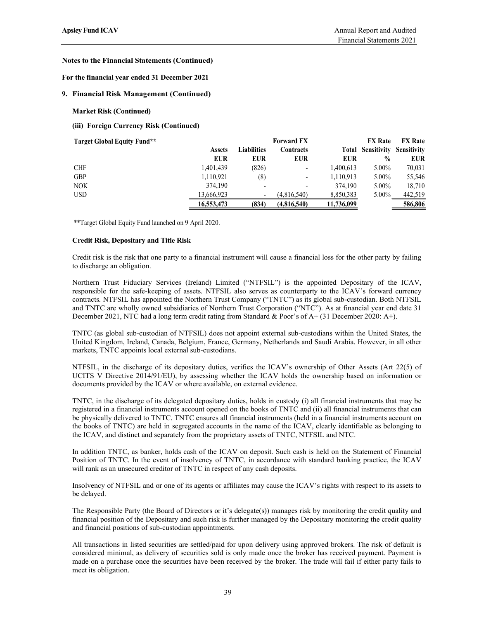### For the financial year ended 31 December 2021

### 9. Financial Risk Management (Continued)

### Market Risk (Continued)

| sley Fund ICAV                               |                                                       |                     |                          |                         | Annual Report and Audited |                      |
|----------------------------------------------|-------------------------------------------------------|---------------------|--------------------------|-------------------------|---------------------------|----------------------|
|                                              |                                                       |                     |                          |                         | Financial Statements 2021 |                      |
| tes to the Financial Statements (Continued)  |                                                       |                     |                          |                         |                           |                      |
| the financial year ended 31 December 2021    |                                                       |                     |                          |                         |                           |                      |
| <b>Financial Risk Management (Continued)</b> |                                                       |                     |                          |                         |                           |                      |
| <b>Market Risk (Continued)</b>               |                                                       |                     |                          |                         |                           |                      |
| (iii) Foreign Currency Risk (Continued)      |                                                       |                     |                          |                         |                           |                      |
| <b>Target Global Equity Fund**</b>           |                                                       |                     | <b>Forward FX</b>        |                         | <b>FX</b> Rate            | <b>FX</b> Rate       |
|                                              | <b>Assets</b>                                         | <b>Liabilities</b>  | Contracts                |                         | <b>Total Sensitivity</b>  | Sensitivity          |
| ${\rm CHF}$                                  | <b>EUR</b><br>1,401,439                               | <b>EUR</b><br>(826) | <b>EUR</b>               | <b>EUR</b><br>1,400,613 | $\%$<br>5.00%             | <b>EUR</b><br>70,031 |
| GBP                                          | 1,110,921                                             | (8)                 | $\overline{\phantom{a}}$ | 1,110,913               | 5.00%                     | 55,546               |
| <b>NOK</b>                                   | 374,190                                               |                     |                          | 374,190                 | 5.00%                     | 18,710               |
| <b>USD</b>                                   | 13,666,923                                            | $\blacksquare$      | (4,816,540)              | 8,850,383               | 5.00%                     | 442,519              |
|                                              | 16,553,473                                            | (834)               | (4,816,540)              | 11,736,099              |                           | 586,806              |
|                                              | **Target Global Equity Fund launched on 9 April 2020. |                     |                          |                         |                           |                      |

#### Credit Risk, Depositary and Title Risk

Credit risk is the risk that one party to a financial instrument will cause a financial loss for the other party by failing to discharge an obligation.

Northern Trust Fiduciary Services (Ireland) Limited ("NTFSIL") is the appointed Depositary of the ICAV, responsible for the safe-keeping of assets. NTFSIL also serves as counterparty to the ICAV's forward currency contracts. NTFSIL has appointed the Northern Trust Company ("TNTC") as its global sub-custodian. Both NTFSIL and TNTC are wholly owned subsidiaries of Northern Trust Corporation ("NTC"). As at financial year end date 31 December 2021, NTC had a long term credit rating from Standard & Poor's of A+ (31 December 2020: A+).

TNTC (as global sub-custodian of NTFSIL) does not appoint external sub-custodians within the United States, the United Kingdom, Ireland, Canada, Belgium, France, Germany, Netherlands and Saudi Arabia. However, in all other markets, TNTC appoints local external sub-custodians.

NTFSIL, in the discharge of its depositary duties, verifies the ICAV's ownership of Other Assets (Art 22(5) of UCITS V Directive 2014/91/EU), by assessing whether the ICAV holds the ownership based on information or documents provided by the ICAV or where available, on external evidence.

TNTC, in the discharge of its delegated depositary duties, holds in custody (i) all financial instruments that may be registered in a financial instruments account opened on the books of TNTC and (ii) all financial instruments that can be physically delivered to TNTC. TNTC ensures all financial instruments (held in a financial instruments account on the books of TNTC) are held in segregated accounts in the name of the ICAV, clearly identifiable as belonging to the ICAV, and distinct and separately from the proprietary assets of TNTC, NTFSIL and NTC.

In addition TNTC, as banker, holds cash of the ICAV on deposit. Such cash is held on the Statement of Financial Position of TNTC. In the event of insolvency of TNTC, in accordance with standard banking practice, the ICAV will rank as an unsecured creditor of TNTC in respect of any cash deposits.

Insolvency of NTFSIL and or one of its agents or affiliates may cause the ICAV's rights with respect to its assets to be delayed.

The Responsible Party (the Board of Directors or it's delegate(s)) manages risk by monitoring the credit quality and financial position of the Depositary and such risk is further managed by the Depositary monitoring the credit quality and financial positions of sub-custodian appointments.

All transactions in listed securities are settled/paid for upon delivery using approved brokers. The risk of default is considered minimal, as delivery of securities sold is only made once the broker has received payment. Payment is made on a purchase once the securities have been received by the broker. The trade will fail if either party fails to meet its obligation.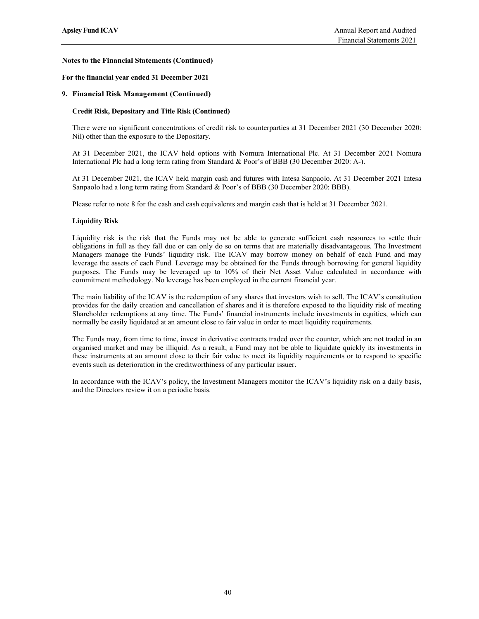#### For the financial year ended 31 December 2021

#### 9. Financial Risk Management (Continued)

#### Credit Risk, Depositary and Title Risk (Continued)

There were no significant concentrations of credit risk to counterparties at 31 December 2021 (30 December 2020: Nil) other than the exposure to the Depositary.

At 31 December 2021, the ICAV held options with Nomura International Plc. At 31 December 2021 Nomura International Plc had a long term rating from Standard & Poor's of BBB (30 December 2020: A-).

At 31 December 2021, the ICAV held margin cash and futures with Intesa Sanpaolo. At 31 December 2021 Intesa Sanpaolo had a long term rating from Standard & Poor's of BBB (30 December 2020: BBB).

Please refer to note 8 for the cash and cash equivalents and margin cash that is held at 31 December 2021.

#### Liquidity Risk

Liquidity risk is the risk that the Funds may not be able to generate sufficient cash resources to settle their obligations in full as they fall due or can only do so on terms that are materially disadvantageous. The Investment Managers manage the Funds' liquidity risk. The ICAV may borrow money on behalf of each Fund and may leverage the assets of each Fund. Leverage may be obtained for the Funds through borrowing for general liquidity purposes. The Funds may be leveraged up to 10% of their Net Asset Value calculated in accordance with commitment methodology. No leverage has been employed in the current financial year.

The main liability of the ICAV is the redemption of any shares that investors wish to sell. The ICAV's constitution provides for the daily creation and cancellation of shares and it is therefore exposed to the liquidity risk of meeting Shareholder redemptions at any time. The Funds' financial instruments include investments in equities, which can normally be easily liquidated at an amount close to fair value in order to meet liquidity requirements.

The Funds may, from time to time, invest in derivative contracts traded over the counter, which are not traded in an organised market and may be illiquid. As a result, a Fund may not be able to liquidate quickly its investments in these instruments at an amount close to their fair value to meet its liquidity requirements or to respond to specific events such as deterioration in the creditworthiness of any particular issuer.

In accordance with the ICAV's policy, the Investment Managers monitor the ICAV's liquidity risk on a daily basis, and the Directors review it on a periodic basis.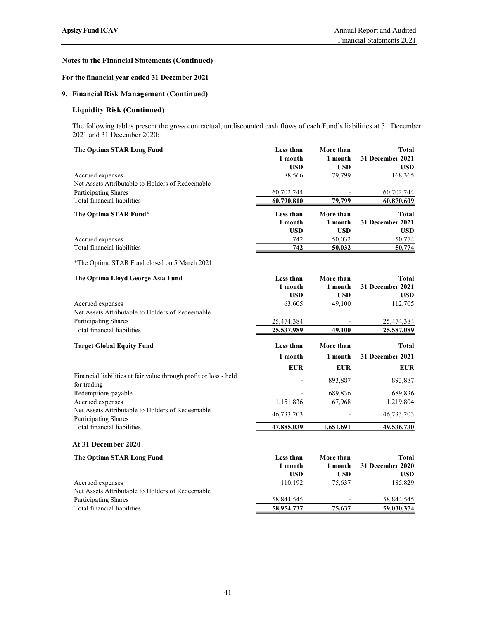## For the financial year ended 31 December 2021

## 9. Financial Risk Management (Continued)

## Liquidity Risk (Continued)

| sley Fund ICAV                                                                                                                                      |                                    |                                    | Annual Report and Audited<br>Financial Statements 2021 |
|-----------------------------------------------------------------------------------------------------------------------------------------------------|------------------------------------|------------------------------------|--------------------------------------------------------|
| tes to the Financial Statements (Continued)                                                                                                         |                                    |                                    |                                                        |
| r the financial year ended 31 December 2021                                                                                                         |                                    |                                    |                                                        |
| <b>Financial Risk Management (Continued)</b>                                                                                                        |                                    |                                    |                                                        |
| <b>Liquidity Risk (Continued)</b>                                                                                                                   |                                    |                                    |                                                        |
| The following tables present the gross contractual, undiscounted cash flows of each Fund's liabilities at 31 December<br>2021 and 31 December 2020: |                                    |                                    |                                                        |
| The Optima STAR Long Fund                                                                                                                           | Less than<br>1 month<br><b>USD</b> | More than<br>1 month<br><b>USD</b> | Total<br>31 December 2021<br><b>USD</b>                |
| Accrued expenses<br>Net Assets Attributable to Holders of Redeemable                                                                                | 88,566                             | 79,799                             | 168,365                                                |
| Participating Shares<br>Total financial liabilities                                                                                                 | 60,702,244<br>60,790,810           | 79,799                             | 60,702,244<br>60,870,609                               |
| The Optima STAR Fund*                                                                                                                               | Less than<br>1 month<br><b>USD</b> | More than<br>1 month<br><b>USD</b> | <b>Total</b><br>31 December 2021<br><b>USD</b>         |
| Accrued expenses<br>Total financial liabilities                                                                                                     | 742<br>742                         | 50,032<br>50,032                   | 50,774<br>50,774                                       |
| *The Optima STAR Fund closed on 5 March 2021.                                                                                                       |                                    |                                    |                                                        |
| The Optima Lloyd George Asia Fund                                                                                                                   | Less than<br>1 month               | More than<br>1 month               | <b>Total</b><br>31 December 2021                       |
| Accrued expenses<br>Net Assets Attributable to Holders of Redeemable                                                                                | <b>USD</b><br>63,605               | <b>USD</b><br>49,100               | <b>USD</b><br>112,705                                  |
| <b>Participating Shares</b><br>Total financial liabilities                                                                                          | 25,474,384<br>25,537,989           | 49,100                             | 25,474,384<br>25,587,089                               |
| <b>Target Global Equity Fund</b>                                                                                                                    | Less than                          | More than                          | <b>Total</b>                                           |
|                                                                                                                                                     |                                    |                                    | 24.72                                                  |

| The Optima STAR Long Fund                                            | Less than<br>1 month<br><b>USD</b> | More than<br>1 month<br><b>USD</b> | Total<br>31 December 2021<br><b>USD</b> |
|----------------------------------------------------------------------|------------------------------------|------------------------------------|-----------------------------------------|
| Accrued expenses<br>Net Assets Attributable to Holders of Redeemable | 88,566                             | 79,799                             | 168,365                                 |
| Participating Shares                                                 | 60,702,244                         |                                    | 60,702,244                              |
| Total financial liabilities                                          | 60,790,810                         | 79,799                             | 60,870,609                              |
| The Optima STAR Fund*                                                | Less than                          | More than                          | <b>Total</b>                            |
|                                                                      | 1 month                            | 1 month                            | 31 December 2021                        |
|                                                                      | <b>USD</b>                         | <b>USD</b>                         | <b>USD</b>                              |
| Accrued expenses                                                     | 742                                | 50,032                             | 50,774                                  |
| Total financial liabilities                                          | 742                                | 50,032                             | 50,774                                  |
| *The Optima STAR Fund closed on 5 March 2021.                        |                                    |                                    |                                         |
| The Optima Lloyd George Asia Fund                                    | Less than                          | More than                          | <b>Total</b>                            |
|                                                                      | 1 month                            | 1 month                            | 31 December 2021                        |
|                                                                      | <b>USD</b>                         | <b>USD</b>                         | <b>USD</b>                              |
| Accrued expenses                                                     | 63,605                             | 49,100                             | 112,705                                 |
| Net Assets Attributable to Holders of Redeemable                     |                                    |                                    |                                         |
| Participating Shares                                                 | 25,474,384                         |                                    | 25,474,384                              |
| Total financial liabilities                                          | 25,537,989                         | 49,100                             | 25,587,089                              |
| <b>Target Global Equity Fund</b>                                     | Less than                          | More than                          | <b>Total</b>                            |
|                                                                      | 1 month                            | 1 month                            | 31 December 2021                        |
|                                                                      | <b>EUR</b>                         | <b>EUR</b>                         | <b>EUR</b>                              |
| Financial liabilities at fair value through profit or loss - held    |                                    | 893,887                            | 893,887                                 |
| for trading<br>Redemptions payable                                   | $\overline{\phantom{a}}$           | 689,836                            | 689,836                                 |
| Accrued expenses                                                     | 1,151,836                          | 67,968                             | 1,219,804                               |
| Net Assets Attributable to Holders of Redeemable                     |                                    |                                    |                                         |
| Participating Shares                                                 | 46,733,203                         |                                    | 46,733,203                              |
| Total financial liabilities                                          | 47,885,039                         | 1,651,691                          | 49,536,730                              |
| At 31 December 2020                                                  |                                    |                                    |                                         |
| The Optima STAR Long Fund                                            | Less than                          | More than                          | <b>Total</b>                            |
|                                                                      | 1 month                            | 1 month                            | 31 December 2020                        |
|                                                                      | <b>USD</b>                         | <b>USD</b>                         | <b>USD</b>                              |
| Accrued expenses                                                     | 110,192                            | 75,637                             | 185,829                                 |

Net Assets Attributable to Holders of Redeemable Participating Shares 58,844,545 58,844,545 - 58,844,545 Total financial liabilities 58,954,737 59,030,374 59,030,374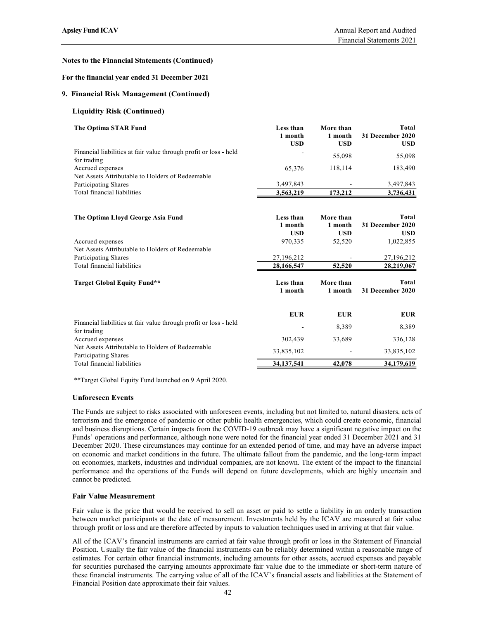### Notes to the Financial Statements (Continued)

### For the financial year ended 31 December 2021

### 9. Financial Risk Management (Continued)

- Liquidity Risk (Continued)
- The Optima STAR Fund **Less than** More than Total Design Total Less than More than

| sley Fund ICAV                                                                      |                                    |                                    | Annual Report and Audited<br>Financial Statements 2021 |
|-------------------------------------------------------------------------------------|------------------------------------|------------------------------------|--------------------------------------------------------|
| tes to the Financial Statements (Continued)                                         |                                    |                                    |                                                        |
|                                                                                     |                                    |                                    |                                                        |
| r the financial year ended 31 December 2021                                         |                                    |                                    |                                                        |
| <b>Financial Risk Management (Continued)</b>                                        |                                    |                                    |                                                        |
| <b>Liquidity Risk (Continued)</b>                                                   |                                    |                                    |                                                        |
| The Optima STAR Fund                                                                | Less than<br>1 month<br><b>USD</b> | More than<br>1 month<br><b>USD</b> | <b>Total</b><br>31 December 2020<br><b>USD</b>         |
| Financial liabilities at fair value through profit or loss - held                   |                                    | 55,098                             | 55,098                                                 |
| for trading<br>Accrued expenses<br>Net Assets Attributable to Holders of Redeemable | 65,376                             | 118,114                            | 183,490                                                |
| Participating Shares                                                                | 3,497,843                          |                                    | 3,497,843                                              |
| Total financial liabilities                                                         | 3,563,219                          | 173,212                            | 3,736,431                                              |
| The Optima Lloyd George Asia Fund                                                   | Less than                          | More than                          | <b>Total</b>                                           |
|                                                                                     | 1 month                            | 1 month                            | 31 December 2020                                       |
|                                                                                     | <b>USD</b>                         | <b>USD</b>                         | <b>USD</b>                                             |
| Accrued expenses<br>Net Assets Attributable to Holders of Redeemable                | 970,335                            | 52,520                             | 1,022,855                                              |
| Participating Shares                                                                | 27,196,212                         |                                    | 27,196,212                                             |
| Total financial liabilities                                                         | 28,166,547                         | 52,520                             | 28,219,067                                             |
| <b>Target Global Equity Fund**</b>                                                  | Less than<br>1 month               | More than<br>1 month               | <b>Total</b><br>31 December 2020                       |
|                                                                                     | <b>EUR</b>                         | <b>EUR</b>                         | <b>EUR</b>                                             |
| Financial liabilities at fair value through profit or loss - held                   | $\overline{a}$                     | 8,389                              | 8,389                                                  |
| for trading<br>Accrued expenses                                                     | 302,439                            | 33,689                             | 336,128                                                |
| Net Assets Attributable to Holders of Redeemable<br>Participating Shares            | 33,835,102                         | $\sim$                             | 33,835,102                                             |
| Total financial liabilities                                                         | 34, 137, 541                       | 42,078                             | 34,179,619                                             |

\*\*Target Global Equity Fund launched on 9 April 2020.

### Unforeseen Events

The Funds are subject to risks associated with unforeseen events, including but not limited to, natural disasters, acts of terrorism and the emergence of pandemic or other public health emergencies, which could create economic, financial and business disruptions. Certain impacts from the COVID-19 outbreak may have a significant negative impact on the Funds' operations and performance, although none were noted for the financial year ended 31 December 2021 and 31 December 2020. These circumstances may continue for an extended period of time, and may have an adverse impact on economic and market conditions in the future. The ultimate fallout from the pandemic, and the long-term impact on economies, markets, industries and individual companies, are not known. The extent of the impact to the financial performance and the operations of the Funds will depend on future developments, which are highly uncertain and cannot be predicted.

### Fair Value Measurement

Fair value is the price that would be received to sell an asset or paid to settle a liability in an orderly transaction between market participants at the date of measurement. Investments held by the ICAV are measured at fair value through profit or loss and are therefore affected by inputs to valuation techniques used in arriving at that fair value.

All of the ICAV's financial instruments are carried at fair value through profit or loss in the Statement of Financial Position. Usually the fair value of the financial instruments can be reliably determined within a reasonable range of estimates. For certain other financial instruments, including amounts for other assets, accrued expenses and payable for securities purchased the carrying amounts approximate fair value due to the immediate or short-term nature of these financial instruments. The carrying value of all of the ICAV's financial assets and liabilities at the Statement of Financial Position date approximate their fair values.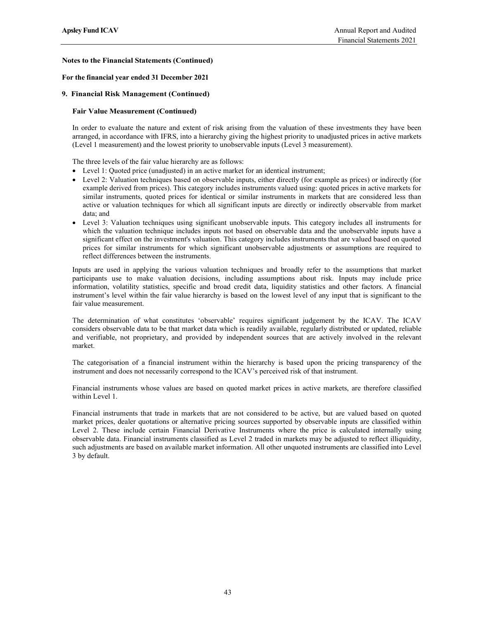### For the financial year ended 31 December 2021

### 9. Financial Risk Management (Continued)

### Fair Value Measurement (Continued)

In order to evaluate the nature and extent of risk arising from the valuation of these investments they have been arranged, in accordance with IFRS, into a hierarchy giving the highest priority to unadjusted prices in active markets (Level 1 measurement) and the lowest priority to unobservable inputs (Level 3 measurement).

The three levels of the fair value hierarchy are as follows:

- Level 1: Quoted price (unadjusted) in an active market for an identical instrument;
- Level 2: Valuation techniques based on observable inputs, either directly (for example as prices) or indirectly (for example derived from prices). This category includes instruments valued using: quoted prices in active markets for similar instruments, quoted prices for identical or similar instruments in markets that are considered less than active or valuation techniques for which all significant inputs are directly or indirectly observable from market data; and
- Level 3: Valuation techniques using significant unobservable inputs. This category includes all instruments for which the valuation technique includes inputs not based on observable data and the unobservable inputs have a significant effect on the investment's valuation. This category includes instruments that are valued based on quoted prices for similar instruments for which significant unobservable adjustments or assumptions are required to reflect differences between the instruments.

Inputs are used in applying the various valuation techniques and broadly refer to the assumptions that market participants use to make valuation decisions, including assumptions about risk. Inputs may include price information, volatility statistics, specific and broad credit data, liquidity statistics and other factors. A financial instrument's level within the fair value hierarchy is based on the lowest level of any input that is significant to the fair value measurement.

The determination of what constitutes 'observable' requires significant judgement by the ICAV. The ICAV considers observable data to be that market data which is readily available, regularly distributed or updated, reliable and verifiable, not proprietary, and provided by independent sources that are actively involved in the relevant market.

The categorisation of a financial instrument within the hierarchy is based upon the pricing transparency of the instrument and does not necessarily correspond to the ICAV's perceived risk of that instrument.

Financial instruments whose values are based on quoted market prices in active markets, are therefore classified within Level 1.

Financial instruments that trade in markets that are not considered to be active, but are valued based on quoted market prices, dealer quotations or alternative pricing sources supported by observable inputs are classified within Level 2. These include certain Financial Derivative Instruments where the price is calculated internally using observable data. Financial instruments classified as Level 2 traded in markets may be adjusted to reflect illiquidity, such adjustments are based on available market information. All other unquoted instruments are classified into Level 3 by default.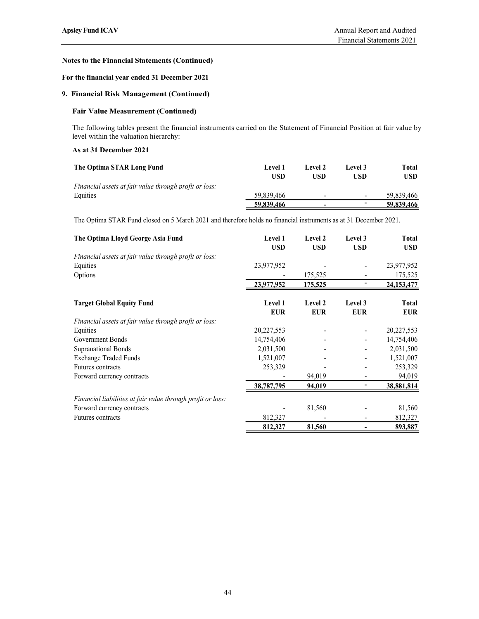## For the financial year ended 31 December 2021

## 9. Financial Risk Management (Continued)

## Fair Value Measurement (Continued)

### As at 31 December 2021

| sley Fund ICAV                                                                                                         |                |            |            | Annual Report and Audited  |
|------------------------------------------------------------------------------------------------------------------------|----------------|------------|------------|----------------------------|
|                                                                                                                        |                |            |            | Financial Statements 2021  |
| tes to the Financial Statements (Continued)                                                                            |                |            |            |                            |
| the financial year ended 31 December 2021                                                                              |                |            |            |                            |
| <b>Financial Risk Management (Continued)</b>                                                                           |                |            |            |                            |
| <b>Fair Value Measurement (Continued)</b>                                                                              |                |            |            |                            |
| The following tables present the financial instruments carried on the Statement of Financial Position at fair value by |                |            |            |                            |
| level within the valuation hierarchy:                                                                                  |                |            |            |                            |
| <b>As at 31 December 2021</b>                                                                                          |                |            |            |                            |
| The Optima STAR Long Fund                                                                                              | <b>Level 1</b> | Level 2    | Level 3    | <b>Total</b><br><b>USD</b> |
|                                                                                                                        | <b>USD</b>     | <b>USD</b> | <b>USD</b> |                            |
|                                                                                                                        | 59,839,466     |            |            | 59,839,466                 |
| Financial assets at fair value through profit or loss:<br>Equities                                                     | 59,839,466     |            |            | 59,839,466                 |
| The Optima STAR Fund closed on 5 March 2021 and therefore holds no financial instruments as at 31 December 2021.       |                |            |            |                            |

| <b>Fair Value Measurement (Continued)</b><br>The following tables present the financial instruments carried on the Statement of Financial Position at fair value by<br>level within the valuation hierarchy:<br>As at 31 December 2021<br>The Optima STAR Long Fund<br>Level 1<br>Level 2<br>Level 3<br><b>Total</b><br><b>USD</b><br><b>USD</b><br><b>USD</b><br><b>USD</b><br>Financial assets at fair value through profit or loss:<br>Equities<br>59,839,466<br>59,839,466<br>$\overline{\phantom{a}}$<br>59,839,466<br>59,839,466<br>The Optima STAR Fund closed on 5 March 2021 and therefore holds no financial instruments as at 31 December 2021.<br>The Optima Lloyd George Asia Fund<br><b>Total</b><br>Level 1<br>Level 2<br>Level 3<br><b>USD</b><br><b>USD</b><br><b>USD</b><br><b>USD</b><br>Financial assets at fair value through profit or loss:<br>Equities<br>23,977,952<br>23,977,952<br>Options<br>175,525<br>175,525<br>$\blacksquare$<br>23,977,952<br>175,525<br>24, 153, 477<br><b>Target Global Equity Fund</b><br>Level 1<br>Level 2<br>Level 3<br><b>Total</b><br><b>EUR</b><br><b>EUR</b><br><b>EUR</b><br><b>EUR</b><br>Financial assets at fair value through profit or loss:<br>Equities<br>20,227,553<br>20,227,553<br>Government Bonds<br>14,754,406<br>14,754,406<br>2,031,500<br><b>Supranational Bonds</b><br>2,031,500<br>$\overline{\phantom{a}}$<br><b>Exchange Traded Funds</b><br>1,521,007<br>1,521,007<br>$\overline{a}$<br>Futures contracts<br>253,329<br>253,329<br>94,019<br>94,019<br>Forward currency contracts<br>$\overline{\phantom{a}}$<br>$\overline{\phantom{a}}$<br>38,787,795<br>94,019<br>38,881,814<br>Financial liabilities at fair value through profit or loss:<br>Forward currency contracts<br>81,560<br>81,560<br>Futures contracts<br>812,327<br>812,327 | <b>Financial Risk Management (Continued)</b> |  |  |
|------------------------------------------------------------------------------------------------------------------------------------------------------------------------------------------------------------------------------------------------------------------------------------------------------------------------------------------------------------------------------------------------------------------------------------------------------------------------------------------------------------------------------------------------------------------------------------------------------------------------------------------------------------------------------------------------------------------------------------------------------------------------------------------------------------------------------------------------------------------------------------------------------------------------------------------------------------------------------------------------------------------------------------------------------------------------------------------------------------------------------------------------------------------------------------------------------------------------------------------------------------------------------------------------------------------------------------------------------------------------------------------------------------------------------------------------------------------------------------------------------------------------------------------------------------------------------------------------------------------------------------------------------------------------------------------------------------------------------------------------------------------------------------------------------------------------------|----------------------------------------------|--|--|
|                                                                                                                                                                                                                                                                                                                                                                                                                                                                                                                                                                                                                                                                                                                                                                                                                                                                                                                                                                                                                                                                                                                                                                                                                                                                                                                                                                                                                                                                                                                                                                                                                                                                                                                                                                                                                              |                                              |  |  |
|                                                                                                                                                                                                                                                                                                                                                                                                                                                                                                                                                                                                                                                                                                                                                                                                                                                                                                                                                                                                                                                                                                                                                                                                                                                                                                                                                                                                                                                                                                                                                                                                                                                                                                                                                                                                                              |                                              |  |  |
|                                                                                                                                                                                                                                                                                                                                                                                                                                                                                                                                                                                                                                                                                                                                                                                                                                                                                                                                                                                                                                                                                                                                                                                                                                                                                                                                                                                                                                                                                                                                                                                                                                                                                                                                                                                                                              |                                              |  |  |
|                                                                                                                                                                                                                                                                                                                                                                                                                                                                                                                                                                                                                                                                                                                                                                                                                                                                                                                                                                                                                                                                                                                                                                                                                                                                                                                                                                                                                                                                                                                                                                                                                                                                                                                                                                                                                              |                                              |  |  |
|                                                                                                                                                                                                                                                                                                                                                                                                                                                                                                                                                                                                                                                                                                                                                                                                                                                                                                                                                                                                                                                                                                                                                                                                                                                                                                                                                                                                                                                                                                                                                                                                                                                                                                                                                                                                                              |                                              |  |  |
|                                                                                                                                                                                                                                                                                                                                                                                                                                                                                                                                                                                                                                                                                                                                                                                                                                                                                                                                                                                                                                                                                                                                                                                                                                                                                                                                                                                                                                                                                                                                                                                                                                                                                                                                                                                                                              |                                              |  |  |
|                                                                                                                                                                                                                                                                                                                                                                                                                                                                                                                                                                                                                                                                                                                                                                                                                                                                                                                                                                                                                                                                                                                                                                                                                                                                                                                                                                                                                                                                                                                                                                                                                                                                                                                                                                                                                              |                                              |  |  |
|                                                                                                                                                                                                                                                                                                                                                                                                                                                                                                                                                                                                                                                                                                                                                                                                                                                                                                                                                                                                                                                                                                                                                                                                                                                                                                                                                                                                                                                                                                                                                                                                                                                                                                                                                                                                                              |                                              |  |  |
|                                                                                                                                                                                                                                                                                                                                                                                                                                                                                                                                                                                                                                                                                                                                                                                                                                                                                                                                                                                                                                                                                                                                                                                                                                                                                                                                                                                                                                                                                                                                                                                                                                                                                                                                                                                                                              |                                              |  |  |
|                                                                                                                                                                                                                                                                                                                                                                                                                                                                                                                                                                                                                                                                                                                                                                                                                                                                                                                                                                                                                                                                                                                                                                                                                                                                                                                                                                                                                                                                                                                                                                                                                                                                                                                                                                                                                              |                                              |  |  |
|                                                                                                                                                                                                                                                                                                                                                                                                                                                                                                                                                                                                                                                                                                                                                                                                                                                                                                                                                                                                                                                                                                                                                                                                                                                                                                                                                                                                                                                                                                                                                                                                                                                                                                                                                                                                                              |                                              |  |  |
|                                                                                                                                                                                                                                                                                                                                                                                                                                                                                                                                                                                                                                                                                                                                                                                                                                                                                                                                                                                                                                                                                                                                                                                                                                                                                                                                                                                                                                                                                                                                                                                                                                                                                                                                                                                                                              |                                              |  |  |
|                                                                                                                                                                                                                                                                                                                                                                                                                                                                                                                                                                                                                                                                                                                                                                                                                                                                                                                                                                                                                                                                                                                                                                                                                                                                                                                                                                                                                                                                                                                                                                                                                                                                                                                                                                                                                              |                                              |  |  |
|                                                                                                                                                                                                                                                                                                                                                                                                                                                                                                                                                                                                                                                                                                                                                                                                                                                                                                                                                                                                                                                                                                                                                                                                                                                                                                                                                                                                                                                                                                                                                                                                                                                                                                                                                                                                                              |                                              |  |  |
|                                                                                                                                                                                                                                                                                                                                                                                                                                                                                                                                                                                                                                                                                                                                                                                                                                                                                                                                                                                                                                                                                                                                                                                                                                                                                                                                                                                                                                                                                                                                                                                                                                                                                                                                                                                                                              |                                              |  |  |
|                                                                                                                                                                                                                                                                                                                                                                                                                                                                                                                                                                                                                                                                                                                                                                                                                                                                                                                                                                                                                                                                                                                                                                                                                                                                                                                                                                                                                                                                                                                                                                                                                                                                                                                                                                                                                              |                                              |  |  |
|                                                                                                                                                                                                                                                                                                                                                                                                                                                                                                                                                                                                                                                                                                                                                                                                                                                                                                                                                                                                                                                                                                                                                                                                                                                                                                                                                                                                                                                                                                                                                                                                                                                                                                                                                                                                                              |                                              |  |  |
|                                                                                                                                                                                                                                                                                                                                                                                                                                                                                                                                                                                                                                                                                                                                                                                                                                                                                                                                                                                                                                                                                                                                                                                                                                                                                                                                                                                                                                                                                                                                                                                                                                                                                                                                                                                                                              |                                              |  |  |
|                                                                                                                                                                                                                                                                                                                                                                                                                                                                                                                                                                                                                                                                                                                                                                                                                                                                                                                                                                                                                                                                                                                                                                                                                                                                                                                                                                                                                                                                                                                                                                                                                                                                                                                                                                                                                              |                                              |  |  |
|                                                                                                                                                                                                                                                                                                                                                                                                                                                                                                                                                                                                                                                                                                                                                                                                                                                                                                                                                                                                                                                                                                                                                                                                                                                                                                                                                                                                                                                                                                                                                                                                                                                                                                                                                                                                                              |                                              |  |  |
|                                                                                                                                                                                                                                                                                                                                                                                                                                                                                                                                                                                                                                                                                                                                                                                                                                                                                                                                                                                                                                                                                                                                                                                                                                                                                                                                                                                                                                                                                                                                                                                                                                                                                                                                                                                                                              |                                              |  |  |
|                                                                                                                                                                                                                                                                                                                                                                                                                                                                                                                                                                                                                                                                                                                                                                                                                                                                                                                                                                                                                                                                                                                                                                                                                                                                                                                                                                                                                                                                                                                                                                                                                                                                                                                                                                                                                              |                                              |  |  |
|                                                                                                                                                                                                                                                                                                                                                                                                                                                                                                                                                                                                                                                                                                                                                                                                                                                                                                                                                                                                                                                                                                                                                                                                                                                                                                                                                                                                                                                                                                                                                                                                                                                                                                                                                                                                                              |                                              |  |  |
|                                                                                                                                                                                                                                                                                                                                                                                                                                                                                                                                                                                                                                                                                                                                                                                                                                                                                                                                                                                                                                                                                                                                                                                                                                                                                                                                                                                                                                                                                                                                                                                                                                                                                                                                                                                                                              |                                              |  |  |
|                                                                                                                                                                                                                                                                                                                                                                                                                                                                                                                                                                                                                                                                                                                                                                                                                                                                                                                                                                                                                                                                                                                                                                                                                                                                                                                                                                                                                                                                                                                                                                                                                                                                                                                                                                                                                              |                                              |  |  |
|                                                                                                                                                                                                                                                                                                                                                                                                                                                                                                                                                                                                                                                                                                                                                                                                                                                                                                                                                                                                                                                                                                                                                                                                                                                                                                                                                                                                                                                                                                                                                                                                                                                                                                                                                                                                                              |                                              |  |  |
| 812,327<br>81,560<br>893,887<br>$\overline{a}$                                                                                                                                                                                                                                                                                                                                                                                                                                                                                                                                                                                                                                                                                                                                                                                                                                                                                                                                                                                                                                                                                                                                                                                                                                                                                                                                                                                                                                                                                                                                                                                                                                                                                                                                                                               |                                              |  |  |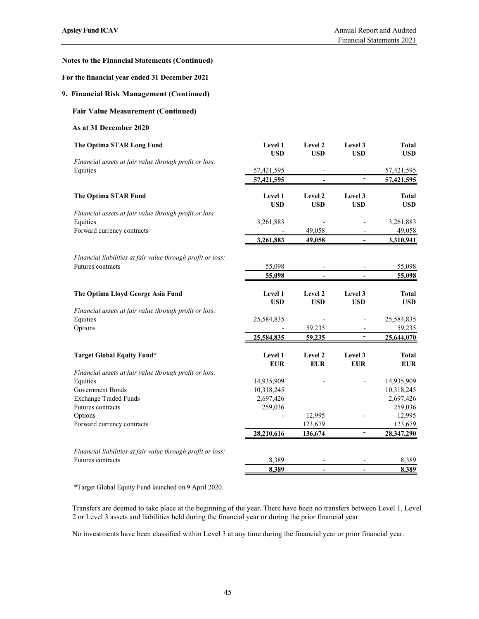## For the financial year ended 31 December 2021

## 9. Financial Risk Management (Continued)

## Fair Value Measurement (Continued)

#### As at 31 December 2020

| sley Fund ICAV                                              |                           |                                            |                                                      | Annual Report and Audited<br>Financial Statements 2021 |
|-------------------------------------------------------------|---------------------------|--------------------------------------------|------------------------------------------------------|--------------------------------------------------------|
| tes to the Financial Statements (Continued)                 |                           |                                            |                                                      |                                                        |
| r the financial year ended 31 December 2021                 |                           |                                            |                                                      |                                                        |
| <b>Financial Risk Management (Continued)</b>                |                           |                                            |                                                      |                                                        |
| <b>Fair Value Measurement (Continued)</b>                   |                           |                                            |                                                      |                                                        |
| As at 31 December 2020                                      |                           |                                            |                                                      |                                                        |
| The Optima STAR Long Fund                                   | Level 1                   | Level 2                                    | Level 3                                              | <b>Total</b>                                           |
| Financial assets at fair value through profit or loss:      | <b>USD</b>                | <b>USD</b>                                 | <b>USD</b>                                           | <b>USD</b>                                             |
| Equities                                                    | 57,421,595<br>57,421,595  | $\overline{\phantom{a}}$<br>$\blacksquare$ | $\overline{\phantom{a}}$<br>$\overline{\phantom{a}}$ | 57,421,595<br>57,421,595                               |
|                                                             |                           |                                            |                                                      |                                                        |
| The Optima STAR Fund                                        | Level 1<br><b>USD</b>     | Level 2<br><b>USD</b>                      | Level 3<br><b>USD</b>                                | <b>Total</b><br><b>USD</b>                             |
| Financial assets at fair value through profit or loss:      |                           |                                            |                                                      |                                                        |
| Equities<br>Forward currency contracts                      | 3,261,883                 | 49,058                                     |                                                      | 3,261,883<br>49,058                                    |
|                                                             | 3,261,883                 | 49,058                                     | $\blacksquare$                                       | 3,310,941                                              |
| Financial liabilities at fair value through profit or loss: |                           |                                            |                                                      |                                                        |
| Futures contracts                                           | 55,098                    |                                            |                                                      | 55,098                                                 |
|                                                             | 55,098                    | $\blacksquare$                             | $\blacksquare$                                       | 55,098                                                 |
| The Optima Lloyd George Asia Fund                           | Level 1                   | Level 2                                    | Level 3                                              | <b>Total</b>                                           |
|                                                             | <b>USD</b>                | <b>USD</b>                                 | <b>USD</b>                                           | <b>USD</b>                                             |
| Financial assets at fair value through profit or loss:      | 25,584,835                |                                            |                                                      | 25,584,835                                             |
| Equities<br>Options                                         |                           | 59,235                                     | $\overline{\phantom{a}}$<br>$\overline{\phantom{a}}$ | 59,235                                                 |
|                                                             | 25,584,835                | 59,235                                     | $\overline{\phantom{a}}$                             | 25,644,070                                             |
| <b>Target Global Equity Fund*</b>                           | Level 1                   | Level 2                                    | Level 3                                              | <b>Total</b>                                           |
|                                                             | ${\bf E} {\bf U} {\bf R}$ | <b>EUR</b>                                 | <b>EUR</b>                                           | <b>EUR</b>                                             |
| Financial assets at fair value through profit or loss:      |                           |                                            |                                                      | 14,935,909                                             |
| Equities<br>Government Bonds                                | 14,935,909<br>10,318,245  |                                            | $\overline{\phantom{a}}$                             | 10,318,245                                             |
| <b>Exchange Traded Funds</b>                                | 2,697,426                 |                                            |                                                      | 2,697,426                                              |
| Futures contracts                                           | 259,036                   |                                            |                                                      | 259,036                                                |
| Options                                                     |                           | 12,995                                     | $\overline{\phantom{a}}$                             | 12,995                                                 |
| Forward currency contracts                                  |                           | 123,679                                    |                                                      | 123,679                                                |
|                                                             | 28,210,616                | 136,674                                    | $\overline{\phantom{a}}$                             | 28,347,290                                             |
| Financial liabilities at fair value through profit or loss: |                           |                                            |                                                      |                                                        |
| Futures contracts                                           | 8,389                     |                                            |                                                      | 8,389                                                  |
|                                                             | 8,389                     | $\blacksquare$                             |                                                      | 8,389                                                  |

Transfers are deemed to take place at the beginning of the year. There have been no transfers between Level 1, Level 2 or Level 3 assets and liabilities held during the financial year or during the prior financial year.

No investments have been classified within Level 3 at any time during the financial year or prior financial year.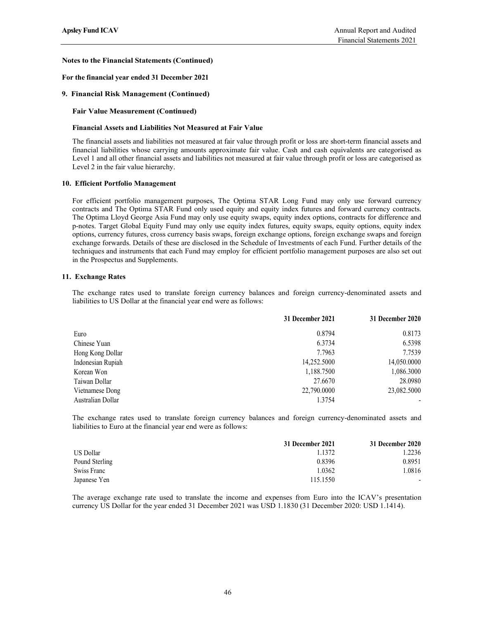### For the financial year ended 31 December 2021

### 9. Financial Risk Management (Continued)

### Fair Value Measurement (Continued)

### Financial Assets and Liabilities Not Measured at Fair Value

The financial assets and liabilities not measured at fair value through profit or loss are short-term financial assets and financial liabilities whose carrying amounts approximate fair value. Cash and cash equivalents are categorised as Level 1 and all other financial assets and liabilities not measured at fair value through profit or loss are categorised as Level 2 in the fair value hierarchy.

#### 10. Efficient Portfolio Management

For efficient portfolio management purposes, The Optima STAR Long Fund may only use forward currency contracts and The Optima STAR Fund only used equity and equity index futures and forward currency contracts. The Optima Lloyd George Asia Fund may only use equity swaps, equity index options, contracts for difference and p-notes. Target Global Equity Fund may only use equity index futures, equity swaps, equity options, equity index options, currency futures, cross currency basis swaps, foreign exchange options, foreign exchange swaps and foreign exchange forwards. Details of these are disclosed in the Schedule of Investments of each Fund. Further details of the techniques and instruments that each Fund may employ for efficient portfolio management purposes are also set out in the Prospectus and Supplements.

#### 11. Exchange Rates

The exchange rates used to translate foreign currency balances and foreign currency-denominated assets and liabilities to US Dollar at the financial year end were as follows:

| 31 December 2021 | 31 December 2020 |  |
|------------------|------------------|--|
| 0.8794           | 0.8173           |  |
| 6.3734           | 6.5398           |  |
| 7.7963           | 7.7539           |  |
| 14,252.5000      | 14,050.0000      |  |
| 1,188.7500       | 1,086.3000       |  |
| 27.6670          | 28.0980          |  |
| 22,790.0000      | 23,082.5000      |  |
| 1.3754           | $\,$             |  |
|                  |                  |  |

The exchange rates used to translate foreign currency balances and foreign currency-denominated assets and liabilities to Euro at the financial year end were as follows:

|                  | 31 December 2021 | 31 December 2020         |  |
|------------------|------------------|--------------------------|--|
| <b>US Dollar</b> | 1.1372           | .2236                    |  |
| Pound Sterling   | 0.8396           | 0.8951                   |  |
| Swiss Franc      | .0362            | .0816                    |  |
| Japanese Yen     | 115.1550         | $\overline{\phantom{0}}$ |  |

The average exchange rate used to translate the income and expenses from Euro into the ICAV's presentation currency US Dollar for the year ended 31 December 2021 was USD 1.1830 (31 December 2020: USD 1.1414).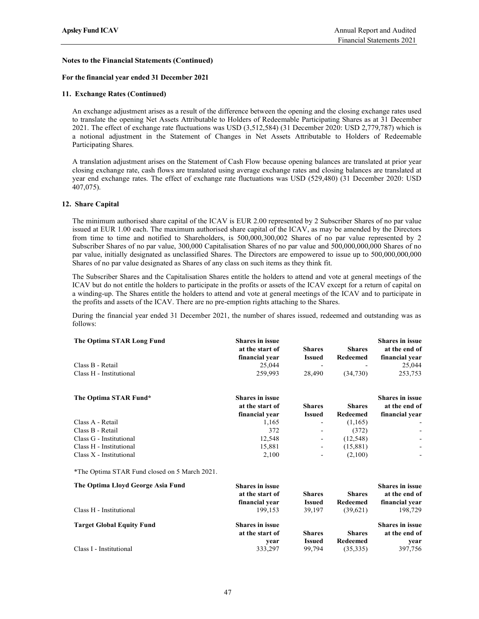### For the financial year ended 31 December 2021

### 11. Exchange Rates (Continued)

An exchange adjustment arises as a result of the difference between the opening and the closing exchange rates used to translate the opening Net Assets Attributable to Holders of Redeemable Participating Shares as at 31 December 2021. The effect of exchange rate fluctuations was USD (3,512,584) (31 December 2020: USD 2,779,787) which is a notional adjustment in the Statement of Changes in Net Assets Attributable to Holders of Redeemable Participating Shares.

A translation adjustment arises on the Statement of Cash Flow because opening balances are translated at prior year closing exchange rate, cash flows are translated using average exchange rates and closing balances are translated at year end exchange rates. The effect of exchange rate fluctuations was USD (529,480) (31 December 2020: USD 407,075).

#### 12. Share Capital

The minimum authorised share capital of the ICAV is EUR 2.00 represented by 2 Subscriber Shares of no par value issued at EUR 1.00 each. The maximum authorised share capital of the ICAV, as may be amended by the Directors from time to time and notified to Shareholders, is 500,000,300,002 Shares of no par value represented by 2 Subscriber Shares of no par value, 300,000 Capitalisation Shares of no par value and 500,000,000,000 Shares of no par value, initially designated as unclassified Shares. The Directors are empowered to issue up to 500,000,000,000 Shares of no par value designated as Shares of any class on such items as they think fit.

The Subscriber Shares and the Capitalisation Shares entitle the holders to attend and vote at general meetings of the ICAV but do not entitle the holders to participate in the profits or assets of the ICAV except for a return of capital on a winding-up. The Shares entitle the holders to attend and vote at general meetings of the ICAV and to participate in the profits and assets of the ICAV. There are no pre-emption rights attaching to the Shares.

During the financial year ended 31 December 2021, the number of shares issued, redeemed and outstanding was as follows:

| The Optima STAR Long Fund                     | <b>Shares in issue</b>                    |                          |                      | <b>Shares in issue</b>                  |  |
|-----------------------------------------------|-------------------------------------------|--------------------------|----------------------|-----------------------------------------|--|
|                                               | at the start of                           | <b>Shares</b>            | <b>Shares</b>        | at the end of                           |  |
|                                               | financial year                            | <b>Issued</b>            | Redeemed             | financial year                          |  |
| Class B - Retail                              | 25,044                                    |                          |                      | 25,044                                  |  |
| Class H - Institutional                       | 259,993                                   | 28,490                   | (34,730)             | 253,753                                 |  |
| The Optima STAR Fund*                         | <b>Shares in issue</b>                    |                          |                      | <b>Shares in issue</b>                  |  |
|                                               | at the start of                           | <b>Shares</b>            | <b>Shares</b>        | at the end of                           |  |
|                                               | financial year                            | <b>Issued</b>            | Redeemed             | financial year                          |  |
| Class A - Retail                              | 1,165                                     | $\overline{\phantom{a}}$ | (1,165)              |                                         |  |
| Class B - Retail                              | 372                                       | $\overline{\phantom{a}}$ | (372)                |                                         |  |
| Class G - Institutional                       | 12,548                                    | $\overline{\phantom{a}}$ | (12, 548)            |                                         |  |
| Class H - Institutional                       | 15,881                                    |                          | (15,881)             |                                         |  |
| Class X - Institutional                       | 2,100                                     |                          | (2,100)              |                                         |  |
| *The Optima STAR Fund closed on 5 March 2021. |                                           |                          |                      |                                         |  |
| The Optima Lloyd George Asia Fund             | <b>Shares in issue</b><br>at the start of | <b>Shares</b>            | <b>Shares</b>        | <b>Shares in issue</b><br>at the end of |  |
| Class H - Institutional                       | financial year<br>199,153                 | <b>Issued</b><br>39,197  | Redeemed<br>(39,621) | financial year<br>198,729               |  |
| <b>Target Global Equity Fund</b>              | <b>Shares in issue</b>                    |                          |                      | <b>Shares in issue</b>                  |  |
|                                               | at the start of                           | <b>Shares</b>            | <b>Shares</b>        | at the end of                           |  |
|                                               | year                                      | <b>Issued</b>            | Redeemed             | year                                    |  |
| Class I - Institutional                       | 333,297                                   | 99,794                   | (35,335)             | 397,756                                 |  |
|                                               |                                           |                          |                      |                                         |  |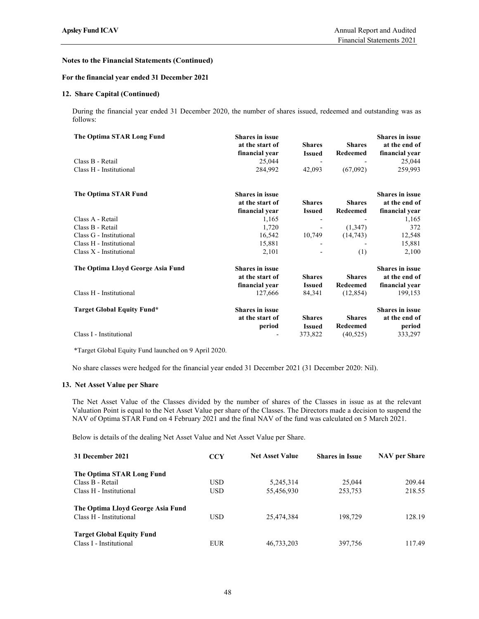## For the financial year ended 31 December 2021

#### 12. Share Capital (Continued)

During the financial year ended 31 December 2020, the number of shares issued, redeemed and outstanding was as follows:

| The Optima STAR Long Fund         | <b>Shares in issue</b><br>at the start of | <b>Shares</b>            | <b>Shares</b>   | <b>Shares in issue</b><br>at the end of |  |
|-----------------------------------|-------------------------------------------|--------------------------|-----------------|-----------------------------------------|--|
|                                   | financial year                            | <b>Issued</b>            | Redeemed        | financial year                          |  |
| Class B - Retail                  | 25,044                                    |                          |                 | 25,044                                  |  |
| Class H - Institutional           | 284,992                                   | 42,093                   | (67,092)        | 259,993                                 |  |
| The Optima STAR Fund              | <b>Shares in issue</b>                    |                          |                 | <b>Shares in issue</b>                  |  |
|                                   | at the start of                           | <b>Shares</b>            | <b>Shares</b>   | at the end of                           |  |
|                                   | financial year                            | <b>Issued</b>            | Redeemed        | financial year                          |  |
| Class A - Retail                  | 1,165                                     |                          |                 | 1,165                                   |  |
| Class B - Retail                  | 1,720                                     | $\overline{\phantom{a}}$ | (1,347)         | 372                                     |  |
| Class G - Institutional           | 16,542                                    | 10,749                   | (14, 743)       | 12,548                                  |  |
| Class H - Institutional           | 15,881                                    |                          |                 | 15,881                                  |  |
| $Class X - Institutional$         | 2,101                                     |                          | (1)             | 2,100                                   |  |
| The Optima Lloyd George Asia Fund | <b>Shares in issue</b>                    |                          |                 | <b>Shares in issue</b>                  |  |
|                                   | at the start of                           | <b>Shares</b>            | <b>Shares</b>   | at the end of                           |  |
|                                   | financial year                            | <b>Issued</b>            | <b>Redeemed</b> | financial year                          |  |
| Class H - Institutional           | 127,666                                   | 84,341                   | (12, 854)       | 199,153                                 |  |
| Target Global Equity Fund*        | <b>Shares in issue</b>                    |                          |                 | <b>Shares in issue</b>                  |  |
|                                   | at the start of                           | <b>Shares</b>            | <b>Shares</b>   | at the end of                           |  |
|                                   | period                                    | <b>Issued</b>            | <b>Redeemed</b> | period                                  |  |
| Class I - Institutional           |                                           | 373,822                  | (40, 525)       | 333,297                                 |  |
|                                   |                                           |                          |                 |                                         |  |

\*Target Global Equity Fund launched on 9 April 2020.

No share classes were hedged for the financial year ended 31 December 2021 (31 December 2020: Nil).

#### 13. Net Asset Value per Share

The Net Asset Value of the Classes divided by the number of shares of the Classes in issue as at the relevant Valuation Point is equal to the Net Asset Value per share of the Classes. The Directors made a decision to suspend the NAV of Optima STAR Fund on 4 February 2021 and the final NAV of the fund was calculated on 5 March 2021.

Below is details of the dealing Net Asset Value and Net Asset Value per Share.

| 31 December 2021                                             | <b>CCY</b> | <b>Net Asset Value</b> | <b>Shares in Issue</b> | <b>NAV</b> per Share |  |
|--------------------------------------------------------------|------------|------------------------|------------------------|----------------------|--|
| The Optima STAR Long Fund                                    |            |                        |                        |                      |  |
| Class B - Retail                                             | USD.       | 5,245,314              | 25,044                 | 209.44               |  |
| Class H - Institutional                                      | <b>USD</b> | 55,456,930             | 253,753                | 218.55               |  |
| The Optima Lloyd George Asia Fund<br>Class H - Institutional | USD.       | 25,474,384             | 198,729                | 128.19               |  |
| <b>Target Global Equity Fund</b><br>Class I - Institutional  | <b>EUR</b> | 46,733,203             | 397,756                | 117.49               |  |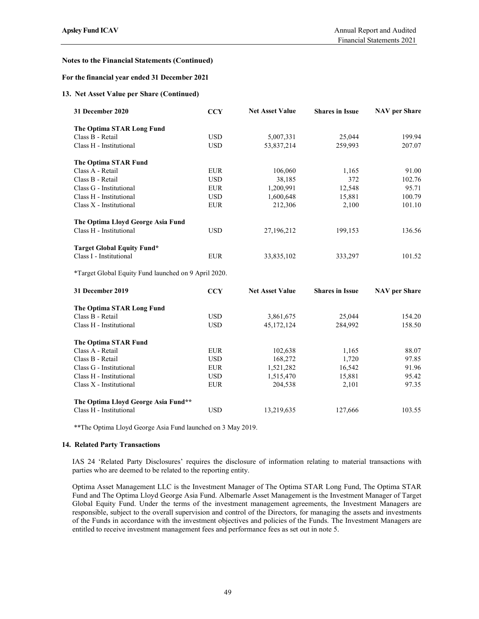# For the financial year ended 31 December 2021

### 13. Net Asset Value per Share (Continued)

| 31 December 2020                                     | <b>CCY</b> | <b>Net Asset Value</b> | <b>Shares in Issue</b> | <b>NAV</b> per Share |  |
|------------------------------------------------------|------------|------------------------|------------------------|----------------------|--|
| The Optima STAR Long Fund                            |            |                        |                        |                      |  |
| Class B - Retail                                     | <b>USD</b> | 5,007,331              | 25,044                 | 199.94               |  |
| Class H - Institutional                              | <b>USD</b> | 53,837,214             | 259,993                | 207.07               |  |
| The Optima STAR Fund                                 |            |                        |                        |                      |  |
| Class A - Retail                                     | <b>EUR</b> | 106,060                | 1,165                  | 91.00                |  |
| Class B - Retail                                     | <b>USD</b> | 38,185                 | 372                    | 102.76               |  |
| Class G - Institutional                              | <b>EUR</b> | 1,200,991              | 12,548                 | 95.71                |  |
| Class H - Institutional                              | <b>USD</b> | 1,600,648              | 15,881                 | 100.79               |  |
| Class X - Institutional                              | <b>EUR</b> | 212,306                | 2,100                  | 101.10               |  |
| The Optima Lloyd George Asia Fund                    |            |                        |                        |                      |  |
| Class H - Institutional                              | <b>USD</b> | 27,196,212             | 199,153                | 136.56               |  |
| <b>Target Global Equity Fund*</b>                    |            |                        |                        |                      |  |
| Class I - Institutional                              | <b>EUR</b> | 33,835,102             | 333,297                | 101.52               |  |
| *Target Global Equity Fund launched on 9 April 2020. |            |                        |                        |                      |  |
| 31 December 2019                                     | <b>CCY</b> | <b>Net Asset Value</b> | <b>Shares in Issue</b> | <b>NAV</b> per Share |  |
| The Optima STAR Long Fund                            |            |                        |                        |                      |  |
| Class B - Retail                                     | <b>USD</b> | 3,861,675              | 25,044                 | 154.20               |  |
| Class H - Institutional                              | <b>USD</b> | 45,172,124             | 284,992                | 158.50               |  |
|                                                      |            |                        |                        |                      |  |

| Class H - Institutional             | <b>USD</b> | 45,172,124 | 284,992 | 158.50 |  |
|-------------------------------------|------------|------------|---------|--------|--|
| The Optima STAR Fund                |            |            |         |        |  |
| Class A - Retail                    | <b>EUR</b> | 102,638    | 1.165   | 88.07  |  |
| Class B - Retail                    | <b>USD</b> | 168,272    | 1.720   | 97.85  |  |
| Class G - Institutional             | <b>EUR</b> | 1,521,282  | 16,542  | 91.96  |  |
| Class H - Institutional             | <b>USD</b> | 1,515,470  | 15,881  | 95.42  |  |
| Class X - Institutional             | <b>EUR</b> | 204,538    | 2.101   | 97.35  |  |
| The Optima Lloyd George Asia Fund** |            |            |         |        |  |
| Class H - Institutional             | <b>USD</b> | 13,219,635 | 127,666 | 103.55 |  |

\*\*The Optima Lloyd George Asia Fund launched on 3 May 2019.

#### 14. Related Party Transactions

IAS 24 'Related Party Disclosures' requires the disclosure of information relating to material transactions with parties who are deemed to be related to the reporting entity.

Optima Asset Management LLC is the Investment Manager of The Optima STAR Long Fund, The Optima STAR Fund and The Optima Lloyd George Asia Fund. Albemarle Asset Management is the Investment Manager of Target Global Equity Fund. Under the terms of the investment management agreements, the Investment Managers are responsible, subject to the overall supervision and control of the Directors, for managing the assets and investments of the Funds in accordance with the investment objectives and policies of the Funds. The Investment Managers are entitled to receive investment management fees and performance fees as set out in note 5.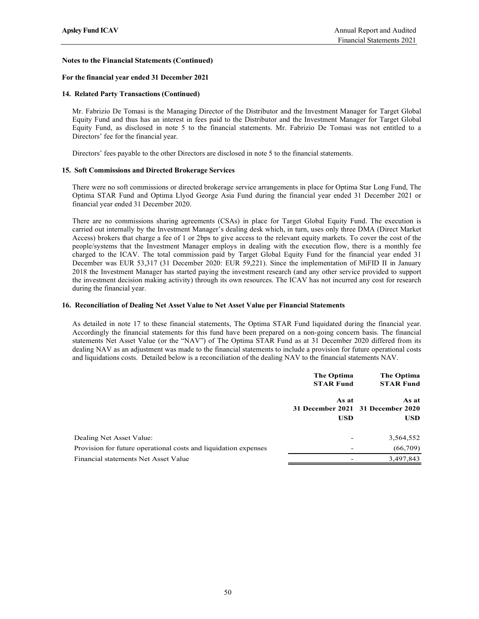### For the financial year ended 31 December 2021

### 14. Related Party Transactions (Continued)

Mr. Fabrizio De Tomasi is the Managing Director of the Distributor and the Investment Manager for Target Global Equity Fund and thus has an interest in fees paid to the Distributor and the Investment Manager for Target Global Equity Fund, as disclosed in note 5 to the financial statements. Mr. Fabrizio De Tomasi was not entitled to a Directors' fee for the financial year.

Directors' fees payable to the other Directors are disclosed in note 5 to the financial statements.

#### 15. Soft Commissions and Directed Brokerage Services

There were no soft commissions or directed brokerage service arrangements in place for Optima Star Long Fund, The Optima STAR Fund and Optima Llyod George Asia Fund during the financial year ended 31 December 2021 or financial year ended 31 December 2020.

#### 16. Reconciliation of Dealing Net Asset Value to Net Asset Value per Financial Statements

| carried out internally by the Investment Manager's dealing desk which, in turn, uses only three DMA (Direct Market<br>Access) brokers that charge a fee of 1 or 2bps to give access to the relevant equity markets. To cover the cost of the<br>beople/systems that the Investment Manager employs in dealing with the execution flow, there is a monthly fee<br>charged to the ICAV. The total commission paid by Target Global Equity Fund for the financial year ended 31<br>December was EUR 53,317 (31 December 2020: EUR 59,221). Since the implementation of MiFID II in January<br>2018 the Investment Manager has started paying the investment research (and any other service provided to support<br>the investment decision making activity) through its own resources. The ICAV has not incurred any cost for research<br>during the financial year. | There are no commissions sharing agreements (CSAs) in place for Target Global Equity Fund. The execution is |                                |  |
|-------------------------------------------------------------------------------------------------------------------------------------------------------------------------------------------------------------------------------------------------------------------------------------------------------------------------------------------------------------------------------------------------------------------------------------------------------------------------------------------------------------------------------------------------------------------------------------------------------------------------------------------------------------------------------------------------------------------------------------------------------------------------------------------------------------------------------------------------------------------|-------------------------------------------------------------------------------------------------------------|--------------------------------|--|
| Reconciliation of Dealing Net Asset Value to Net Asset Value per Financial Statements                                                                                                                                                                                                                                                                                                                                                                                                                                                                                                                                                                                                                                                                                                                                                                             |                                                                                                             |                                |  |
| As detailed in note 17 to these financial statements, The Optima STAR Fund liquidated during the financial year.<br>Accordingly the financial statements for this fund have been prepared on a non-going concern basis. The financial<br>statements Net Asset Value (or the "NAV") of The Optima STAR Fund as at 31 December 2020 differed from its<br>dealing NAV as an adjustment was made to the financial statements to include a provision for future operational costs<br>and liquidations costs. Detailed below is a reconciliation of the dealing NAV to the financial statements NAV.                                                                                                                                                                                                                                                                    | The Optima<br><b>STAR Fund</b>                                                                              | The Optima<br><b>STAR Fund</b> |  |
|                                                                                                                                                                                                                                                                                                                                                                                                                                                                                                                                                                                                                                                                                                                                                                                                                                                                   | As at                                                                                                       | As at                          |  |
|                                                                                                                                                                                                                                                                                                                                                                                                                                                                                                                                                                                                                                                                                                                                                                                                                                                                   | 31 December 2021 31 December 2020<br><b>USD</b>                                                             | <b>USD</b>                     |  |
| Dealing Net Asset Value:                                                                                                                                                                                                                                                                                                                                                                                                                                                                                                                                                                                                                                                                                                                                                                                                                                          |                                                                                                             | 3,564,552                      |  |
|                                                                                                                                                                                                                                                                                                                                                                                                                                                                                                                                                                                                                                                                                                                                                                                                                                                                   |                                                                                                             | (66,709)                       |  |
| Provision for future operational costs and liquidation expenses                                                                                                                                                                                                                                                                                                                                                                                                                                                                                                                                                                                                                                                                                                                                                                                                   |                                                                                                             |                                |  |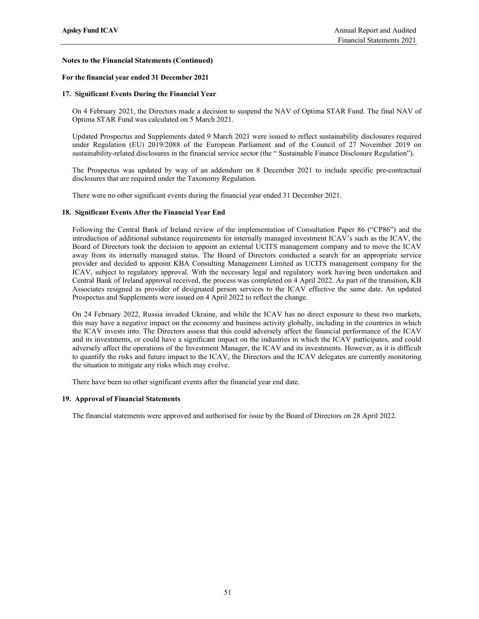#### For the financial year ended 31 December 2021

#### 17. Significant Events During the Financial Year

On 4 February 2021, the Directors made a decision to suspend the NAV of Optima STAR Fund. The final NAV of Optima STAR Fund was calculated on 5 March 2021.

Updated Prospectus and Supplements dated 9 March 2021 were issued to reflect sustainability disclosures required under Regulation (EU) 2019/2088 of the European Parliament and of the Council of 27 November 2019 on sustainability-related disclosures in the financial service sector (the " Sustainable Finance Disclosure Regulation").

The Prospectus was updated by way of an addendum on 8 December 2021 to include specific pre-contractual disclosures that are required under the Taxonomy Regulation.

There were no other significant events during the financial year ended 31 December 2021.

#### 18. Significant Events After the Financial Year End

Following the Central Bank of Ireland review of the implementation of Consultation Paper 86 ("CP86") and the introduction of additional substance requirements for internally managed investment ICAV's such as the ICAV, the Board of Directors took the decision to appoint an external UCITS management company and to move the ICAV away from its internally managed status. The Board of Directors conducted a search for an appropriate service provider and decided to appoint KBA Consulting Management Limited as UCITS management company for the ICAV, subject to regulatory approval. With the necessary legal and regulatory work having been undertaken and Central Bank of Ireland approval received, the process was completed on 4 April 2022. As part of the transition, KB Associates resigned as provider of designated person services to the ICAV effective the same date. An updated Prospectus and Supplements were issued on 4 April 2022 to reflect the change.

On 24 February 2022, Russia invaded Ukraine, and while the ICAV has no direct exposure to these two markets, this may have a negative impact on the economy and business activity globally, including in the countries in which the ICAV invests into. The Directors assess that this could adversely affect the financial performance of the ICAV and its investments, or could have a significant impact on the industries in which the ICAV participates, and could adversely affect the operations of the Investment Manager, the ICAV and its investments. However, as it is difficult to quantify the risks and future impact to the ICAV, the Directors and the ICAV delegates are currently monitoring the situation to mitigate any risks which may evolve.

There have been no other significant events after the financial year end date.

#### 19. Approval of Financial Statements

The financial statements were approved and authorised for issue by the Board of Directors on 28 April 2022.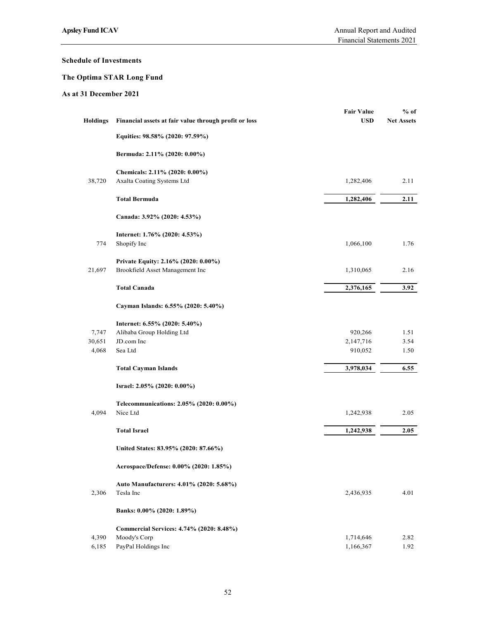# Schedule of Investments

# The Optima STAR Long Fund

| chedule of Investments |                                                              |                                 | Financial Statements 2021   |
|------------------------|--------------------------------------------------------------|---------------------------------|-----------------------------|
|                        |                                                              |                                 |                             |
|                        | he Optima STAR Long Fund                                     |                                 |                             |
| s at 31 December 2021  |                                                              |                                 |                             |
| <b>Holdings</b>        | Financial assets at fair value through profit or loss        | <b>Fair Value</b><br><b>USD</b> | $%$ of<br><b>Net Assets</b> |
|                        | Equities: 98.58% (2020: 97.59%)                              |                                 |                             |
|                        | Bermuda: 2.11% (2020: 0.00%)                                 |                                 |                             |
| 38,720                 | Chemicals: 2.11% (2020: 0.00%)<br>Axalta Coating Systems Ltd | 1,282,406                       | 2.11                        |
|                        | <b>Total Bermuda</b>                                         | 1,282,406                       | 2.11                        |
|                        | Canada: 3.92% (2020: 4.53%)                                  |                                 |                             |
| 774                    | Internet: 1.76% (2020: 4.53%)<br>Shopify Inc                 | 1,066,100                       | 1.76                        |
|                        | Private Equity: 2.16% (2020: 0.00%)                          |                                 |                             |
| 21,697                 | Brookfield Asset Management Inc                              | 1,310,065                       | 2.16                        |
|                        | <b>Total Canada</b>                                          | 2,376,165                       | 3.92                        |
|                        | Cayman Islands: 6.55% (2020: 5.40%)                          |                                 |                             |
|                        | Internet: 6.55% (2020: 5.40%)                                |                                 |                             |
| 7,747<br>30,651        | Alibaba Group Holding Ltd<br>JD.com Inc                      | 920,266<br>2,147,716            | 1.51<br>3.54                |
| 4,068                  | $\operatorname{Sea}\, \mathrm{Ltd}$                          | 910,052                         | 1.50                        |
|                        | <b>Total Cayman Islands</b>                                  | 3,978,034                       | 6.55                        |
|                        | Israel: 2.05% (2020: 0.00%)                                  |                                 |                             |
|                        | Telecommunications: 2.05% (2020: 0.00%)                      |                                 |                             |
| 4,094                  | Nice Ltd                                                     | 1,242,938                       | 2.05                        |
|                        | <b>Total Israel</b>                                          | 1,242,938                       | 2.05                        |
|                        | United States: 83.95% (2020: 87.66%)                         |                                 |                             |
|                        | Aerospace/Defense: 0.00% (2020: 1.85%)                       |                                 |                             |
| 2,306                  | Auto Manufacturers: 4.01% (2020: 5.68%)<br>Tesla Inc         | 2,436,935                       | 4.01                        |
|                        | Banks: 0.00% (2020: 1.89%)                                   |                                 |                             |
|                        | Commercial Services: 4.74% (2020: 8.48%)                     |                                 |                             |
| 4,390<br>6,185         | Moody's Corp<br>PayPal Holdings Inc                          | 1,714,646<br>1,166,367          | 2.82<br>1.92                |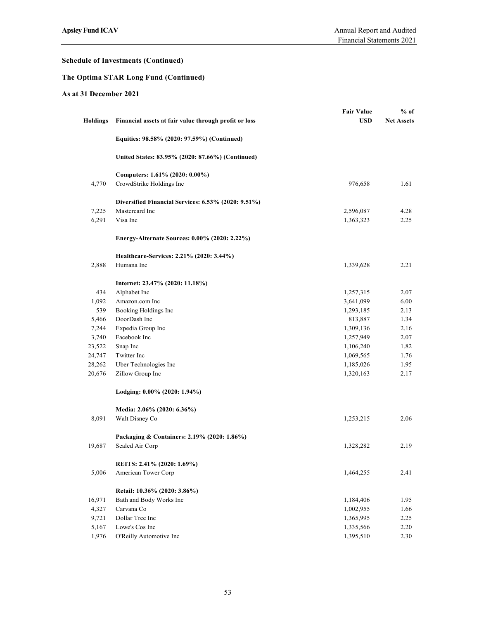# The Optima STAR Long Fund (Continued)

|                       |                                                       | Financial Statements 2021       |                             |
|-----------------------|-------------------------------------------------------|---------------------------------|-----------------------------|
|                       | chedule of Investments (Continued)                    |                                 |                             |
|                       | he Optima STAR Long Fund (Continued)                  |                                 |                             |
| s at 31 December 2021 |                                                       |                                 |                             |
|                       |                                                       |                                 |                             |
| <b>Holdings</b>       | Financial assets at fair value through profit or loss | <b>Fair Value</b><br><b>USD</b> | $%$ of<br><b>Net Assets</b> |
|                       | Equities: 98.58% (2020: 97.59%) (Continued)           |                                 |                             |
|                       | United States: 83.95% (2020: 87.66%) (Continued)      |                                 |                             |
|                       | Computers: 1.61% (2020: 0.00%)                        |                                 |                             |
| 4,770                 | CrowdStrike Holdings Inc                              | 976,658                         | 1.61                        |
|                       | Diversified Financial Services: 6.53% (2020: 9.51%)   |                                 |                             |
| 7,225                 | Mastercard Inc                                        | 2,596,087                       | 4.28                        |
| 6,291                 | Visa Inc                                              | 1,363,323                       | 2.25                        |
|                       | Energy-Alternate Sources: 0.00% (2020: 2.22%)         |                                 |                             |
|                       | Healthcare-Services: 2.21% (2020: 3.44%)              |                                 |                             |
| 2,888                 | Humana Inc                                            | 1,339,628                       | 2.21                        |
|                       | Internet: 23.47% (2020: 11.18%)                       |                                 |                             |
| 434                   | Alphabet Inc                                          | 1,257,315                       | 2.07                        |
| 1,092<br>539          | Amazon.com Inc<br>Booking Holdings Inc                | 3,641,099<br>1,293,185          | $6.00\,$<br>2.13            |
| 5,466                 | DoorDash Inc                                          | 813,887                         | 1.34                        |
| 7,244                 | Expedia Group Inc                                     | 1,309,136                       | 2.16                        |
| 3,740                 | Facebook Inc                                          | 1,257,949                       | 2.07                        |
| 23,522                | Snap Inc                                              | 1,106,240                       | 1.82                        |
| 24,747                | Twitter Inc                                           | 1,069,565                       | 1.76                        |
| 28,262                | Uber Technologies Inc                                 | 1,185,026                       | 1.95                        |
| 20,676                | Zillow Group Inc                                      | 1,320,163                       | 2.17                        |
|                       | Lodging: 0.00% (2020: 1.94%)                          |                                 |                             |
| 8,091                 | Media: 2.06% (2020: 6.36%)<br>Walt Disney Co          | 1,253,215                       | 2.06                        |
|                       |                                                       |                                 |                             |
|                       | Packaging & Containers: 2.19% (2020: 1.86%)           |                                 |                             |
| 19,687                | Sealed Air Corp                                       | 1,328,282                       | 2.19                        |
|                       | REITS: 2.41% (2020: 1.69%)                            |                                 |                             |
| 5,006                 | American Tower Corp                                   | 1,464,255                       | 2.41                        |
|                       | Retail: 10.36% (2020: 3.86%)                          |                                 |                             |
| 16,971                | Bath and Body Works Inc                               | 1,184,406                       | 1.95                        |
| 4,327                 | Carvana Co                                            | 1,002,955                       | 1.66                        |
| 9,721                 | Dollar Tree Inc                                       | 1,365,995                       | 2.25                        |
| 5,167                 | Lowe's Cos Inc                                        | 1,335,566                       | 2.20                        |
| 1,976                 | O'Reilly Automotive Inc                               | 1,395,510                       | 2.30                        |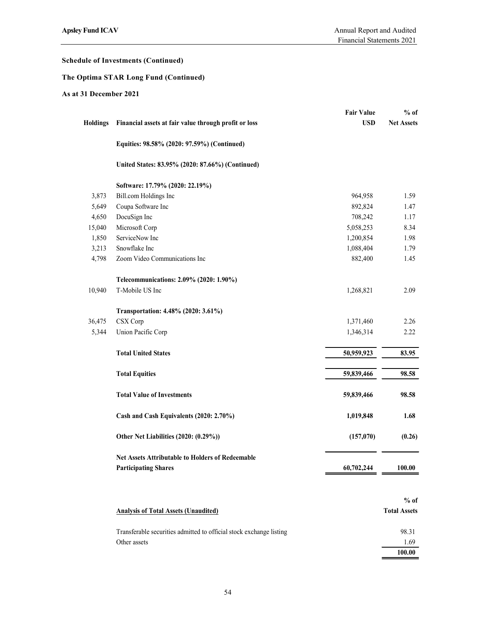# The Optima STAR Long Fund (Continued)

|                       |                                                                     |                   | Financial Statements 2021 |
|-----------------------|---------------------------------------------------------------------|-------------------|---------------------------|
|                       | chedule of Investments (Continued)                                  |                   |                           |
|                       | he Optima STAR Long Fund (Continued)                                |                   |                           |
| s at 31 December 2021 |                                                                     |                   |                           |
|                       |                                                                     | <b>Fair Value</b> | $%$ of                    |
|                       | Holdings Financial assets at fair value through profit or loss      | <b>USD</b>        | <b>Net Assets</b>         |
|                       |                                                                     |                   |                           |
|                       | Equities: 98.58% (2020: 97.59%) (Continued)                         |                   |                           |
|                       | United States: 83.95% (2020: 87.66%) (Continued)                    |                   |                           |
|                       |                                                                     |                   |                           |
| 3,873                 | Software: 17.79% (2020: 22.19%)<br>Bill.com Holdings Inc            | 964,958           | 1.59                      |
| 5,649                 | Coupa Software Inc                                                  | 892,824           | 1.47                      |
| 4,650                 | DocuSign Inc                                                        | 708,242           | 1.17                      |
| 15,040                | Microsoft Corp                                                      | 5,058,253         | 8.34                      |
| 1,850                 | ServiceNow Inc                                                      | 1,200,854         | 1.98                      |
| 3,213                 | Snowflake Inc                                                       | 1,088,404         | 1.79                      |
|                       | 4,798 Zoom Video Communications Inc                                 | 882,400           | 1.45                      |
|                       | Telecommunications: 2.09% (2020: 1.90%)                             |                   |                           |
| 10,940                | T-Mobile US Inc                                                     | 1,268,821         | 2.09                      |
|                       |                                                                     |                   |                           |
|                       | Transportation: 4.48% (2020: 3.61%)                                 |                   |                           |
| 36,475                | CSX Corp                                                            | 1,371,460         | 2.26                      |
| 5,344                 | Union Pacific Corp                                                  | 1,346,314         | 2.22                      |
|                       | <b>Total United States</b>                                          | 50,959,923        | 83.95                     |
|                       | <b>Total Equities</b>                                               | 59,839,466        | 98.58                     |
|                       |                                                                     |                   |                           |
|                       | <b>Total Value of Investments</b>                                   | 59,839,466        | 98.58                     |
|                       | Cash and Cash Equivalents (2020: 2.70%)                             | 1,019,848         | 1.68                      |
|                       | Other Net Liabilities (2020: (0.29%))                               | (157,070)         | (0.26)                    |
|                       | Net Assets Attributable to Holders of Redeemable                    |                   |                           |
|                       | <b>Participating Shares</b>                                         | 60,702,244        | 100.00                    |
|                       |                                                                     |                   |                           |
|                       |                                                                     |                   | $%$ of                    |
|                       | <b>Analysis of Total Assets (Unaudited)</b>                         |                   | <b>Total Assets</b>       |
|                       | Transferable securities admitted to official stock exchange listing |                   | 98.31                     |
|                       | Other assets                                                        |                   | 1.69                      |
|                       |                                                                     |                   | 100.00                    |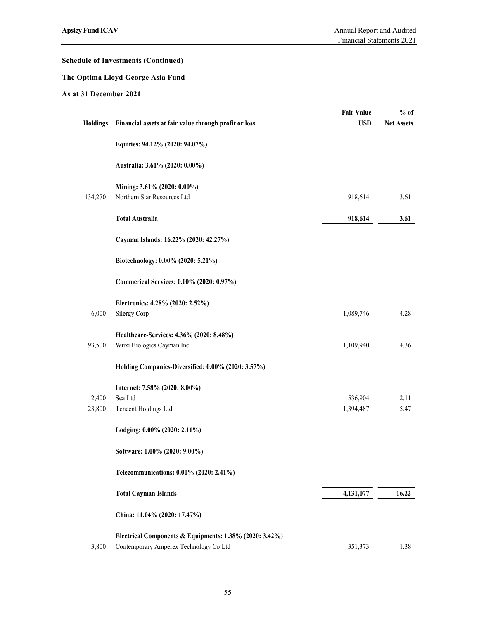# The Optima Lloyd George Asia Fund

|                       |                                                         | Financial Statements 2021       | Annual Report and Audited   |
|-----------------------|---------------------------------------------------------|---------------------------------|-----------------------------|
|                       | chedule of Investments (Continued)                      |                                 |                             |
|                       | he Optima Lloyd George Asia Fund                        |                                 |                             |
| s at 31 December 2021 |                                                         |                                 |                             |
| <b>Holdings</b>       | Financial assets at fair value through profit or loss   | <b>Fair Value</b><br><b>USD</b> | $%$ of<br><b>Net Assets</b> |
|                       | Equities: 94.12% (2020: 94.07%)                         |                                 |                             |
|                       | Australia: 3.61% (2020: 0.00%)                          |                                 |                             |
|                       | Mining: 3.61% (2020: 0.00%)                             |                                 |                             |
| 134,270               | Northern Star Resources Ltd                             | 918,614                         | 3.61                        |
|                       | <b>Total Australia</b>                                  | 918,614                         | 3.61                        |
|                       | Cayman Islands: 16.22% (2020: 42.27%)                   |                                 |                             |
|                       | Biotechnology: 0.00% (2020: 5.21%)                      |                                 |                             |
|                       | Commerical Services: 0.00% (2020: 0.97%)                |                                 |                             |
| 6,000                 | Electronics: 4.28% (2020: 2.52%)<br>Silergy Corp        | 1,089,746                       | 4.28                        |
|                       | Healthcare-Services: 4.36% (2020: 8.48%)                |                                 |                             |
| 93,500                | Wuxi Biologics Cayman Inc                               | 1,109,940                       | 4.36                        |
|                       | Holding Companies-Diversified: 0.00% (2020: 3.57%)      |                                 |                             |
| 2,400                 | Internet: 7.58% (2020: 8.00%)<br>Sea Ltd                | 536,904                         | 2.11                        |
| 23,800                | Tencent Holdings Ltd                                    | 1,394,487                       | 5.47                        |
|                       | Lodging: 0.00% (2020: 2.11%)                            |                                 |                             |
|                       | Software: 0.00% (2020: 9.00%)                           |                                 |                             |
|                       | Telecommunications: 0.00% (2020: 2.41%)                 |                                 |                             |
|                       | <b>Total Cayman Islands</b>                             | 4,131,077                       | 16.22                       |
|                       | China: 11.04% (2020: 17.47%)                            |                                 |                             |
|                       | Electrical Components & Equipments: 1.38% (2020: 3.42%) |                                 |                             |
| 3,800                 | Contemporary Amperex Technology Co Ltd                  | 351,373                         | 1.38                        |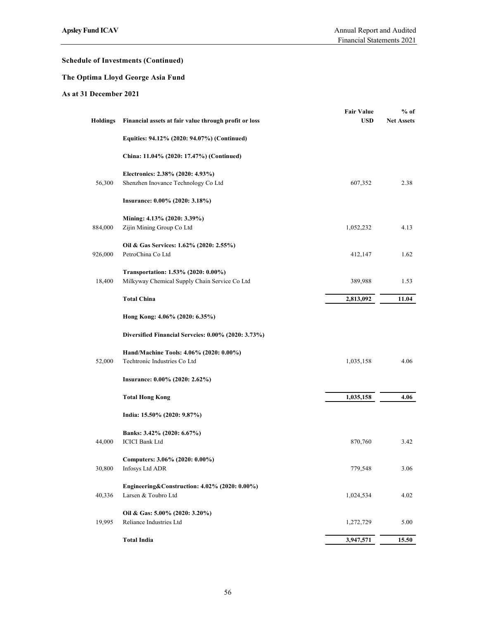# The Optima Lloyd George Asia Fund

|                       |                                                                                      | Financial Statements 2021       |                             |
|-----------------------|--------------------------------------------------------------------------------------|---------------------------------|-----------------------------|
|                       | chedule of Investments (Continued)                                                   |                                 |                             |
|                       | he Optima Lloyd George Asia Fund                                                     |                                 |                             |
| s at 31 December 2021 |                                                                                      |                                 |                             |
|                       | Holdings Financial assets at fair value through profit or loss                       | <b>Fair Value</b><br><b>USD</b> | $%$ of<br><b>Net Assets</b> |
|                       | Equities: 94.12% (2020: 94.07%) (Continued)                                          |                                 |                             |
|                       | China: 11.04% (2020: 17.47%) (Continued)                                             |                                 |                             |
| 56,300                | Electronics: 2.38% (2020: 4.93%)<br>Shenzhen Inovance Technology Co Ltd              | 607,352                         | 2.38                        |
|                       | Insurance: 0.00% (2020: 3.18%)                                                       |                                 |                             |
| 884,000               | Mining: 4.13% (2020: 3.39%)<br>Zijin Mining Group Co Ltd                             | 1,052,232                       | 4.13                        |
| 926,000               | Oil & Gas Services: 1.62% (2020: 2.55%)<br>PetroChina Co Ltd                         | 412,147                         | 1.62                        |
| 18,400                | Transportation: 1.53% (2020: 0.00%)<br>Milkyway Chemical Supply Chain Service Co Ltd | 389,988                         | 1.53                        |
|                       | <b>Total China</b>                                                                   | 2,813,092                       | 11.04                       |
|                       | Hong Kong: 4.06% (2020: 6.35%)                                                       |                                 |                             |
|                       | Diversified Financial Serveies: 0.00% (2020: 3.73%)                                  |                                 |                             |
| 52,000                | Hand/Machine Tools: 4.06% (2020: 0.00%)<br>Techtronic Industries Co Ltd              | 1,035,158                       | 4.06                        |
|                       | Insurance: 0.00% (2020: 2.62%)                                                       |                                 |                             |
|                       | <b>Total Hong Kong</b>                                                               | 1,035,158                       | 4.06                        |
|                       | India: 15.50% (2020: 9.87%)                                                          |                                 |                             |
| 44,000                | Banks: 3.42% (2020: 6.67%)<br><b>ICICI Bank Ltd</b>                                  | 870,760                         | 3.42                        |
| 30,800                | Computers: 3.06% (2020: 0.00%)<br>Infosys Ltd ADR                                    | 779,548                         | 3.06                        |
| 40,336                | Engineering&Construction: 4.02% (2020: 0.00%)<br>Larsen & Toubro Ltd                 | 1,024,534                       | 4.02                        |
| 19,995                | Oil & Gas: 5.00% (2020: 3.20%)<br>Reliance Industries Ltd                            | 1,272,729                       | 5.00                        |
|                       | <b>Total India</b>                                                                   | 3,947,571                       | 15.50                       |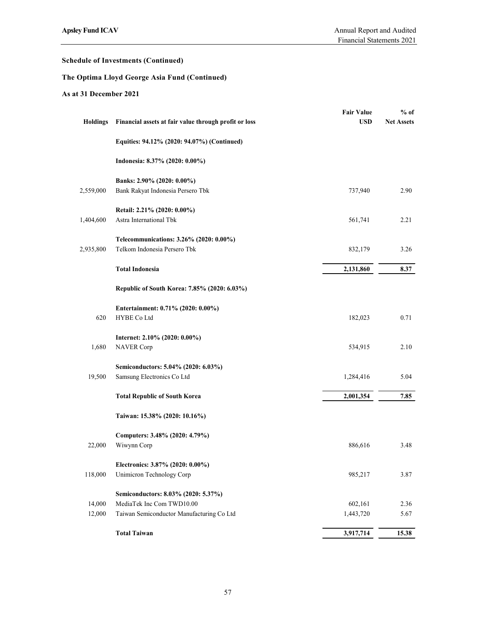# The Optima Lloyd George Asia Fund (Continued)

|                       |                                                                         | Financial Statements 2021       |                             |
|-----------------------|-------------------------------------------------------------------------|---------------------------------|-----------------------------|
|                       | chedule of Investments (Continued)                                      |                                 |                             |
|                       | he Optima Lloyd George Asia Fund (Continued)                            |                                 |                             |
| s at 31 December 2021 |                                                                         |                                 |                             |
| <b>Holdings</b>       | Financial assets at fair value through profit or loss                   | <b>Fair Value</b><br><b>USD</b> | $%$ of<br><b>Net Assets</b> |
|                       | Equities: 94.12% (2020: 94.07%) (Continued)                             |                                 |                             |
|                       | Indonesia: 8.37% (2020: 0.00%)                                          |                                 |                             |
| 2,559,000             | Banks: 2.90% (2020: 0.00%)<br>Bank Rakyat Indonesia Persero Tbk         | 737,940                         | 2.90                        |
| 1,404,600             | Retail: 2.21% (2020: 0.00%)<br>Astra International Tbk                  | 561,741                         | 2.21                        |
| 2,935,800             | Telecommunications: 3.26% (2020: 0.00%)<br>Telkom Indonesia Persero Tbk | 832,179                         | 3.26                        |
|                       | <b>Total Indonesia</b>                                                  | 2,131,860                       | 8.37                        |
|                       | Republic of South Korea: 7.85% (2020: 6.03%)                            |                                 |                             |
| 620                   | Entertainment: 0.71% (2020: 0.00%)<br>HYBE Co Ltd                       | 182,023                         | 0.71                        |
| 1,680                 | Internet: 2.10% (2020: 0.00%)<br><b>NAVER Corp</b>                      | 534,915                         | 2.10                        |
| 19,500                | Semiconductors: 5.04% (2020: 6.03%)<br>Samsung Electronics Co Ltd       | 1,284,416                       | 5.04                        |
|                       | <b>Total Republic of South Korea</b>                                    | 2,001,354                       | 7.85                        |
|                       | Taiwan: 15.38% (2020: 10.16%)                                           |                                 |                             |
| 22,000                | Computers: 3.48% (2020: 4.79%)<br>Wiwynn Corp                           | 886,616                         | 3.48                        |
| 118,000               | Electronics: 3.87% (2020: 0.00%)<br>Unimicron Technology Corp           | 985,217                         | 3.87                        |
|                       | Semiconductors: 8.03% (2020: 5.37%)                                     |                                 |                             |
| 14,000<br>12,000      | MediaTek Inc Com TWD10.00<br>Taiwan Semiconductor Manufacturing Co Ltd  | 602,161<br>1,443,720            | 2.36<br>5.67                |
|                       | <b>Total Taiwan</b>                                                     | 3,917,714                       | 15.38                       |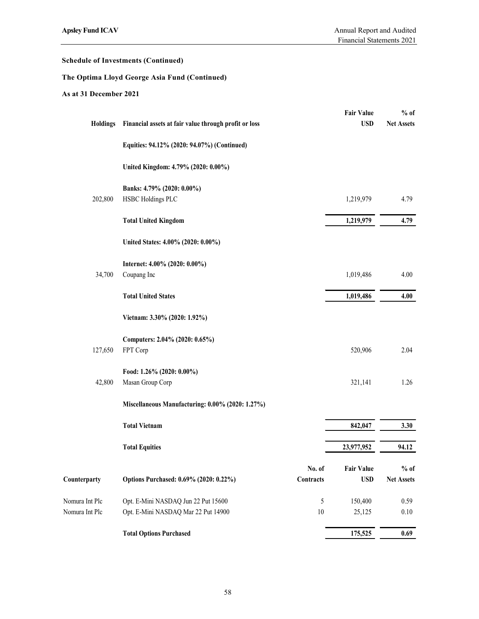# The Optima Lloyd George Asia Fund (Continued)

| <b>Apsley Fund ICAV</b>          |                                                                            |                          | Annual Report and Audited<br>Financial Statements 2021 |                             |
|----------------------------------|----------------------------------------------------------------------------|--------------------------|--------------------------------------------------------|-----------------------------|
|                                  | <b>Schedule of Investments (Continued)</b>                                 |                          |                                                        |                             |
|                                  | The Optima Lloyd George Asia Fund (Continued)                              |                          |                                                        |                             |
| As at 31 December 2021           |                                                                            |                          |                                                        |                             |
| <b>Holdings</b>                  | Financial assets at fair value through profit or loss                      |                          | <b>Fair Value</b><br><b>USD</b>                        | $%$ of<br><b>Net Assets</b> |
|                                  | Equities: 94.12% (2020: 94.07%) (Continued)                                |                          |                                                        |                             |
|                                  | United Kingdom: 4.79% (2020: 0.00%)                                        |                          |                                                        |                             |
| 202,800                          | Banks: 4.79% (2020: 0.00%)<br>HSBC Holdings PLC                            |                          | 1,219,979                                              | 4.79                        |
|                                  | <b>Total United Kingdom</b>                                                |                          | 1,219,979                                              | 4.79                        |
|                                  | United States: 4.00% (2020: 0.00%)                                         |                          |                                                        |                             |
| 34,700                           | Internet: 4.00% (2020: 0.00%)<br>Coupang Inc                               |                          | 1,019,486                                              | 4.00                        |
|                                  | <b>Total United States</b>                                                 |                          | 1,019,486                                              | 4.00                        |
|                                  | Vietnam: 3.30% (2020: 1.92%)                                               |                          |                                                        |                             |
| 127,650                          | Computers: 2.04% (2020: 0.65%)<br>FPT Corp                                 |                          | 520,906                                                | 2.04                        |
| 42,800                           | Food: 1.26% (2020: 0.00%)<br>Masan Group Corp                              |                          | 321,141                                                | 1.26                        |
|                                  | Miscellaneous Manufacturing: 0.00% (2020: 1.27%)                           |                          |                                                        |                             |
|                                  | <b>Total Vietnam</b>                                                       |                          | 842,047                                                | 3.30                        |
|                                  | <b>Total Equities</b>                                                      |                          | 23,977,952                                             | 94.12                       |
| Counterparty                     | Options Purchased: 0.69% (2020: 0.22%)                                     | No. of<br>Contracts      | <b>Fair Value</b><br><b>USD</b>                        | % of<br><b>Net Assets</b>   |
| Nomura Int Plc<br>Nomura Int Plc | Opt. E-Mini NASDAQ Jun 22 Put 15600<br>Opt. E-Mini NASDAQ Mar 22 Put 14900 | $\mathfrak{H}$<br>$10\,$ | 150,400<br>25,125                                      | 0.59<br>0.10                |
|                                  | <b>Total Options Purchased</b>                                             |                          | 175,525                                                | 0.69                        |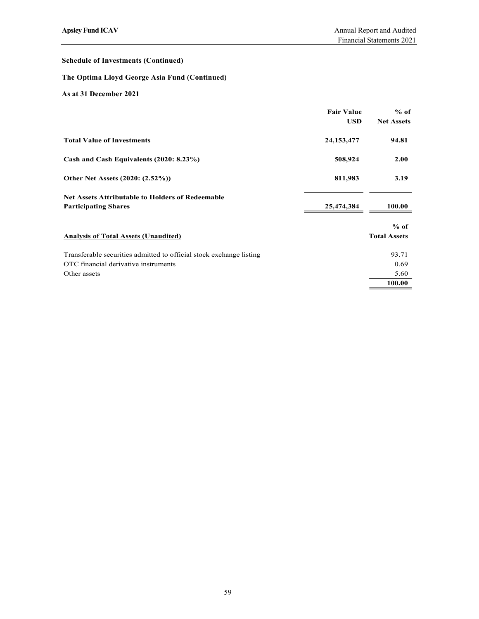# The Optima Lloyd George Asia Fund (Continued)

| <b>Apsley Fund ICAV</b>                                                                                                     |                                 | Annual Report and Audited<br>Financial Statements 2021 |
|-----------------------------------------------------------------------------------------------------------------------------|---------------------------------|--------------------------------------------------------|
|                                                                                                                             |                                 |                                                        |
| <b>Schedule of Investments (Continued)</b>                                                                                  |                                 |                                                        |
| The Optima Lloyd George Asia Fund (Continued)                                                                               |                                 |                                                        |
| As at 31 December 2021                                                                                                      |                                 |                                                        |
|                                                                                                                             | <b>Fair Value</b><br><b>USD</b> | $%$ of<br><b>Net Assets</b>                            |
| <b>Total Value of Investments</b>                                                                                           | 24, 153, 477                    | 94.81                                                  |
| Cash and Cash Equivalents (2020: 8.23%)                                                                                     | 508,924                         | 2.00                                                   |
| Other Net Assets (2020: (2.52%))                                                                                            | 811,983                         | 3.19                                                   |
| Net Assets Attributable to Holders of Redeemable<br><b>Participating Shares</b>                                             | 25,474,384                      | 100.00                                                 |
| <b>Analysis of Total Assets (Unaudited)</b>                                                                                 |                                 | $%$ of<br><b>Total Assets</b>                          |
| Transferable securities admitted to official stock exchange listing<br>OTC financial derivative instruments<br>Other assets |                                 | 93.71<br>0.69<br>5.60<br>100.00                        |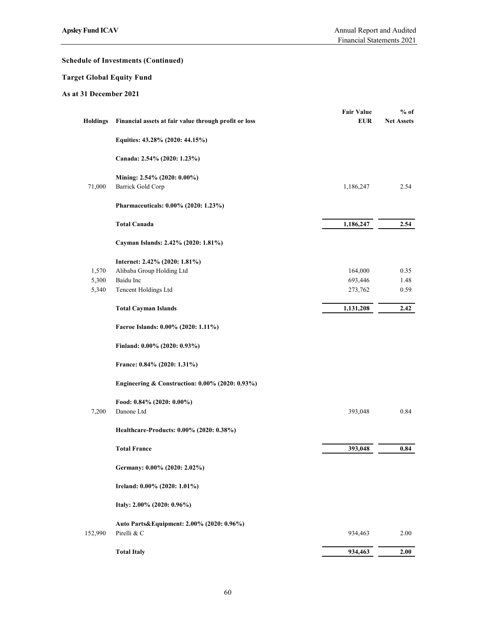# Target Global Equity Fund

|                          | psley Fund ICAV                                                | Annual Report and Audited<br>Financial Statements 2021 |                             |
|--------------------------|----------------------------------------------------------------|--------------------------------------------------------|-----------------------------|
|                          | chedule of Investments (Continued)                             |                                                        |                             |
| arget Global Equity Fund |                                                                |                                                        |                             |
| s at 31 December 2021    |                                                                |                                                        |                             |
|                          | Holdings Financial assets at fair value through profit or loss | <b>Fair Value</b><br><b>EUR</b>                        | $%$ of<br><b>Net Assets</b> |
|                          | Equities: 43.28% (2020: 44.15%)                                |                                                        |                             |
|                          | Canada: 2.54% (2020: 1.23%)                                    |                                                        |                             |
| 71,000                   | Mining: 2.54% (2020: 0.00%)<br>Barrick Gold Corp               | 1,186,247                                              | 2.54                        |
|                          | Pharmaceuticals: 0.00% (2020: 1.23%)                           |                                                        |                             |
|                          | <b>Total Canada</b>                                            | 1,186,247                                              | 2.54                        |
|                          | Cayman Islands: 2.42% (2020: 1.81%)                            |                                                        |                             |
| 1,570                    | Internet: 2.42% (2020: 1.81%)<br>Alibaba Group Holding Ltd     | 164,000                                                | 0.35                        |
| 5,300<br>5,340           | Baidu Inc<br>Tencent Holdings Ltd                              | 693,446<br>273,762                                     | 1.48<br>0.59                |
|                          | <b>Total Cayman Islands</b>                                    | 1,131,208                                              | 2.42                        |
|                          | Faeroe Islands: 0.00% (2020: 1.11%)                            |                                                        |                             |
|                          | Finland: 0.00% (2020: 0.93%)                                   |                                                        |                             |
|                          | France: 0.84% (2020: 1.31%)                                    |                                                        |                             |
|                          | Engineering & Construction: 0.00% (2020: 0.93%)                |                                                        |                             |
| 7,200                    | Food: 0.84% (2020: 0.00%)<br>Danone Ltd                        | 393,048                                                | 0.84                        |
|                          | Healthcare-Products: 0.00% (2020: 0.38%)                       |                                                        |                             |
|                          | <b>Total France</b>                                            | 393,048                                                | 0.84                        |
|                          | Germany: 0.00% (2020: 2.02%)                                   |                                                        |                             |
|                          | Ireland: 0.00% (2020: 1.01%)                                   |                                                        |                             |
|                          | Italy: 2.00% (2020: 0.96%)                                     |                                                        |                             |
| 152,990                  | Auto Parts&Equipment: 2.00% (2020: 0.96%)<br>Pirelli & C       | 934,463                                                | $2.00\,$                    |
|                          | <b>Total Italy</b>                                             | 934,463                                                | 2.00                        |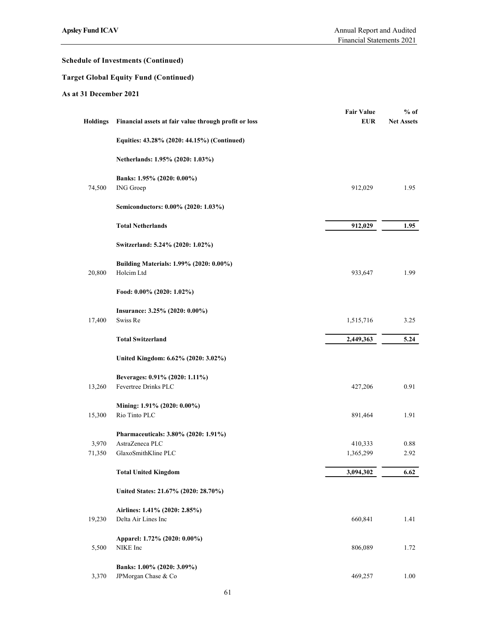# Target Global Equity Fund (Continued)

| psley Fund ICAV       |                                                                                | Annual Report and Audited<br>Financial Statements 2021 |                             |
|-----------------------|--------------------------------------------------------------------------------|--------------------------------------------------------|-----------------------------|
|                       | chedule of Investments (Continued)                                             |                                                        |                             |
|                       | arget Global Equity Fund (Continued)                                           |                                                        |                             |
| s at 31 December 2021 |                                                                                |                                                        |                             |
| <b>Holdings</b>       | Financial assets at fair value through profit or loss                          | <b>Fair Value</b><br><b>EUR</b>                        | $%$ of<br><b>Net Assets</b> |
|                       | Equities: 43.28% (2020: 44.15%) (Continued)                                    |                                                        |                             |
|                       | Netherlands: 1.95% (2020: 1.03%)                                               |                                                        |                             |
| 74,500                | Banks: 1.95% (2020: 0.00%)<br>ING Groep                                        | 912,029                                                | 1.95                        |
|                       | Semiconductors: 0.00% (2020: 1.03%)                                            |                                                        |                             |
|                       | <b>Total Netherlands</b>                                                       | 912,029                                                | 1.95                        |
|                       | Switzerland: 5.24% (2020: 1.02%)                                               |                                                        |                             |
| 20,800                | Building Materials: 1.99% (2020: 0.00%)<br>Holcim Ltd                          | 933,647                                                | 1.99                        |
|                       | Food: 0.00% (2020: 1.02%)                                                      |                                                        |                             |
| 17,400                | Insurance: 3.25% (2020: 0.00%)<br>Swiss Re                                     | 1,515,716                                              | 3.25                        |
|                       | <b>Total Switzerland</b>                                                       | 2,449,363                                              | 5.24                        |
|                       | United Kingdom: 6.62% (2020: 3.02%)                                            |                                                        |                             |
| 13,260                | Beverages: 0.91% (2020: 1.11%)<br>Fevertree Drinks PLC                         | 427,206                                                | 0.91                        |
| 15,300                | Mining: 1.91% (2020: 0.00%)<br>Rio Tinto PLC                                   | 891,464                                                | 1.91                        |
| 3,970<br>71,350       | Pharmaceuticals: 3.80% (2020: 1.91%)<br>AstraZeneca PLC<br>GlaxoSmithKline PLC | 410,333<br>1,365,299                                   | 0.88<br>2.92                |
|                       | <b>Total United Kingdom</b>                                                    | 3,094,302                                              | 6.62                        |
|                       | United States: 21.67% (2020: 28.70%)                                           |                                                        |                             |
|                       |                                                                                |                                                        |                             |
| 19,230                | Airlines: 1.41% (2020: 2.85%)<br>Delta Air Lines Inc                           | 660,841                                                | 1.41                        |
| 5,500                 | Apparel: 1.72% (2020: 0.00%)<br>NIKE Inc                                       | 806,089                                                | 1.72                        |
| 3,370                 | Banks: 1.00% (2020: 3.09%)<br>JPMorgan Chase & Co                              | 469,257                                                | 1.00                        |
|                       | 61                                                                             |                                                        |                             |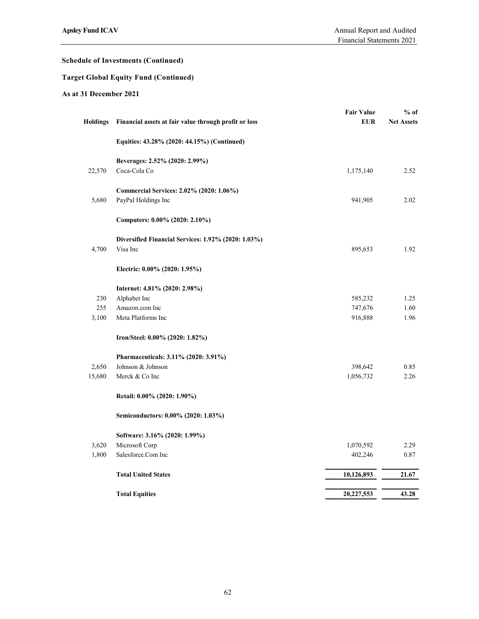# Target Global Equity Fund (Continued)

|                       |                                                                 | Financial Statements 2021 |                   |
|-----------------------|-----------------------------------------------------------------|---------------------------|-------------------|
|                       | chedule of Investments (Continued)                              |                           |                   |
|                       | 'arget Global Equity Fund (Continued)                           |                           |                   |
| s at 31 December 2021 |                                                                 |                           |                   |
|                       |                                                                 | <b>Fair Value</b>         | $%$ of            |
| <b>Holdings</b>       | Financial assets at fair value through profit or loss           | <b>EUR</b>                | <b>Net Assets</b> |
|                       | Equities: 43.28% (2020: 44.15%) (Continued)                     |                           |                   |
|                       | Beverages: 2.52% (2020: 2.99%)                                  |                           |                   |
| 22,570                | Coca-Cola Co                                                    | 1,175,140                 | 2.52              |
| 5,680                 | Commercial Services: 2.02% (2020: 1.06%)                        | 941,905                   | 2.02              |
|                       | PayPal Holdings Inc                                             |                           |                   |
|                       | Computers: 0.00% (2020: 2.10%)                                  |                           |                   |
| 4,700                 | Diversified Financial Services: 1.92% (2020: 1.03%)<br>Visa Inc | 895,653                   | 1.92              |
|                       |                                                                 |                           |                   |
|                       | Electric: 0.00% (2020: 1.95%)                                   |                           |                   |
|                       | Internet: 4.81% (2020: 2.98%)                                   |                           |                   |
| 230<br>255            | Alphabet Inc<br>Amazon.com Inc                                  | 585,232<br>747,676        | 1.25<br>1.60      |
| 3,100                 | Meta Platforms Inc                                              | 916,888                   | 1.96              |
|                       | Iron/Steel: 0.00% (2020: 1.82%)                                 |                           |                   |
|                       | Pharmaceuticals: 3.11% (2020: 3.91%)                            |                           |                   |
| 2,650                 | Johnson & Johnson                                               | 398,642                   | 0.85              |
| 15,680                | Merck & Co Inc                                                  | 1,056,732                 | 2.26              |
|                       | Retail: 0.00% (2020: 1.90%)                                     |                           |                   |
|                       | Semiconductors: 0.00% (2020: 1.03%)                             |                           |                   |
|                       | Software: 3.16% (2020: 1.99%)                                   |                           |                   |
| 3,620                 | Microsoft Corp                                                  | 1,070,592                 | 2.29              |
| 1,800                 | Salesforce.Com Inc                                              | 402,246                   | $0.87\,$          |
|                       | <b>Total United States</b>                                      | 10,126,893                | 21.67             |
|                       | <b>Total Equities</b>                                           | 20,227,553                | 43.28             |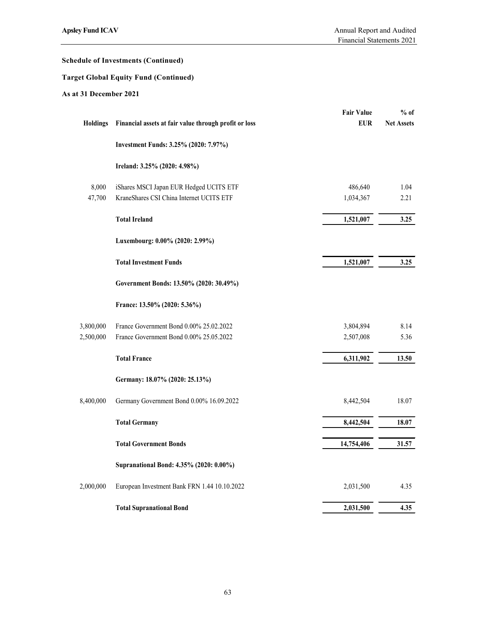# Target Global Equity Fund (Continued)

| psley Fund ICAV        |                                                                                     | Annual Report and Audited<br>Financial Statements 2021 |                             |
|------------------------|-------------------------------------------------------------------------------------|--------------------------------------------------------|-----------------------------|
|                        | chedule of Investments (Continued)                                                  |                                                        |                             |
|                        | arget Global Equity Fund (Continued)                                                |                                                        |                             |
| s at 31 December 2021  |                                                                                     |                                                        |                             |
| Holdings               | Financial assets at fair value through profit or loss                               | <b>Fair Value</b><br><b>EUR</b>                        | $%$ of<br><b>Net Assets</b> |
|                        | Investment Funds: 3.25% (2020: 7.97%)                                               |                                                        |                             |
|                        | Ireland: 3.25% (2020: 4.98%)                                                        |                                                        |                             |
| 8,000<br>47,700        | iShares MSCI Japan EUR Hedged UCITS ETF<br>KraneShares CSI China Internet UCITS ETF | 486,640<br>1,034,367                                   | 1.04<br>2.21                |
|                        | <b>Total Ireland</b>                                                                | 1,521,007                                              | 3.25                        |
|                        | Luxembourg: 0.00% (2020: 2.99%)                                                     |                                                        |                             |
|                        | <b>Total Investment Funds</b>                                                       | 1,521,007                                              | 3.25                        |
|                        | Government Bonds: 13.50% (2020: 30.49%)                                             |                                                        |                             |
|                        | France: 13.50% (2020: 5.36%)                                                        |                                                        |                             |
| 3,800,000<br>2,500,000 | France Government Bond 0.00% 25.02.2022<br>France Government Bond 0.00% 25.05.2022  | 3,804,894<br>2,507,008                                 | 8.14<br>5.36                |
|                        | <b>Total France</b>                                                                 | 6,311,902                                              | 13.50                       |
|                        | Germany: 18.07% (2020: 25.13%)                                                      |                                                        |                             |
| 8,400,000              | Germany Government Bond 0.00% 16.09.2022                                            | 8,442,504                                              | 18.07                       |
|                        | <b>Total Germany</b>                                                                | 8,442,504                                              | 18.07                       |
|                        | <b>Total Government Bonds</b>                                                       | 14,754,406                                             | 31.57                       |
|                        | Supranational Bond: 4.35% (2020: 0.00%)                                             |                                                        |                             |
| 2,000,000              | European Investment Bank FRN 1.44 10.10.2022                                        | 2,031,500                                              | 4.35                        |
|                        | <b>Total Supranational Bond</b>                                                     | 2,031,500                                              | 4.35                        |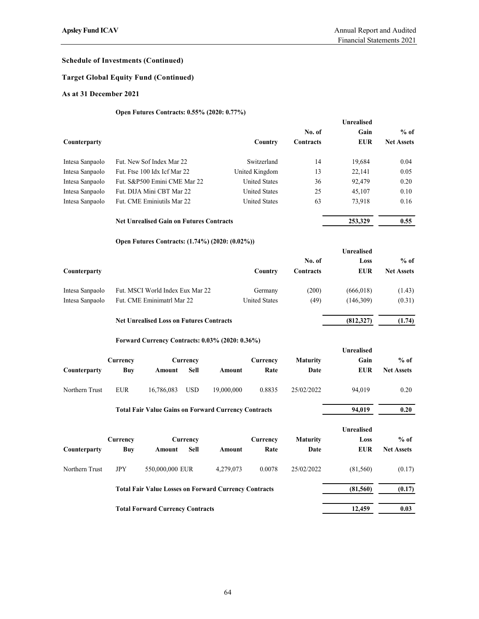# Target Global Equity Fund (Continued)

## As at 31 December 2021

# Open Futures Contracts: 0.55% (2020: 0.77%)

| <b>Apsley Fund ICAV</b>                      |                        |                                                              |                  |            |                      |                     | Annual Report and Audited<br>Financial Statements 2021 |                             |
|----------------------------------------------|------------------------|--------------------------------------------------------------|------------------|------------|----------------------|---------------------|--------------------------------------------------------|-----------------------------|
| <b>Schedule of Investments (Continued)</b>   |                        |                                                              |                  |            |                      |                     |                                                        |                             |
| <b>Target Global Equity Fund (Continued)</b> |                        |                                                              |                  |            |                      |                     |                                                        |                             |
| As at 31 December 2021                       |                        |                                                              |                  |            |                      |                     |                                                        |                             |
|                                              |                        | Open Futures Contracts: 0.55% (2020: 0.77%)                  |                  |            |                      |                     |                                                        |                             |
|                                              |                        |                                                              |                  |            |                      |                     | Unrealised                                             |                             |
| Counterparty                                 |                        |                                                              |                  |            | Country              | No. of<br>Contracts | Gain<br><b>EUR</b>                                     | $%$ of<br><b>Net Assets</b> |
| Intesa Sanpaolo                              |                        | Fut. New Sof Index Mar 22                                    |                  |            | Switzerland          | 14                  | 19,684                                                 | 0.04                        |
| Intesa Sanpaolo                              |                        | Fut. Ftse 100 Idx Icf Mar 22                                 |                  |            | United Kingdom       | 13                  | 22,141                                                 | 0.05                        |
| Intesa Sanpaolo                              |                        | Fut. S&P500 Emini CME Mar 22                                 |                  |            | <b>United States</b> | 36                  | 92,479                                                 | 0.20                        |
| Intesa Sanpaolo                              |                        | Fut. DIJA Mini CBT Mar 22                                    |                  |            | <b>United States</b> | 25                  | 45,107                                                 | 0.10                        |
| Intesa Sanpaolo                              |                        | Fut. CME Eminiutils Mar 22                                   |                  |            | <b>United States</b> | 63                  | 73,918                                                 | 0.16                        |
|                                              |                        | <b>Net Unrealised Gain on Futures Contracts</b>              |                  |            |                      |                     | 253,329                                                | 0.55                        |
|                                              |                        | Open Futures Contracts: (1.74%) (2020: (0.02%))              |                  |            |                      |                     |                                                        |                             |
|                                              |                        |                                                              |                  |            |                      |                     | Unrealised                                             |                             |
|                                              |                        |                                                              |                  |            |                      | No. of              | Loss                                                   | $%$ of                      |
| Counterparty                                 |                        |                                                              |                  |            | Country              | Contracts           | <b>EUR</b>                                             | <b>Net Assets</b>           |
| Intesa Sanpaolo                              |                        | Fut. MSCI World Index Eux Mar 22                             |                  |            | Germany              | (200)               | (666, 018)                                             | (1.43)                      |
| Intesa Sanpaolo                              |                        | Fut. CME Eminimatrl Mar 22                                   |                  |            | <b>United States</b> | (49)                | (146,309)                                              | (0.31)                      |
|                                              |                        | <b>Net Unrealised Loss on Futures Contracts</b>              |                  |            |                      |                     | (812, 327)                                             | (1.74)                      |
|                                              |                        | Forward Currency Contracts: 0.03% (2020: 0.36%)              |                  |            |                      |                     |                                                        |                             |
|                                              |                        |                                                              |                  |            |                      |                     | Unrealised                                             |                             |
| Counterparty                                 | Currency<br><b>Buy</b> | Amount                                                       | Currency<br>Sell | Amount     | Currency<br>Rate     | Maturity<br>Date    | Gain<br><b>EUR</b>                                     | $%$ of<br><b>Net Assets</b> |
| Northern Trust                               | <b>EUR</b>             | 16,786,083                                                   | <b>USD</b>       | 19,000,000 | 0.8835               | 25/02/2022          | 94,019                                                 | 0.20                        |
|                                              |                        | <b>Total Fair Value Gains on Forward Currency Contracts</b>  |                  |            |                      |                     | 94,019                                                 | 0.20                        |
|                                              |                        |                                                              |                  |            |                      |                     |                                                        |                             |
|                                              | Currency               |                                                              | Currency         |            | Currency             | <b>Maturity</b>     | Unrealised<br>Loss                                     | $%$ of                      |
| Counterparty                                 | <b>Buy</b>             | Amount                                                       | Sell             | Amount     | Rate                 | Date                | <b>EUR</b>                                             | <b>Net Assets</b>           |
| Northern Trust                               | $\rm JPY$              | 550,000,000 EUR                                              |                  | 4,279,073  | 0.0078               | 25/02/2022          | (81, 560)                                              | (0.17)                      |
|                                              |                        | <b>Total Fair Value Losses on Forward Currency Contracts</b> |                  |            |                      |                     | (81, 560)                                              | (0.17)                      |
|                                              |                        |                                                              |                  |            |                      |                     |                                                        |                             |
|                                              |                        | <b>Total Forward Currency Contracts</b>                      |                  |            |                      |                     | 12,459                                                 | 0.03                        |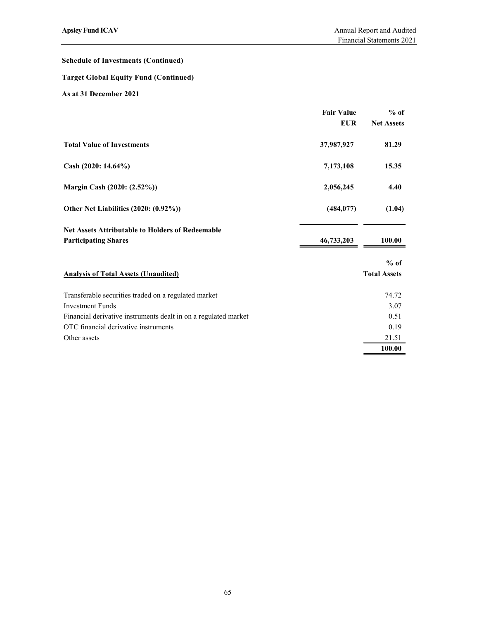# Target Global Equity Fund (Continued)

| <b>Apsley Fund ICAV</b>                                         |                   | Annual Report and Audited |
|-----------------------------------------------------------------|-------------------|---------------------------|
|                                                                 |                   | Financial Statements 2021 |
| <b>Schedule of Investments (Continued)</b>                      |                   |                           |
| <b>Target Global Equity Fund (Continued)</b>                    |                   |                           |
| As at 31 December 2021                                          |                   |                           |
|                                                                 | <b>Fair Value</b> | $%$ of                    |
|                                                                 | <b>EUR</b>        | <b>Net Assets</b>         |
| <b>Total Value of Investments</b>                               | 37,987,927        | 81.29                     |
| Cash (2020: 14.64%)                                             | 7,173,108         | 15.35                     |
| Margin Cash (2020: (2.52%))                                     | 2,056,245         | 4.40                      |
| Other Net Liabilities (2020: (0.92%))                           | (484, 077)        | (1.04)                    |
| Net Assets Attributable to Holders of Redeemable                |                   |                           |
| <b>Participating Shares</b>                                     | 46,733,203        | 100.00                    |
|                                                                 |                   | $%$ of                    |
| <b>Analysis of Total Assets (Unaudited)</b>                     |                   | <b>Total Assets</b>       |
| Transferable securities traded on a regulated market            |                   | 74.72                     |
| <b>Investment Funds</b>                                         |                   | 3.07                      |
| Financial derivative instruments dealt in on a regulated market |                   | 0.51                      |
| OTC financial derivative instruments                            |                   | 0.19                      |
| Other assets                                                    |                   | 21.51                     |
|                                                                 |                   | 100.00                    |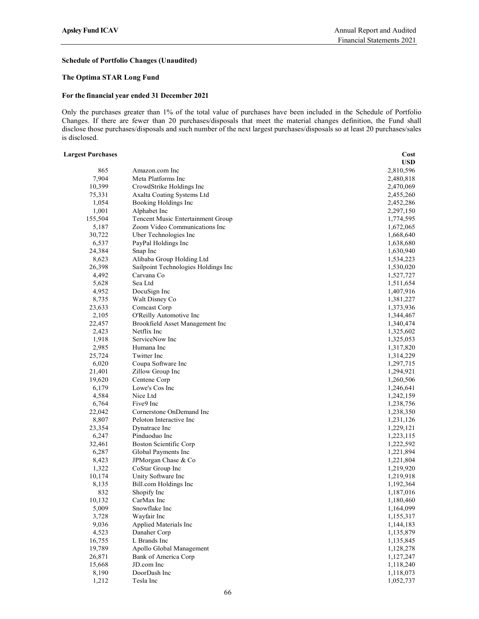## Schedule of Portfolio Changes (Unaudited)

## The Optima STAR Long Fund

### For the financial year ended 31 December 2021

Only the purchases greater than 1% of the total value of purchases have been included in the Schedule of Portfolio Changes. If there are fewer than 20 purchases/disposals that meet the material changes definition, the Fund shall disclose those purchases/disposals and such number of the next largest purchases/disposals so at least 20 purchases/sales is disclosed.

### Largest Purchases Cost

|         |                                     | <b>USD</b>             |
|---------|-------------------------------------|------------------------|
| 865     | Amazon.com Inc                      | 2,810,596              |
| 7,904   | Meta Platforms Inc                  | 2,480,818              |
| 10,399  | CrowdStrike Holdings Inc            | 2,470,069              |
| 75,331  | Axalta Coating Systems Ltd          | 2,455,260              |
| 1,054   | Booking Holdings Inc                | 2,452,286              |
| 1,001   | Alphabet Inc                        | 2,297,150              |
| 155,504 | Tencent Music Entertainment Group   | 1,774,595              |
| 5,187   | Zoom Video Communications Inc       | 1,672,065              |
| 30,722  | Uber Technologies Inc               | 1,668,640              |
| 6,537   | PayPal Holdings Inc                 | 1,638,680              |
| 24,384  | Snap Inc                            | 1,630,940              |
| 8,623   | Alibaba Group Holding Ltd           | 1,534,223              |
| 26,398  | Sailpoint Technologies Holdings Inc | 1,530,020              |
| 4,492   | Carvana Co                          | 1,527,727              |
| 5,628   | Sea Ltd                             | 1,511,654              |
| 4,952   |                                     |                        |
| 8,735   | DocuSign Inc<br>Walt Disney Co      | 1,407,916<br>1,381,227 |
|         |                                     |                        |
| 23,633  | Comcast Corp                        | 1,373,936              |
| 2,105   | O'Reilly Automotive Inc             | 1,344,467              |
| 22,457  | Brookfield Asset Management Inc     | 1,340,474              |
| 2,423   | Netflix Inc                         | 1,325,602              |
| 1,918   | ServiceNow Inc                      | 1,325,053              |
| 2,985   | Humana Inc                          | 1,317,820              |
| 25,724  | Twitter Inc                         | 1,314,229              |
| 6,020   | Coupa Software Inc                  | 1,297,715              |
| 21,401  | Zillow Group Inc                    | 1,294,921              |
| 19,620  | Centene Corp                        | 1,260,506              |
| 6,179   | Lowe's Cos Inc                      | 1,246,641              |
| 4,584   | Nice Ltd                            | 1,242,159              |
| 6,764   | Five9 Inc                           | 1,238,756              |
| 22,042  | Cornerstone OnDemand Inc            | 1,238,350              |
| 8,807   | Peloton Interactive Inc             | 1,231,126              |
| 23,354  | Dynatrace Inc                       | 1,229,121              |
| 6,247   | Pinduoduo Inc                       | 1,223,115              |
| 32,461  | <b>Boston Scientific Corp</b>       | 1,222,592              |
| 6,287   | Global Payments Inc                 | 1,221,894              |
| 8,423   | JPMorgan Chase & Co                 | 1,221,804              |
| 1,322   | CoStar Group Inc                    | 1,219,920              |
| 10,174  | Unity Software Inc                  | 1,219,918              |
| 8,135   | Bill.com Holdings Inc               | 1,192,364              |
| 832     | Shopify Inc                         | 1,187,016              |
| 10,132  | CarMax Inc                          | 1,180,460              |
| 5,009   | Snowflake Inc                       | 1,164,099              |
| 3,728   | Wayfair Inc                         | 1,155,317              |
| 9,036   | Applied Materials Inc               | 1,144,183              |
| 4,523   | Danaher Corp                        | 1,135,879              |
| 16,755  | L Brands Inc                        | 1,135,845              |
| 19,789  | Apollo Global Management            | 1,128,278              |
| 26,871  | Bank of America Corp                | 1,127,247              |
| 15,668  | JD.com Inc                          | 1,118,240              |
| 8,190   | DoorDash Inc                        | 1,118,073              |
| 1,212   | Tesla Inc                           | 1,052,737              |
|         |                                     |                        |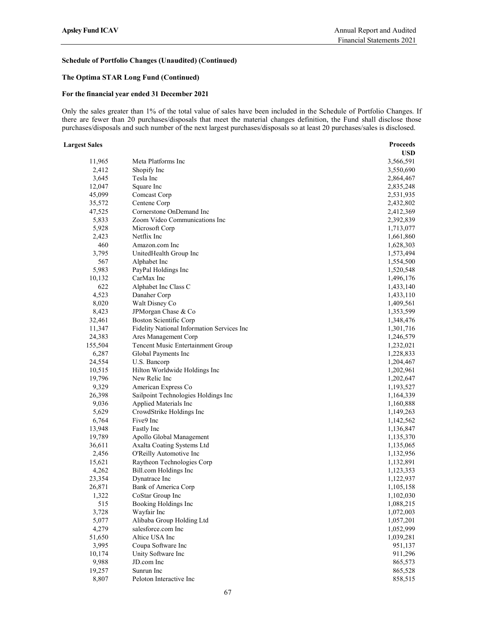## The Optima STAR Long Fund (Continued)

## For the financial year ended 31 December 2021

Only the sales greater than 1% of the total value of sales have been included in the Schedule of Portfolio Changes. If there are fewer than 20 purchases/disposals that meet the material changes definition, the Fund shall disclose those purchases/disposals and such number of the next largest purchases/disposals so at least 20 purchases/sales is disclosed.

#### Largest Sales Proceeds

|         |                                            | <b>USD</b> |  |
|---------|--------------------------------------------|------------|--|
| 11,965  | Meta Platforms Inc                         | 3,566,591  |  |
| 2,412   | Shopify Inc                                | 3,550,690  |  |
| 3,645   | Tesla Inc                                  | 2,864,467  |  |
| 12,047  | Square Inc                                 | 2,835,248  |  |
| 45,099  | Comcast Corp                               | 2,531,935  |  |
| 35,572  | Centene Corp                               | 2,432,802  |  |
| 47,525  | Cornerstone OnDemand Inc                   | 2,412,369  |  |
| 5,833   | Zoom Video Communications Inc              | 2,392,839  |  |
| 5,928   | Microsoft Corp                             | 1,713,077  |  |
| 2,423   | Netflix Inc                                | 1,661,860  |  |
| 460     | Amazon.com Inc                             | 1,628,303  |  |
| 3,795   | UnitedHealth Group Inc                     | 1,573,494  |  |
| 567     | Alphabet Inc                               | 1,554,500  |  |
| 5,983   | PayPal Holdings Inc                        | 1,520,548  |  |
| 10,132  | CarMax Inc                                 | 1,496,176  |  |
| 622     | Alphabet Inc Class C                       | 1,433,140  |  |
| 4,523   | Danaher Corp                               | 1,433,110  |  |
| 8,020   | Walt Disney Co                             | 1,409,561  |  |
| 8,423   | JPMorgan Chase & Co                        | 1,353,599  |  |
| 32,461  | <b>Boston Scientific Corp</b>              | 1,348,476  |  |
| 11,347  | Fidelity National Information Services Inc | 1,301,716  |  |
| 24,383  | Ares Management Corp                       | 1,246,579  |  |
| 155,504 | Tencent Music Entertainment Group          | 1,232,021  |  |
| 6,287   | Global Payments Inc                        | 1,228,833  |  |
| 24,554  | U.S. Bancorp                               | 1,204,467  |  |
| 10,515  | Hilton Worldwide Holdings Inc              | 1,202,961  |  |
| 19,796  | New Relic Inc                              | 1,202,647  |  |
| 9,329   | American Express Co                        | 1,193,527  |  |
| 26,398  | Sailpoint Technologies Holdings Inc        | 1,164,339  |  |
| 9,036   | Applied Materials Inc                      | 1,160,888  |  |
| 5,629   | CrowdStrike Holdings Inc                   | 1,149,263  |  |
| 6,764   | Five9 Inc                                  | 1,142,562  |  |
| 13,948  | Fastly Inc                                 | 1,136,847  |  |
| 19,789  | Apollo Global Management                   | 1,135,370  |  |
| 36,611  | Axalta Coating Systems Ltd                 | 1,135,065  |  |
| 2,456   | O'Reilly Automotive Inc                    | 1,132,956  |  |
| 15,621  | Raytheon Technologies Corp                 | 1,132,891  |  |
| 4,262   | Bill.com Holdings Inc                      | 1,123,353  |  |
| 23,354  | Dynatrace Inc                              | 1,122,937  |  |
| 26,871  | Bank of America Corp                       | 1,105,158  |  |
| 1,322   | CoStar Group Inc                           | 1,102,030  |  |
| 515     | Booking Holdings Inc                       | 1,088,215  |  |
| 3,728   | Wayfair Inc                                | 1,072,003  |  |
| 5,077   | Alibaba Group Holding Ltd                  | 1,057,201  |  |
| 4,279   | salesforce.com Inc                         | 1,052,999  |  |
| 51,650  | Altice USA Inc                             | 1,039,281  |  |
| 3,995   | Coupa Software Inc                         | 951,137    |  |
| 10,174  | Unity Software Inc                         | 911,296    |  |
| 9,988   | JD.com Inc                                 | 865,573    |  |
| 19,257  | Sunrun Inc                                 | 865,528    |  |
| 8,807   | Peloton Interactive Inc                    | 858,515    |  |
|         |                                            |            |  |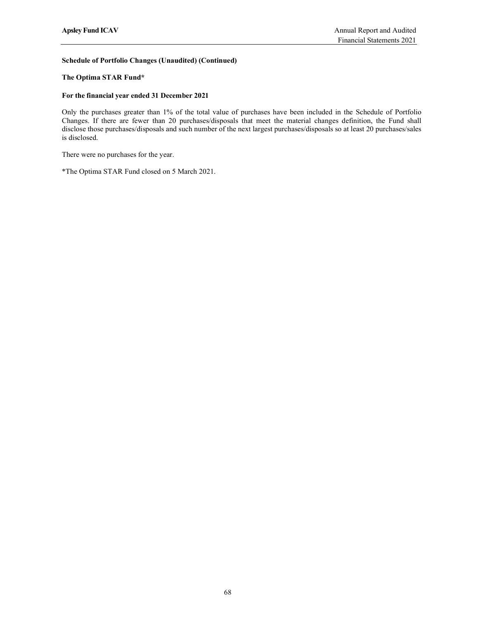## The Optima STAR Fund\*

### For the financial year ended 31 December 2021

Only the purchases greater than 1% of the total value of purchases have been included in the Schedule of Portfolio Changes. If there are fewer than 20 purchases/disposals that meet the material changes definition, the Fund shall disclose those purchases/disposals and such number of the next largest purchases/disposals so at least 20 purchases/sales is disclosed.

There were no purchases for the year.

\*The Optima STAR Fund closed on 5 March 2021.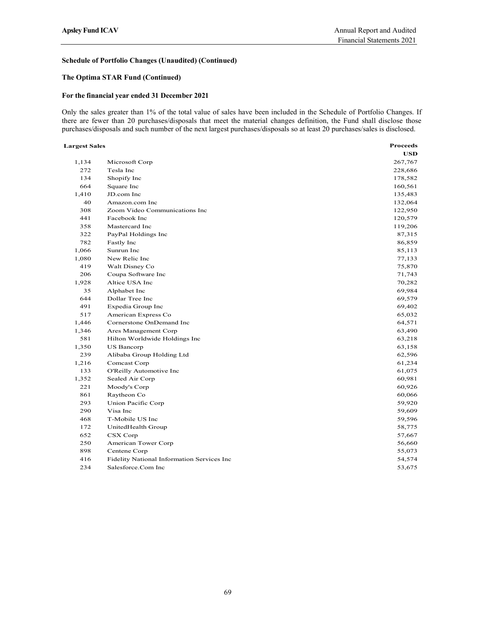## The Optima STAR Fund (Continued)

### For the financial year ended 31 December 2021

|                      |                                                                                                                                                                                                                                                                                                                                                                           | Financial Statements 2021 |
|----------------------|---------------------------------------------------------------------------------------------------------------------------------------------------------------------------------------------------------------------------------------------------------------------------------------------------------------------------------------------------------------------------|---------------------------|
|                      | Schedule of Portfolio Changes (Unaudited) (Continued)                                                                                                                                                                                                                                                                                                                     |                           |
|                      | The Optima STAR Fund (Continued)                                                                                                                                                                                                                                                                                                                                          |                           |
|                      | For the financial year ended 31 December 2021                                                                                                                                                                                                                                                                                                                             |                           |
|                      | Only the sales greater than 1% of the total value of sales have been included in the Schedule of Portfolio Changes. If<br>here are fewer than 20 purchases/disposals that meet the material changes definition, the Fund shall disclose those<br>ourchases/disposals and such number of the next largest purchases/disposals so at least 20 purchases/sales is disclosed. |                           |
| <b>Largest Sales</b> |                                                                                                                                                                                                                                                                                                                                                                           | <b>Proceeds</b>           |
|                      |                                                                                                                                                                                                                                                                                                                                                                           | <b>USD</b>                |
| 1,134                | Microsoft Corp                                                                                                                                                                                                                                                                                                                                                            | 267,767                   |
| 272<br>134           | Tesla Inc<br>Shopify Inc                                                                                                                                                                                                                                                                                                                                                  | 228,686<br>178,582        |
| 664                  | Square Inc                                                                                                                                                                                                                                                                                                                                                                | 160,561                   |
| 1,410                | JD.com Inc                                                                                                                                                                                                                                                                                                                                                                | 135,483                   |
| 40                   | Amazon.com Inc                                                                                                                                                                                                                                                                                                                                                            | 132,064                   |
| 308                  | Zoom Video Communications Inc                                                                                                                                                                                                                                                                                                                                             | 122,950                   |
| 441                  | Facebook Inc                                                                                                                                                                                                                                                                                                                                                              | 120,579                   |
| 358                  | Mastercard Inc                                                                                                                                                                                                                                                                                                                                                            | 119,206                   |
| 322                  | PayPal Holdings Inc                                                                                                                                                                                                                                                                                                                                                       | 87,315                    |
| 782                  | Fastly Inc<br>Sunrun Inc                                                                                                                                                                                                                                                                                                                                                  | 86,859                    |
| 1,066<br>1,080       | New Relic Inc                                                                                                                                                                                                                                                                                                                                                             | 85,113<br>77,133          |
| 419                  | Walt Disney Co                                                                                                                                                                                                                                                                                                                                                            | 75,870                    |
| 206                  | Coupa Software Inc                                                                                                                                                                                                                                                                                                                                                        | 71,743                    |
| 1,928                | Altice USA Inc                                                                                                                                                                                                                                                                                                                                                            | 70,282                    |
| 35                   | Alphabet Inc                                                                                                                                                                                                                                                                                                                                                              | 69,984                    |
| 644                  | Dollar Tree Inc                                                                                                                                                                                                                                                                                                                                                           | 69,579                    |
| 491                  | Expedia Group Inc                                                                                                                                                                                                                                                                                                                                                         | 69,402                    |
| 517                  | American Express Co                                                                                                                                                                                                                                                                                                                                                       | 65,032                    |
| 1,446                | Cornerstone OnDemand Inc                                                                                                                                                                                                                                                                                                                                                  | 64,571                    |
| 1,346                | Ares Management Corp                                                                                                                                                                                                                                                                                                                                                      | 63,490                    |
| 581                  | Hilton Worldwide Holdings Inc                                                                                                                                                                                                                                                                                                                                             | 63,218                    |
| 1,350<br>239         | <b>US Bancorp</b><br>Alibaba Group Holding Ltd                                                                                                                                                                                                                                                                                                                            | 63,158<br>62,596          |
| 1,216                | Comcast Corp                                                                                                                                                                                                                                                                                                                                                              | 61,234                    |
| 133                  | O'Reilly Automotive Inc                                                                                                                                                                                                                                                                                                                                                   | 61,075                    |
| 1,352                | Sealed Air Corp                                                                                                                                                                                                                                                                                                                                                           | 60,981                    |
| 221                  | Moody's Corp                                                                                                                                                                                                                                                                                                                                                              | 60,926                    |
| 861                  | Raytheon Co                                                                                                                                                                                                                                                                                                                                                               | 60,066                    |
| 293                  | Union Pacific Corp                                                                                                                                                                                                                                                                                                                                                        | 59,920                    |
| 290                  | Visa Inc                                                                                                                                                                                                                                                                                                                                                                  | 59,609                    |
| 468                  | T-Mobile US Inc                                                                                                                                                                                                                                                                                                                                                           | 59,596                    |
| 172                  | UnitedHealth Group                                                                                                                                                                                                                                                                                                                                                        | 58,775                    |
| 652                  | CSX Corp                                                                                                                                                                                                                                                                                                                                                                  | 57,667                    |
|                      | American Tower Corp<br>Centene Corp                                                                                                                                                                                                                                                                                                                                       | 56,660                    |
| 250                  |                                                                                                                                                                                                                                                                                                                                                                           | 55,073                    |
| 898<br>416           | Fidelity National Information Services Inc                                                                                                                                                                                                                                                                                                                                | 54,574                    |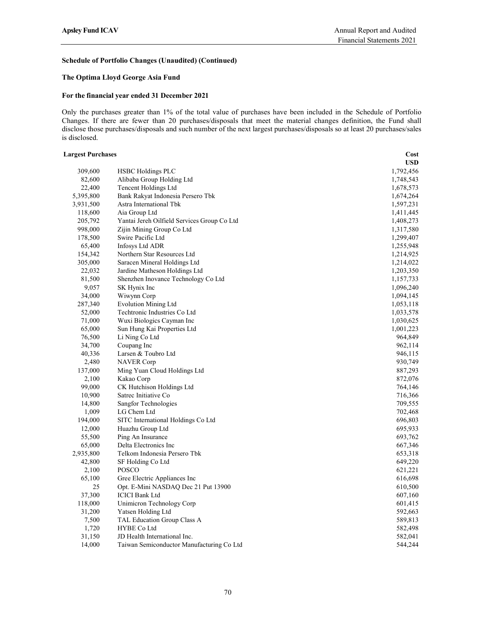## The Optima Lloyd George Asia Fund

### For the financial year ended 31 December 2021

Only the purchases greater than 1% of the total value of purchases have been included in the Schedule of Portfolio Changes. If there are fewer than 20 purchases/disposals that meet the material changes definition, the Fund shall disclose those purchases/disposals and such number of the next largest purchases/disposals so at least 20 purchases/sales is disclosed.

| <b>Largest Purchases</b> |                                             | Cost       |
|--------------------------|---------------------------------------------|------------|
|                          |                                             | <b>USD</b> |
| 309,600                  | <b>HSBC</b> Holdings PLC                    | 1,792,456  |
| 82,600                   | Alibaba Group Holding Ltd                   | 1,748,543  |
| 22,400                   | Tencent Holdings Ltd                        | 1,678,573  |
| 5,395,800                | Bank Rakyat Indonesia Persero Tbk           | 1,674,264  |
| 3,931,500                | Astra International Tbk                     | 1,597,231  |
| 118,600                  | Aia Group Ltd                               | 1,411,445  |
| 205,792                  | Yantai Jereh Oilfield Services Group Co Ltd | 1,408,273  |
| 998,000                  | Zijin Mining Group Co Ltd                   | 1,317,580  |
| 178,500                  | Swire Pacific Ltd                           | 1,299,407  |
| 65,400                   | Infosys Ltd ADR                             | 1,255,948  |
| 154,342                  | Northern Star Resources Ltd                 | 1,214,925  |
| 305,000                  | Saracen Mineral Holdings Ltd                | 1,214,022  |
| 22,032                   | Jardine Matheson Holdings Ltd               | 1,203,350  |
| 81,500                   | Shenzhen Inovance Technology Co Ltd         | 1,157,733  |
| 9,057                    | SK Hynix Inc                                | 1,096,240  |
| 34,000                   | Wiwynn Corp                                 | 1,094,145  |
| 287,340                  | <b>Evolution Mining Ltd</b>                 | 1,053,118  |
| 52,000                   | Techtronic Industries Co Ltd                | 1,033,578  |
| 71,000                   | Wuxi Biologics Cayman Inc                   | 1,030,625  |
| 65,000                   | Sun Hung Kai Properties Ltd                 | 1,001,223  |
| 76,500                   | Li Ning Co Ltd                              | 964,849    |
| 34,700                   | Coupang Inc                                 | 962,114    |
| 40,336                   | Larsen & Toubro Ltd                         | 946,115    |
| 2,480                    | <b>NAVER Corp</b>                           | 930,749    |
| 137,000                  | Ming Yuan Cloud Holdings Ltd                | 887,293    |
| 2,100                    | Kakao Corp                                  | 872,076    |
| 99,000                   | CK Hutchison Holdings Ltd                   | 764,146    |
| 10,900                   | Satrec Initiative Co                        | 716,366    |
| 14,800                   | Sangfor Technologies                        | 709,555    |
| 1,009                    | LG Chem Ltd                                 | 702,468    |
| 194,000                  | SITC International Holdings Co Ltd          | 696,803    |
| 12,000                   | Huazhu Group Ltd                            | 695,933    |
| 55,500                   | Ping An Insurance                           | 693,762    |
| 65,000                   | Delta Electronics Inc                       | 667,346    |
| 2,935,800                | Telkom Indonesia Persero Tbk                | 653,318    |
| 42,800                   | SF Holding Co Ltd                           | 649,220    |
| 2,100                    | POSCO                                       | 621,221    |
| 65,100                   | Gree Electric Appliances Inc                | 616,698    |
| 25                       | Opt. E-Mini NASDAQ Dec 21 Put 13900         | 610,500    |
| 37,300                   | <b>ICICI</b> Bank Ltd                       | 607,160    |
| 118,000                  | Unimicron Technology Corp                   | 601,415    |
| 31,200                   | Yatsen Holding Ltd                          | 592,663    |
| 7,500                    | TAL Education Group Class A                 | 589,813    |
| 1,720                    | <b>HYBE Co Ltd</b>                          | 582,498    |
| 31,150                   | JD Health International Inc.                | 582,041    |
| 14,000                   | Taiwan Semiconductor Manufacturing Co Ltd   | 544,244    |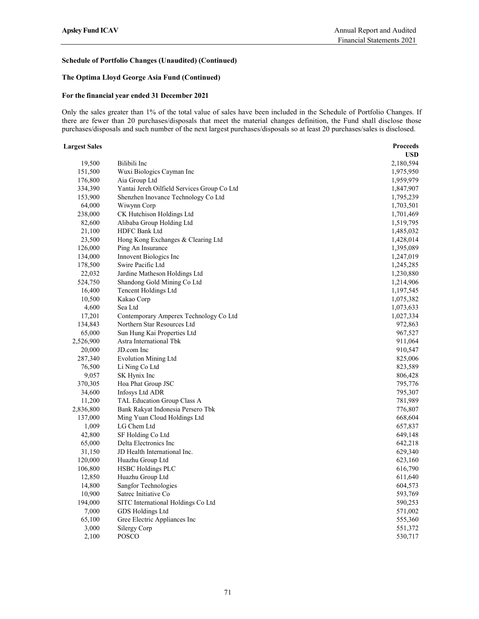# Schedule of Portfolio Changes (Unaudited) (Continued)

# The Optima Lloyd George Asia Fund (Continued)

## For the financial year ended 31 December 2021

Only the sales greater than 1% of the total value of sales have been included in the Schedule of Portfolio Changes. If there are fewer than 20 purchases/disposals that meet the material changes definition, the Fund shall disclose those purchases/disposals and such number of the next largest purchases/disposals so at least 20 purchases/sales is disclosed.

### Largest Sales Proceeds

|           |                                             | <b>USD</b> |
|-----------|---------------------------------------------|------------|
| 19,500    | Bilibili Inc                                | 2,180,594  |
| 151,500   | Wuxi Biologics Cayman Inc                   | 1,975,950  |
| 176,800   | Aia Group Ltd                               | 1,959,979  |
| 334,390   | Yantai Jereh Oilfield Services Group Co Ltd | 1,847,907  |
| 153,900   | Shenzhen Inovance Technology Co Ltd         | 1,795,239  |
| 64,000    | Wiwynn Corp                                 | 1,703,501  |
| 238,000   | CK Hutchison Holdings Ltd                   | 1,701,469  |
| 82,600    | Alibaba Group Holding Ltd                   | 1,519,795  |
| 21,100    | HDFC Bank Ltd                               | 1,485,032  |
| 23,500    | Hong Kong Exchanges & Clearing Ltd          | 1,428,014  |
| 126,000   | Ping An Insurance                           | 1,395,089  |
| 134,000   | Innovent Biologics Inc                      | 1,247,019  |
| 178,500   | Swire Pacific Ltd                           | 1,245,285  |
| 22,032    | Jardine Matheson Holdings Ltd               | 1,230,880  |
| 524,750   | Shandong Gold Mining Co Ltd                 | 1,214,906  |
| 16,400    | Tencent Holdings Ltd                        | 1,197,545  |
| 10,500    | Kakao Corp                                  | 1,075,382  |
| 4,600     | Sea Ltd                                     | 1,073,633  |
| 17,201    | Contemporary Amperex Technology Co Ltd      | 1,027,334  |
| 134,843   | Northern Star Resources Ltd                 | 972,863    |
| 65,000    | Sun Hung Kai Properties Ltd                 | 967,527    |
| 2,526,900 | Astra International Tbk                     | 911,064    |
| 20,000    | JD.com Inc                                  | 910,547    |
| 287,340   | <b>Evolution Mining Ltd</b>                 | 825,006    |
| 76,500    | Li Ning Co Ltd                              | 823,589    |
| 9,057     | SK Hynix Inc                                | 806,428    |
| 370,305   | Hoa Phat Group JSC                          | 795,776    |
| 34,600    | <b>Infosys Ltd ADR</b>                      | 795,307    |
| 11,200    | TAL Education Group Class A                 | 781,989    |
| 2,836,800 | Bank Rakyat Indonesia Persero Tbk           | 776,807    |
| 137,000   | Ming Yuan Cloud Holdings Ltd                | 668,604    |
| 1,009     | LG Chem Ltd                                 | 657,837    |
| 42,800    | SF Holding Co Ltd                           | 649,148    |
| 65,000    | Delta Electronics Inc                       | 642,218    |
| 31,150    | JD Health International Inc.                | 629,340    |
| 120,000   | Huazhu Group Ltd                            | 623,160    |
| 106,800   | <b>HSBC Holdings PLC</b>                    | 616,790    |
| 12,850    | Huazhu Group Ltd                            | 611,640    |
| 14,800    | Sangfor Technologies                        | 604,573    |
| 10,900    | Satrec Initiative Co                        | 593,769    |
| 194,000   | SITC International Holdings Co Ltd          | 590,253    |
| 7,000     | GDS Holdings Ltd                            | 571,002    |
| 65,100    | Gree Electric Appliances Inc                | 555,360    |
| 3,000     | Silergy Corp                                | 551,372    |
| 2,100     | POSCO                                       | 530,717    |
|           |                                             |            |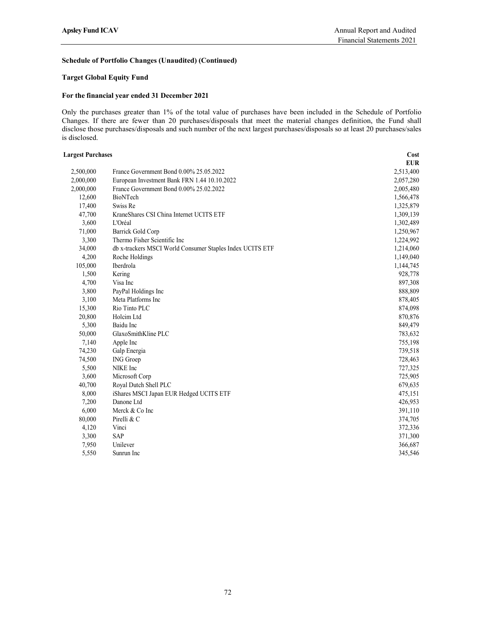# Schedule of Portfolio Changes (Unaudited) (Continued)

# Target Global Equity Fund

## For the financial year ended 31 December 2021

Only the purchases greater than 1% of the total value of purchases have been included in the Schedule of Portfolio Changes. If there are fewer than 20 purchases/disposals that meet the material changes definition, the Fund shall disclose those purchases/disposals and such number of the next largest purchases/disposals so at least 20 purchases/sales is disclosed.

| <b>Largest Purchases</b> |                                                           | Cost       |  |
|--------------------------|-----------------------------------------------------------|------------|--|
|                          |                                                           | <b>EUR</b> |  |
| 2,500,000                | France Government Bond 0.00% 25.05.2022                   | 2,513,400  |  |
| 2,000,000                | European Investment Bank FRN 1.44 10.10.2022              | 2,057,280  |  |
| 2,000,000                | France Government Bond 0.00% 25.02.2022                   | 2,005,480  |  |
| 12,600                   | BioNTech                                                  | 1,566,478  |  |
| 17,400                   | Swiss Re                                                  | 1,325,879  |  |
| 47,700                   | KraneShares CSI China Internet UCITS ETF                  | 1,309,139  |  |
| 3,600                    | L'Oréal                                                   | 1,302,489  |  |
| 71,000                   | Barrick Gold Corp                                         | 1,250,967  |  |
| 3,300                    | Thermo Fisher Scientific Inc                              | 1,224,992  |  |
| 34,000                   | db x-trackers MSCI World Consumer Staples Index UCITS ETF | 1,214,060  |  |
| 4,200                    | Roche Holdings                                            | 1,149,040  |  |
| 105,000                  | Iberdrola                                                 | 1,144,745  |  |
| 1,500                    | Kering                                                    | 928,778    |  |
| 4,700                    | Visa Inc                                                  | 897,308    |  |
| 3,800                    | PayPal Holdings Inc                                       | 888,809    |  |
| 3,100                    | Meta Platforms Inc                                        | 878,405    |  |
| 15,300                   | Rio Tinto PLC                                             | 874,098    |  |
| 20,800                   | Holcim Ltd                                                | 870,876    |  |
| 5,300                    | Baidu Inc                                                 | 849,479    |  |
| 50,000                   | GlaxoSmithKline PLC                                       | 783,632    |  |
| 7,140                    | Apple Inc                                                 | 755,198    |  |
| 74,230                   | Galp Energia                                              | 739,518    |  |
| 74,500                   | ING Groep                                                 | 728,463    |  |
| 5,500                    | NIKE Inc                                                  | 727,325    |  |
| 3,600                    | Microsoft Corp                                            | 725,905    |  |
| 40,700                   | Royal Dutch Shell PLC                                     | 679,635    |  |
| 8,000                    | iShares MSCI Japan EUR Hedged UCITS ETF                   | 475,151    |  |
| 7,200                    | Danone Ltd                                                | 426,953    |  |
| 6,000                    | Merck & Co Inc                                            | 391,110    |  |
| 80,000                   | Pirelli & C                                               | 374,705    |  |
| 4,120                    | Vinci                                                     | 372,336    |  |
| 3,300                    | <b>SAP</b>                                                | 371,300    |  |
| 7,950                    | Unilever                                                  | 366,687    |  |
| 5,550                    | Sunrun Inc                                                | 345,546    |  |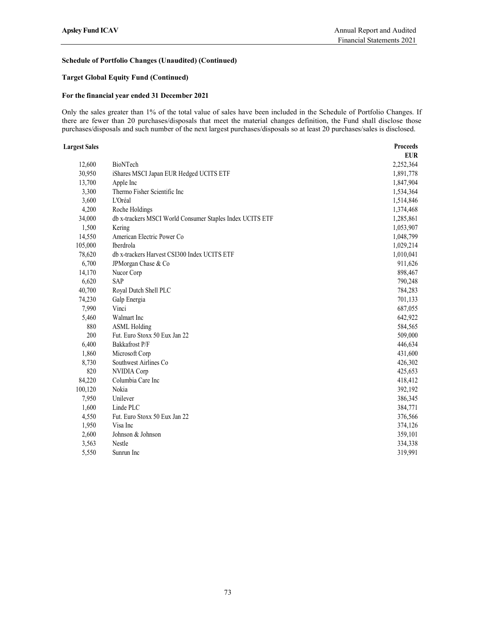# Schedule of Portfolio Changes (Unaudited) (Continued)

# Target Global Equity Fund (Continued)

## For the financial year ended 31 December 2021

Only the sales greater than 1% of the total value of sales have been included in the Schedule of Portfolio Changes. If there are fewer than 20 purchases/disposals that meet the material changes definition, the Fund shall disclose those purchases/disposals and such number of the next largest purchases/disposals so at least 20 purchases/sales is disclosed.

#### Largest Sales Proceeds

|         |                                                           | <b>EUR</b> |
|---------|-----------------------------------------------------------|------------|
| 12,600  | BioNTech                                                  | 2,252,364  |
| 30,950  | iShares MSCI Japan EUR Hedged UCITS ETF                   | 1,891,778  |
| 13,700  | Apple Inc                                                 | 1,847,904  |
| 3,300   | Thermo Fisher Scientific Inc                              | 1,534,364  |
| 3,600   | L'Oréal                                                   | 1,514,846  |
| 4,200   | Roche Holdings                                            | 1,374,468  |
| 34,000  | db x-trackers MSCI World Consumer Staples Index UCITS ETF | 1,285,861  |
| 1,500   | Kering                                                    | 1,053,907  |
| 14,550  | American Electric Power Co                                | 1,048,799  |
| 105,000 | Iberdrola                                                 | 1,029,214  |
| 78,620  | db x-trackers Harvest CSI300 Index UCITS ETF              | 1,010,041  |
| 6,700   | JPMorgan Chase & Co                                       | 911,626    |
| 14,170  | Nucor Corp                                                | 898,467    |
| 6,620   | SAP                                                       | 790,248    |
| 40,700  | Royal Dutch Shell PLC                                     | 784,283    |
| 74,230  | Galp Energia                                              | 701,133    |
| 7,990   | Vinci                                                     | 687,055    |
| 5,460   | Walmart Inc                                               | 642,922    |
| 880     | <b>ASML Holding</b>                                       | 584,565    |
| 200     | Fut. Euro Stoxx 50 Eux Jan 22                             | 509,000    |
| 6,400   | Bakkafrost P/F                                            | 446,634    |
| 1,860   | Microsoft Corp                                            | 431,600    |
| 8,730   | Southwest Airlines Co                                     | 426,302    |
| 820     | NVIDIA Corp                                               | 425,653    |
| 84,220  | Columbia Care Inc                                         | 418,412    |
| 100,120 | Nokia                                                     | 392,192    |
| 7,950   | Unilever                                                  | 386,345    |
| 1,600   | Linde PLC                                                 | 384,771    |
| 4,550   | Fut. Euro Stoxx 50 Eux Jan 22                             | 376,566    |
| 1,950   | Visa Inc                                                  | 374,126    |
| 2,600   | Johnson & Johnson                                         | 359,101    |
| 3,563   | Nestle                                                    | 334,338    |
| 5,550   | Sunrun Inc                                                | 319,991    |
|         |                                                           |            |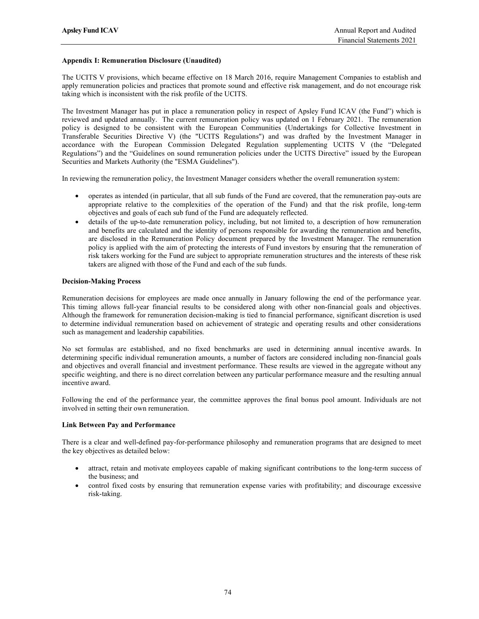# Appendix I: Remuneration Disclosure (Unaudited)

The UCITS V provisions, which became effective on 18 March 2016, require Management Companies to establish and apply remuneration policies and practices that promote sound and effective risk management, and do not encourage risk taking which is inconsistent with the risk profile of the UCITS.

The Investment Manager has put in place a remuneration policy in respect of Apsley Fund ICAV (the Fund") which is reviewed and updated annually. The current remuneration policy was updated on 1 February 2021. The remuneration policy is designed to be consistent with the European Communities (Undertakings for Collective Investment in Transferable Securities Directive V) (the "UCITS Regulations") and was drafted by the Investment Manager in accordance with the European Commission Delegated Regulation supplementing UCITS V (the "Delegated Regulations") and the "Guidelines on sound remuneration policies under the UCITS Directive" issued by the European Securities and Markets Authority (the "ESMA Guidelines").

In reviewing the remuneration policy, the Investment Manager considers whether the overall remuneration system:

- operates as intended (in particular, that all sub funds of the Fund are covered, that the remuneration pay-outs are appropriate relative to the complexities of the operation of the Fund) and that the risk profile, long-term objectives and goals of each sub fund of the Fund are adequately reflected.
- details of the up-to-date remuneration policy, including, but not limited to, a description of how remuneration and benefits are calculated and the identity of persons responsible for awarding the remuneration and benefits, are disclosed in the Remuneration Policy document prepared by the Investment Manager. The remuneration policy is applied with the aim of protecting the interests of Fund investors by ensuring that the remuneration of risk takers working for the Fund are subject to appropriate remuneration structures and the interests of these risk takers are aligned with those of the Fund and each of the sub funds.

# Decision-Making Process

Remuneration decisions for employees are made once annually in January following the end of the performance year. This timing allows full-year financial results to be considered along with other non-financial goals and objectives. Although the framework for remuneration decision-making is tied to financial performance, significant discretion is used to determine individual remuneration based on achievement of strategic and operating results and other considerations such as management and leadership capabilities.

No set formulas are established, and no fixed benchmarks are used in determining annual incentive awards. In determining specific individual remuneration amounts, a number of factors are considered including non-financial goals and objectives and overall financial and investment performance. These results are viewed in the aggregate without any specific weighting, and there is no direct correlation between any particular performance measure and the resulting annual incentive award.

Following the end of the performance year, the committee approves the final bonus pool amount. Individuals are not involved in setting their own remuneration.

## Link Between Pay and Performance

There is a clear and well-defined pay-for-performance philosophy and remuneration programs that are designed to meet the key objectives as detailed below:

- attract, retain and motivate employees capable of making significant contributions to the long-term success of the business; and
- control fixed costs by ensuring that remuneration expense varies with profitability; and discourage excessive risk-taking.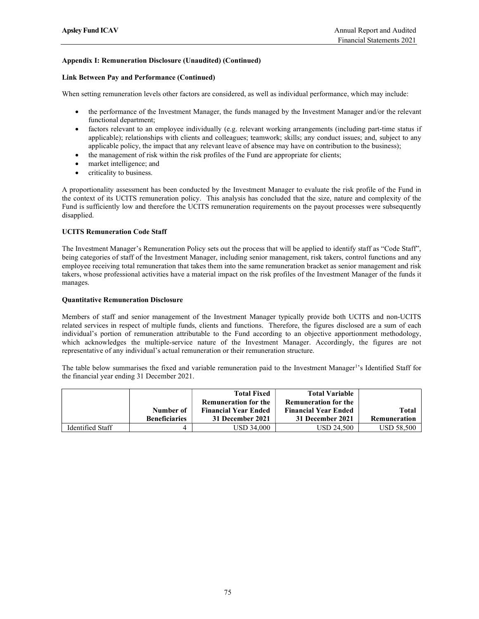# Appendix I: Remuneration Disclosure (Unaudited) (Continued)

## Link Between Pay and Performance (Continued)

When setting remuneration levels other factors are considered, as well as individual performance, which may include:

- the performance of the Investment Manager, the funds managed by the Investment Manager and/or the relevant functional department;
- factors relevant to an employee individually (e.g. relevant working arrangements (including part-time status if applicable); relationships with clients and colleagues; teamwork; skills; any conduct issues; and, subject to any applicable policy, the impact that any relevant leave of absence may have on contribution to the business);
- the management of risk within the risk profiles of the Fund are appropriate for clients;
- market intelligence; and
- criticality to business.

A proportionality assessment has been conducted by the Investment Manager to evaluate the risk profile of the Fund in the context of its UCITS remuneration policy. This analysis has concluded that the size, nature and complexity of the Fund is sufficiently low and therefore the UCITS remuneration requirements on the payout processes were subsequently disapplied.

## UCITS Remuneration Code Staff

The Investment Manager's Remuneration Policy sets out the process that will be applied to identify staff as "Code Staff", being categories of staff of the Investment Manager, including senior management, risk takers, control functions and any employee receiving total remuneration that takes them into the same remuneration bracket as senior management and risk takers, whose professional activities have a material impact on the risk profiles of the Investment Manager of the funds it manages.

### Quantitative Remuneration Disclosure

Members of staff and senior management of the Investment Manager typically provide both UCITS and non-UCITS related services in respect of multiple funds, clients and functions. Therefore, the figures disclosed are a sum of each individual's portion of remuneration attributable to the Fund according to an objective apportionment methodology, which acknowledges the multiple-service nature of the Investment Manager. Accordingly, the figures are not representative of any individual's actual remuneration or their remuneration structure.

The table below summarises the fixed and variable remuneration paid to the Investment Manager<sup>1</sup>'s Identified Staff for the financial year ending 31 December 2021.

|                  |                      | <b>Total Fixed</b>          | <b>Total Variable</b>       |                   |
|------------------|----------------------|-----------------------------|-----------------------------|-------------------|
|                  |                      | <b>Remuneration for the</b> | <b>Remuneration for the</b> |                   |
|                  | Number of            | <b>Financial Year Ended</b> | <b>Financial Year Ended</b> | Total             |
|                  | <b>Beneficiaries</b> | 31 December 2021            | 31 December 2021            | Remuneration      |
| Identified Staff |                      | <b>USD 34,000</b>           | USD 24.500                  | <b>USD 58,500</b> |